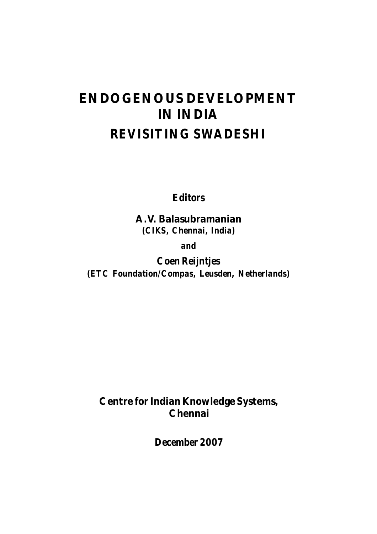# **ENDOGENOUS DEVELOPMENT IN INDIA** *REVISITING SWADESHI*

*Editors*

**A.V. Balasubramanian** *(CIKS, Chennai, India)*

*and*

*Coen Reijntjes (ETC Foundation/Compas, Leusden, Netherlands)*

**Centre for Indian Knowledge Systems, Chennai**

*December 2007*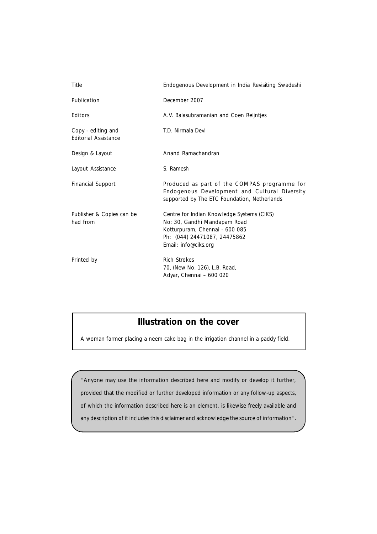| Title                                             | Endogenous Development in India Revisiting Swadeshi                                                                                                                  |
|---------------------------------------------------|----------------------------------------------------------------------------------------------------------------------------------------------------------------------|
| Publication                                       | December 2007                                                                                                                                                        |
| Editors                                           | A.V. Balasubramanian and Coen Reijntjes                                                                                                                              |
| Copy - editing and<br><b>Editorial Assistance</b> | T.D. Nirmala Devi                                                                                                                                                    |
| Design & Layout                                   | Anand Ramachandran                                                                                                                                                   |
| Layout Assistance                                 | S. Ramesh                                                                                                                                                            |
| Financial Support                                 | Produced as part of the COMPAS programme for<br>Endogenous Development and Cultural Diversity<br>supported by The ETC Foundation, Netherlands                        |
| Publisher & Copies can be<br>had from             | Centre for Indian Knowledge Systems (CIKS)<br>No: 30, Gandhi Mandapam Road<br>Kotturpuram, Chennai - 600 085<br>Ph: (044) 24471087, 24475862<br>Email: info@ciks.org |
| Printed by                                        | <b>Rich Strokes</b><br>70, (New No. 126), L.B. Road,<br>Adyar, Chennai - 600 020                                                                                     |

# **Illustration on the cover**

A woman farmer placing a neem cake bag in the irrigation channel in a paddy field.

"Anyone may use the information described here and modify or develop it further, provided that the modified or further developed information or any follow-up aspects, of which the information described here is an element, is likewise freely available and any description of it includes this disclaimer and acknowledge the source of information".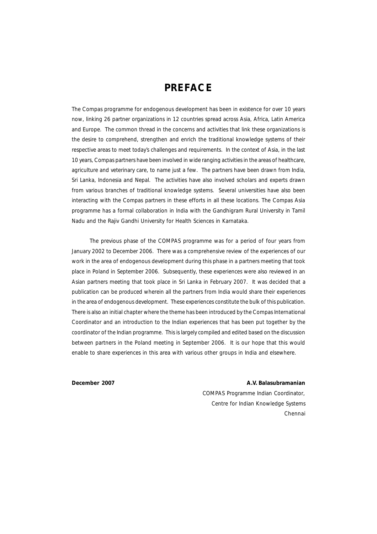# **PREFACE**

The Compas programme for endogenous development has been in existence for over 10 years now, linking 26 partner organizations in 12 countries spread across Asia, Africa, Latin America and Europe. The common thread in the concerns and activities that link these organizations is the desire to comprehend, strengthen and enrich the traditional knowledge systems of their respective areas to meet today's challenges and requirements. In the context of Asia, in the last 10 years, Compas partners have been involved in wide ranging activities in the areas of healthcare, agriculture and veterinary care, to name just a few. The partners have been drawn from India, Sri Lanka, Indonesia and Nepal. The activities have also involved scholars and experts drawn from various branches of traditional knowledge systems. Several universities have also been interacting with the Compas partners in these efforts in all these locations. The Compas Asia programme has a formal collaboration in India with the Gandhigram Rural University in Tamil Nadu and the Rajiv Gandhi University for Health Sciences in Karnataka.

The previous phase of the COMPAS programme was for a period of four years from January 2002 to December 2006. There was a comprehensive review of the experiences of our work in the area of endogenous development during this phase in a partners meeting that took place in Poland in September 2006. Subsequently, these experiences were also reviewed in an Asian partners meeting that took place in Sri Lanka in February 2007. It was decided that a publication can be produced wherein all the partners from India would share their experiences in the area of endogenous development. These experiences constitute the bulk of this publication. There is also an initial chapter where the theme has been introduced by the Compas International Coordinator and an introduction to the Indian experiences that has been put together by the coordinator of the Indian programme. This is largely compiled and edited based on the discussion between partners in the Poland meeting in September 2006. It is our hope that this would enable to share experiences in this area with various other groups in India and elsewhere.

#### **December 2007 A.V. Balasubramanian**

*COMPAS Programme Indian Coordinator, Centre for Indian Knowledge Systems Chennai*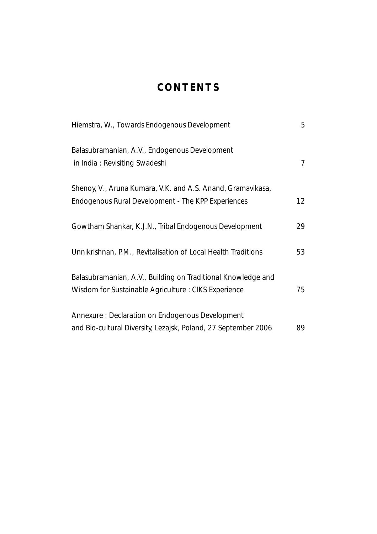# **CONTENTS**

| Hiemstra, W., Towards Endogenous Development                                                                              | 5  |
|---------------------------------------------------------------------------------------------------------------------------|----|
| Balasubramanian, A.V., Endogenous Development<br>in India: Revisiting Swadeshi                                            | 7  |
| Shenoy, V., Aruna Kumara, V.K. and A.S. Anand, <i>Gramavikasa</i> ,<br>Endogenous Rural Development - The KPP Experiences | 12 |
|                                                                                                                           |    |
| Gowtham Shankar, K.J.N., Tribal Endogenous Development                                                                    | 29 |
| Unnikrishnan, P.M., Revitalisation of Local Health Traditions                                                             | 53 |
| Balasubramanian, A.V., Building on Traditional Knowledge and                                                              |    |
| Wisdom for Sustainable Agriculture : CIKS Experience                                                                      | 75 |
| Annexure: Declaration on Endogenous Development                                                                           |    |
| and Bio-cultural Diversity, Lezajsk, Poland, 27 September 2006                                                            | 89 |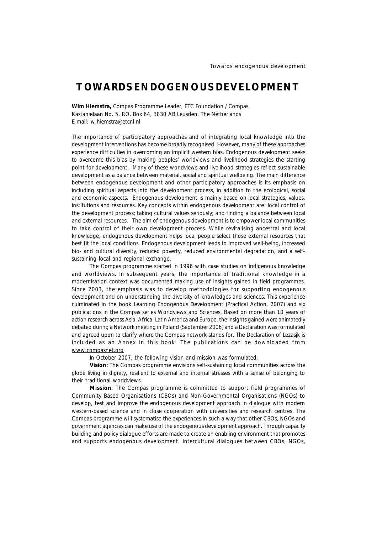# **TOWARDS ENDOGENOUS DEVELOPMENT**

**Wim Hiemstra,** *Compas Programme Leader, ETC Foundation / Compas, Kastanjelaan No. 5, P.O. Box 64, 3830 AB Leusden, The Netherlands E-mail: w.hiemstra@etcnl.nl*

The importance of participatory approaches and of integrating local knowledge into the development interventions has become broadly recognised. However, many of these approaches experience difficulties in overcoming an implicit western bias. Endogenous development seeks to overcome this bias by making peoples' worldviews and livelihood strategies the starting point for development. Many of these worldviews and livelihood strategies reflect sustainable development as a balance between material, social and spiritual wellbeing. The main difference between endogenous development and other participatory approaches is its emphasis on including spiritual aspects into the development process, in addition to the ecological, social and economic aspects. Endogenous development is mainly based on local strategies, values, institutions and resources. Key concepts within endogenous development are: local control of the development process; taking cultural values seriously; and finding a balance between local and external resources. The aim of endogenous development is to empower local communities to take control of their own development process. While revitalising ancestral and local knowledge, endogenous development helps local people select those external resources that best fit the local conditions. Endogenous development leads to improved well-being, increased bio- and cultural diversity, reduced poverty, reduced environmental degradation, and a selfsustaining local and regional exchange.

The Compas programme started in 1996 with case studies on indigenous knowledge and worldviews. In subsequent years, the importance of traditional knowledge in a modernisation context was documented making use of insights gained in field programmes. Since 2003, the emphasis was to develop methodologies for supporting endogenous development and on understanding the diversity of knowledges and sciences. This experience culminated in the book Learning Endogenous Development (Practical Action, 2007) and six publications in the Compas series Worldviews and Sciences. Based on more than 10 years of action research across Asia, Africa, Latin America and Europe, the insights gained were animatedly debated during a Network meeting in Poland (September 2006) and a Declaration was formulated and agreed upon to clarify where the Compas network stands for. The Declaration of Lezasjk is included as an Annex in this book. The publications can be downloaded from www.compasnet.org

In October 2007, the following vision and mission was formulated:

**Vision:** The Compas programme envisions self-sustaining local communities across the globe living in dignity, resilient to external and internal stresses with a sense of belonging to their traditional worldviews.

**Mission**: The Compas programme is committed to support field programmes of Community Based Organisations (CBOs) and Non-Governmental Organisations (NGOs) to develop, test and improve the endogenous development approach in dialogue with modern western-based science and in close cooperation with universities and research centres. The Compas programme will systematise the experiences in such a way that other CBOs, NGOs and government agencies can make use of the endogenous development approach. Through capacity building and policy dialogue efforts are made to create an enabling environment that promotes and supports endogenous development. Intercultural dialogues between CBOs, NGOs,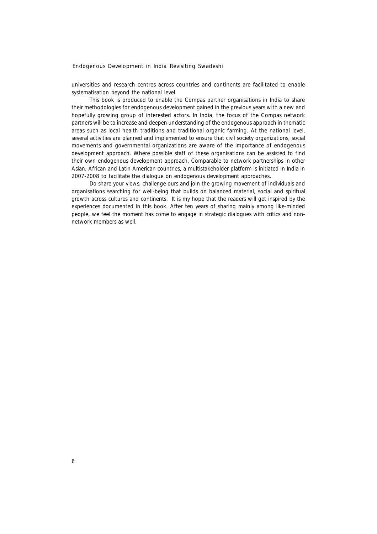universities and research centres across countries and continents are facilitated to enable systematisation beyond the national level.

This book is produced to enable the Compas partner organisations in India to share their methodologies for endogenous development gained in the previous years with a new and hopefully growing group of interested actors. In India, the focus of the Compas network partners will be to increase and deepen understanding of the endogenous approach in thematic areas such as local health traditions and traditional organic farming. At the national level, several activities are planned and implemented to ensure that civil society organizations, social movements and governmental organizations are aware of the importance of endogenous development approach. Where possible staff of these organisations can be assisted to find their own endogenous development approach. Comparable to network partnerships in other Asian, African and Latin American countries, a multistakeholder platform is initiated in India in 2007-2008 to facilitate the dialogue on endogenous development approaches.

Do share your views, challenge ours and join the growing movement of individuals and organisations searching for well-being that builds on balanced material, social and spiritual growth across cultures and continents. It is my hope that the readers will get inspired by the experiences documented in this book. After ten years of sharing mainly among like-minded people, we feel the moment has come to engage in strategic dialogues with critics and nonnetwork members as well.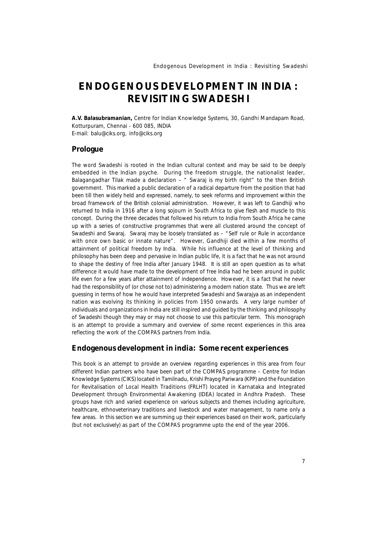# **ENDOGENOUS DEVELOPMENT IN INDIA : REVISITING SWADESHI**

**A.V. Balasubramanian,** *Centre for Indian Knowledge Systems, 30, Gandhi Mandapam Road, Kotturpuram, Chennai - 600 085, INDIA E-mail: balu@ciks.org, info@ciks.org*

#### **Prologue**

The word Swadeshi is rooted in the Indian cultural context and may be said to be deeply embedded in the Indian psyche. During the freedom struggle, the nationalist leader, Balagangadhar Tilak made a declaration  $-$  " Swaraj is my birth right" to the then British government. This marked a public declaration of a radical departure from the position that had been till then widely held and expressed, namely, to seek reforms and improvement within the broad framework of the British colonial administration. However, it was left to Gandhiji who returned to India in 1916 after a long sojourn in South Africa to give flesh and muscle to this concept. During the three decades that followed his return to India from South Africa he came up with a series of constructive programmes that were all clustered around the concept of Swadeshi and Swaraj. Swaraj may be loosely translated as – "Self rule or Rule in accordance with once own basic or innate nature". However, Gandhiji died within a few months of attainment of political freedom by India. While his influence at the level of thinking and philosophy has been deep and pervasive in Indian public life, it is a fact that he was not around to shape the destiny of free India after January 1948. It is still an open question as to what difference it would have made to the development of free India had he been around in public life even for a few years after attainment of independence. However, it is a fact that he never had the responsibility of (or chose not to) administering a modern nation state. Thus we are left guessing in terms of how he would have interpreted Swadeshi and Swarajya as an independent nation was evolving its thinking in policies from 1950 onwards. A very large number of individuals and organizations in India are still inspired and guided by the thinking and philosophy of Swadeshi though they may or may not choose to use this particular term. This monograph is an attempt to provide a summary and overview of some recent experiences in this area reflecting the work of the COMPAS partners from India.

#### **Endogenous development in india: Some recent experiences**

This book is an attempt to provide an overview regarding experiences in this area from four different Indian partners who have been part of the COMPAS programme – Centre for Indian Knowledge Systems (CIKS) located in Tamilnadu, Krishi Prayog Pariwara (KPP) and the Foundation for Revitalisation of Local Health Traditions (FRLHT) located in Karnataka and Integrated Development through Environmental Awakening (IDEA) located in Andhra Pradesh. These groups have rich and varied experience on various subjects and themes including agriculture, healthcare, ethnoveterinary traditions and livestock and water management, to name only a few areas. In this section we are summing up their experiences based on their work, particularly (but not exclusively) as part of the COMPAS programme upto the end of the year 2006.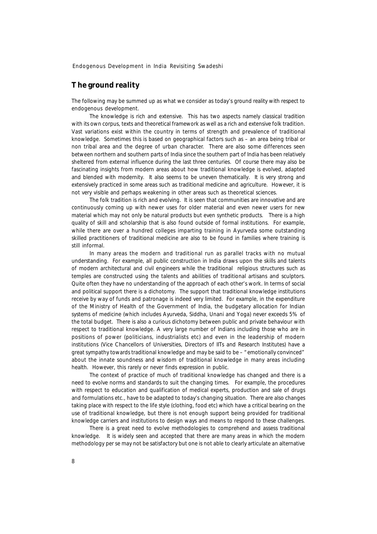# **The ground reality**

The following may be summed up as what we consider as today's ground reality with respect to endogenous development.

The knowledge is rich and extensive. This has two aspects namely classical tradition with its own corpus, texts and theoretical framework as well as a rich and extensive folk tradition. Vast variations exist within the country in terms of strength and prevalence of traditional knowledge. Sometimes this is based on geographical factors such as – an area being tribal or non tribal area and the degree of urban character. There are also some differences seen between northern and southern parts of India since the southern part of India has been relatively sheltered from external influence during the last three centuries. Of course there may also be fascinating insights from modern areas about how traditional knowledge is evolved, adapted and blended with modernity. It also seems to be uneven thematically. It is very strong and extensively practiced in some areas such as traditional medicine and agriculture. However, it is not very visible and perhaps weakening in other areas such as theoretical sciences.

The folk tradition is rich and evolving. It is seen that communities are innovative and are continuously coming up with newer uses for older material and even newer users for new material which may not only be natural products but even synthetic products. There is a high quality of skill and scholarship that is also found outside of formal institutions. For example, while there are over a hundred colleges imparting training in Ayurveda some outstanding skilled practitioners of traditional medicine are also to be found in families where training is still informal.

In many areas the modern and traditional run as parallel tracks with no mutual understanding. For example, all public construction in India draws upon the skills and talents of modern architectural and civil engineers while the traditional religious structures such as temples are constructed using the talents and abilities of traditional artisans and sculptors. Quite often they have no understanding of the approach of each other's work. In terms of social and political support there is a dichotomy. The support that traditional knowledge institutions receive by way of funds and patronage is indeed very limited. For example, in the expenditure of the Ministry of Health of the Government of India, the budgetary allocation for Indian systems of medicine (which includes Ayurveda, Siddha, Unani and Yoga) never exceeds 5% of the total budget. There is also a curious dichotomy between public and private behaviour with respect to traditional knowledge. A very large number of Indians including those who are in positions of power (politicians, industrialists etc) and even in the leadership of modern institutions (Vice Chancellors of Universities, Directors of IITs and Research Institutes) have a great sympathy towards traditional knowledge and may be said to be – "emotionally convinced" about the innate soundness and wisdom of traditional knowledge in many areas including health. However, this rarely or never finds expression in public.

The context of practice of much of traditional knowledge has changed and there is a need to evolve norms and standards to suit the changing times. For example, the procedures with respect to education and qualification of medical experts, production and sale of drugs and formulations etc., have to be adapted to today's changing situation. There are also changes taking place with respect to the life style (clothing, food etc) which have a critical bearing on the use of traditional knowledge, but there is not enough support being provided for traditional knowledge carriers and institutions to design ways and means to respond to these challenges.

There is a great need to evolve methodologies to comprehend and assess traditional knowledge. It is widely seen and accepted that there are many areas in which the modern methodology *per se* may not be satisfactory but one is not able to clearly articulate an alternative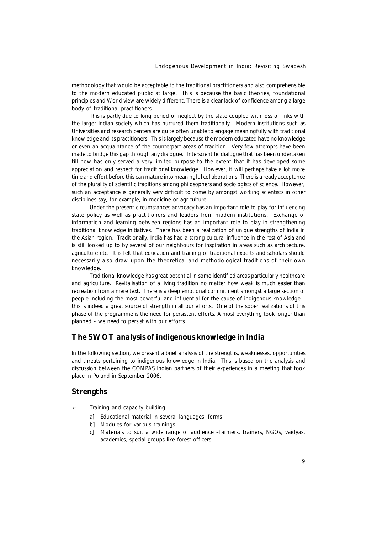methodology that would be acceptable to the traditional practitioners and also comprehensible to the modern educated public at large. This is because the basic theories, foundational principles and World view are widely different. There is a clear lack of confidence among a large body of traditional practitioners.

This is partly due to long period of neglect by the state coupled with loss of links with the larger Indian society which has nurtured them traditionally. Modern institutions such as Universities and research centers are quite often unable to engage meaningfully with traditional knowledge and its practitioners. This is largely because the modern educated have no knowledge or even an acquaintance of the counterpart areas of tradition. Very few attempts have been made to bridge this gap through any dialogue. Interscientific dialogue that has been undertaken till now has only served a very limited purpose to the extent that it has developed some appreciation and respect for traditional knowledge. However, it will perhaps take a lot more time and effort before this can mature into meaningful collaborations. There is a ready acceptance of the plurality of scientific traditions among philosophers and sociologists of science. However, such an acceptance is generally very difficult to come by amongst working scientists in other disciplines say, for example, in medicine or agriculture.

Under the present circumstances advocacy has an important role to play for influencing state policy as well as practitioners and leaders from modern institutions. Exchange of information and learning between regions has an important role to play in strengthening traditional knowledge initiatives. There has been a realization of unique strengths of India in the Asian region. Traditionally, India has had a strong cultural influence in the rest of Asia and is still looked up to by several of our neighbours for inspiration in areas such as architecture, agriculture etc. It is felt that education and training of traditional experts and scholars should necessarily also draw upon the theoretical and methodological traditions of their own knowledge.

Traditional knowledge has great potential in some identified areas particularly healthcare and agriculture. Revitalisation of a living tradition no matter how weak is much easier than recreation from a mere text. There is a deep emotional commitment amongst a large section of people including the most powerful and influential for the cause of indigenous knowledge – this is indeed a great source of strength in all our efforts. One of the sober realizations of this phase of the programme is the need for persistent efforts. Almost everything took longer than planned – we need to persist with our efforts.

#### **The SWOT analysis of indigenous knowledge in India**

In the following section, we present a brief analysis of the strengths, weaknesses, opportunities and threats pertaining to indigenous knowledge in India. This is based on the analysis and discussion between the COMPAS Indian partners of their experiences in a meeting that took place in Poland in September 2006.

#### **Strengths**

- Training and capacity building
	- a] Educational material in several languages ,forms
	- b] Modules for various trainings
	- c] Materials to suit a wide range of audience –farmers, trainers, NGOs, vaidyas, academics, special groups like forest officers.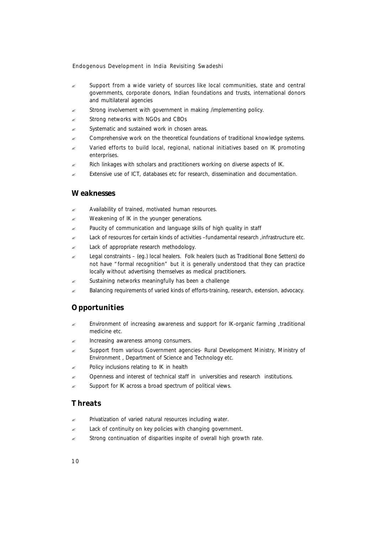- $\approx$  Support from a wide variety of sources like local communities, state and central governments, corporate donors, Indian foundations and trusts, international donors and multilateral agencies
- Strong involvement with government in making /implementing policy.
- Strong networks with NGOs and CBOs
- $\mathscr{L}$  Systematic and sustained work in chosen areas.
- ? Comprehensive work on the theoretical foundations of traditional knowledge systems.
- Varied efforts to build local, regional, national initiatives based on IK promoting enterprises.
- $\approx$  Rich linkages with scholars and practitioners working on diverse aspects of IK.
- Extensive use of ICT, databases etc for research, dissemination and documentation.

# **Weaknesses**

- Availability of trained, motivated human resources.
- Weakening of IK in the younger generations.
- $\approx$  Paucity of communication and language skills of high quality in staff
- Lack of resources for certain kinds of activities -fundamental research ,infrastructure etc.
- Lack of appropriate research methodology.
- $\approx$  Legal constraints (eg.) local healers. Folk healers (such as Traditional Bone Setters) do not have "formal recognition" but it is generally understood that they can practice locally without advertising themselves as medical practitioners.
- Sustaining networks meaningfully has been a challenge
- ? Balancing requirements of varied kinds of efforts-training, research, extension, advocacy.

# **Opportunities**

- ? Environment of increasing awareness and support for IK-organic farming ,traditional medicine etc.
- Increasing awareness among consumers.
- ? Support from various Government agencies- Rural Development Ministry, Ministry of Environment , Department of Science and Technology etc.
- Policy inclusions relating to IK in health
- ? Openness and interest of technical staff in universities and research institutions.
- Support for IK across a broad spectrum of political views.

# **Threats**

- Privatization of varied natural resources including water.
- Lack of continuity on key policies with changing government.
- $\mathscr{L}$  Strong continuation of disparities inspite of overall high growth rate.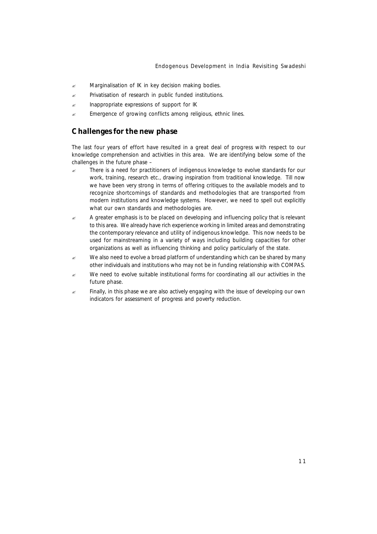- $\mathscr{L}$  Marginalisation of IK in key decision making bodies.
- $\mathbb{R}$  Privatisation of research in public funded institutions.
- Inappropriate expressions of support for IK
- $\mathbb{R}$  Emergence of growing conflicts among religious, ethnic lines.

#### **Challenges for the new phase**

The last four years of effort have resulted in a great deal of progress with respect to our knowledge comprehension and activities in this area. We are identifying below some of the challenges in the future phase –

- There is a need for practitioners of indigenous knowledge to evolve standards for our work, training, research etc., drawing inspiration from traditional knowledge. Till now we have been very strong in terms of offering critiques to the available models and to recognize shortcomings of standards and methodologies that are transported from modern institutions and knowledge systems. However, we need to spell out explicitly what our own standards and methodologies are.
- $\approx$  A greater emphasis is to be placed on developing and influencing policy that is relevant to this area. We already have rich experience working in limited areas and demonstrating the contemporary relevance and utility of indigenous knowledge. This now needs to be used for mainstreaming in a variety of ways including building capacities for other organizations as well as influencing thinking and policy particularly of the state.
- $\approx$  We also need to evolve a broad platform of understanding which can be shared by many other individuals and institutions who may not be in funding relationship with COMPAS.
- $\epsilon$  We need to evolve suitable institutional forms for coordinating all our activities in the future phase.
- $\epsilon$  Finally, in this phase we are also actively engaging with the issue of developing our own indicators for assessment of progress and poverty reduction.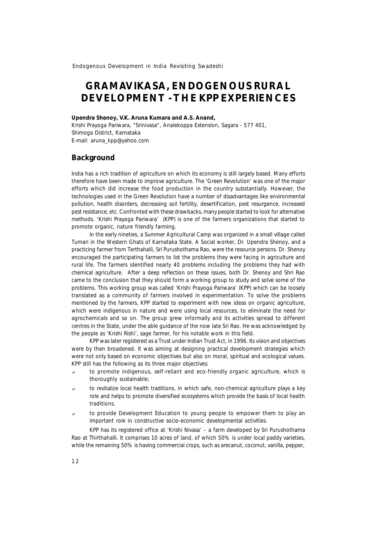# **GRAMAVIKASA, ENDOGENOUS RURAL DEVELOPMENT - THE KPP EXPERIENCES**

#### **Upendra Shenoy, V.K. Aruna Kumara and A.S. Anand,**

*Krishi Prayoga Pariwara, "Srinivasa", Analekoppa Extension, Sagara - 577 401, Shimoga District, Karnataka* E-mail: aruna\_kpp@yahoo.com

#### **Background**

India has a rich tradition of agriculture on which its economy is still largely based. Many efforts therefore have been made to improve agriculture. The 'Green Revolution' was one of the major efforts which did increase the food production in the country substantially. However, the technologies used in the Green Revolution have a number of disadvantages like environmental pollution, health disorders, decreasing soil fertility, desertification, pest resurgence, increased pest resistance, etc. Confronted with these drawbacks, many people started to look for alternative methods. 'Krishi Prayoga Pariwara' (KPP) is one of the farmers organizations that started to promote organic, nature friendly farming.

In the early nineties, a Summer Agricultural Camp was organized in a small village called Tumari in the Western Ghats of Karnataka State. A Social worker, Dr. Upendra Shenoy, and a practicing farmer from Terthahalli, Sri Purushothama Rao, were the resource persons. Dr. Shenoy encouraged the participating farmers to list the problems they were facing in agriculture and rural life. The farmers identified nearly 40 problems including the problems they had with chemical agriculture. After a deep reflection on these issues, both Dr. Shenoy and Shri Rao came to the conclusion that they should form a working group to study and solve some of the problems. This working group was called 'Krishi Prayoga Pariwara' (KPP) which can be loosely translated as a community of farmers involved in experimentation. To solve the problems mentioned by the farmers, KPP started to experiment with new ideas on organic agriculture, which were indigenous in nature and were using local resources, to eliminate the need for agrochemicals and so on. The group grew informally and its activities spread to different centres in the State, under the able guidance of the now late Sri Rao. He was acknowledged by the people as 'Krishi Rishi', sage farmer, for his notable work in this field.

KPP was later registered as a Trust under Indian Trust Act, in 1996. Its vision and objectives were by then broadened. It was aiming at designing practical development strategies which were not only based on economic objectives but also on moral, spiritual and ecological values. KPP still has the following as its three major objectives:

- to promote indigenous, self-reliant and eco-friendly organic agriculture, which is thoroughly sustainable;
- $\epsilon$  to revitalize local health traditions, in which safe, non-chemical agriculture plays a key role and helps to promote diversified ecosystems which provide the basis of local health traditions.
- $\approx$  to provide Development Education to young people to empower them to play an important role in constructive socio-economic developmental activities.

KPP has its registered office at 'Krishi Nivasa' – a farm developed by Sri Purushothama Rao at Thirthahalli. It comprises 10 acres of land, of which 50% is under local paddy varieties, while the remaining 50% is having commercial crops, such as arecanut, coconut, vanilla, pepper,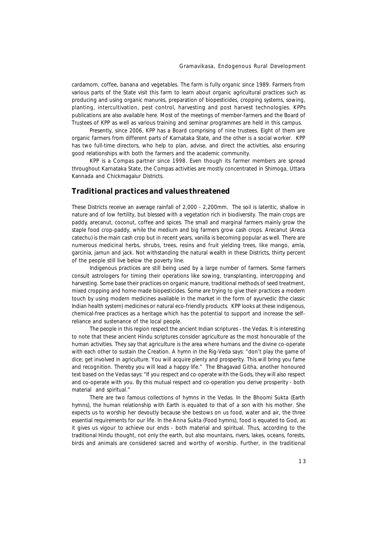cardamom, coffee, banana and vegetables. The farm is fully organic since 1989. Farmers from various parts of the State visit this farm to learn about organic agricultural practices such as producing and using organic manures, preparation of biopesticides, cropping systems, sowing, planting, intercultivation, pest control, harvesting and post harvest technologies. KPPs publications are also available here. Most of the meetings of member-farmers and the Board of Trustees of KPP as well as various training and seminar programmes are held in this campus.

Presently, since 2006, KPP has a Board comprising of nine trustees. Eight of them are organic farmers from different parts of Karnataka State, and the other is a social worker. KPP has two full-time directors, who help to plan, advise, and direct the activities, also ensuring good relationships with both the farmers and the academic community.

KPP is a Compas partner since 1998. Even though its farmer members are spread throughout Karnataka State, the Compas activities are mostly concentrated in Shimoga, Uttara Kannada and Chickmagalur Districts.

# **Traditional practices and values threatened**

These Districts receive an average rainfall of 2,000 - 2,200mm. The soil is lateritic, shallow in nature and of low fertility, but blessed with a vegetation rich in biodiversity. The main crops are paddy, arecanut, coconut, coffee and spices. The small and marginal farmers mainly grow the staple food crop-paddy, while the medium and big farmers grow cash crops. Arecanut *(Areca catechu)* is the main cash crop but in recent years, vanilla is becoming popular as well. There are numerous medicinal herbs, shrubs, trees, resins and fruit yielding trees, like mango, amla, garcinia, jamun and jack. Not withstanding the natural wealth in these Districts, thirty percent of the people still live below the poverty line.

Indigenous practices are still being used by a large number of farmers. Some farmers consult astrologers for timing their operations like sowing, transplanting, intercropping and harvesting. Some base their practices on organic manure, traditional methods of seed treatment, mixed cropping and home-made biopesticides. Some are trying to give their practices a modern touch by using modern medicines available in the market in the form of ayurvedic (the classic Indian health system) medicines or natural eco-friendly products. KPP looks at these indigenous, chemical-free practices as a heritage which has the potential to support and increase the selfreliance and sustenance of the local people.

The people in this region respect the ancient Indian scriptures - the Vedas. It is interesting to note that these ancient Hindu scriptures consider agriculture as the most honourable of the human activities. They say that agriculture is the area where humans and the divine co-operate with each other to sustain the Creation. A hymn in the Rig-Veda says: *"don't play the game of dice; get involved in agriculture. You will acquire plenty and prosperity. This will bring you fame and recognition. Thereby you will lead a happy life."* The Bhagavad Githa, another honoured text based on the Vedas says: *"If you respect and co-operate with the Gods, they will also respect and co-operate with you. By this mutual respect and co-operation you derive prosperity - both material and spiritual."*

There are two famous collections of hymns in the Vedas. In the *Bhoomi Sukta* (Earth hymns), the human relationship with Earth is equated to that of a son with his mother. She expects us to worship her devoutly because she bestows on us food, water and air, the three essential requirements for our life. In the *Anna Sukta* (Food hymns), food is equated to God, as it gives us vigour to achieve our ends - both material and spiritual. Thus, according to the traditional Hindu thought, not only the earth, but also mountains, rivers, lakes, oceans, forests, birds and animals are considered sacred and worthy of worship. Further, in the traditional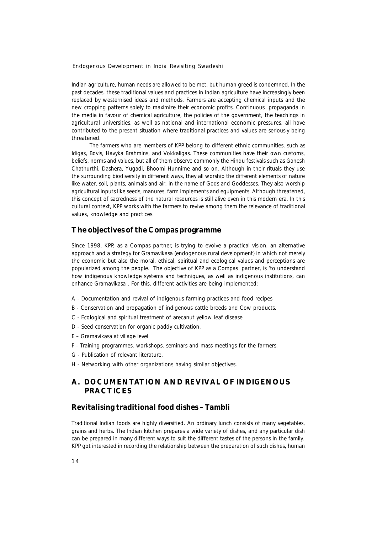Indian agriculture, human needs are allowed to be met, but human greed is condemned. In the past decades, these traditional values and practices in Indian agriculture have increasingly been replaced by westernised ideas and methods. Farmers are accepting chemical inputs and the new cropping patterns solely to maximize their economic profits. Continuous propaganda in the media in favour of chemical agriculture, the policies of the government, the teachings in agricultural universities, as well as national and international economic pressures, all have contributed to the present situation where traditional practices and values are seriously being threatened.

The farmers who are members of KPP belong to different ethnic communities, such as Idigas, Bovis, Havyka Brahmins, and Vokkaligas. These communities have their own customs, beliefs, norms and values, but all of them observe commonly the Hindu festivals such as Ganesh Chathurthi, Dashera, Yugadi, Bhoomi Hunnime and so on. Although in their rituals they use the surrounding biodiversity in different ways, they all worship the different elements of nature like water, soil, plants, animals and air, in the name of Gods and Goddesses. They also worship agricultural inputs like seeds, manures, farm implements and equipments. Although threatened, this concept of sacredness of the natural resources is still alive even in this modern era. In this cultural context, KPP works with the farmers to revive among them the relevance of traditional values, knowledge and practices.

#### **The objectives of the Compas programme**

Since 1998, KPP, as a Compas partner, is trying to evolve a practical vision, an alternative approach and a strategy for *Gramavikasa* (endogenous rural development) in which not merely the economic but also the moral, ethical, spiritual and ecological values and perceptions are popularized among the people. The objective of KPP as a Compas partner, is 'to understand how indigenous knowledge systems and techniques, as well as indigenous institutions, can enhance *Gramavikasa* . For this, different activities are being implemented:

- A Documentation and revival of indigenous farming practices and food recipes
- B Conservation and propagation of indigenous cattle breeds and Cow products.
- C Ecological and spiritual treatment of arecanut yellow leaf disease
- D Seed conservation for organic paddy cultivation.
- E *Gramavikasa* at village level
- F Training programmes, workshops, seminars and mass meetings for the farmers.
- G Publication of relevant literature.
- H Networking with other organizations having similar objectives.

# **A. DOCUMENTATION AND REVIVAL OF INDIGENOUS PRACTICES**

#### **Revitalising traditional food dishes – Tambli**

Traditional Indian foods are highly diversified. An ordinary lunch consists of many vegetables, grains and herbs. The Indian kitchen prepares a wide variety of dishes, and any particular dish can be prepared in many different ways to suit the different tastes of the persons in the family. KPP got interested in recording the relationship between the preparation of such dishes, human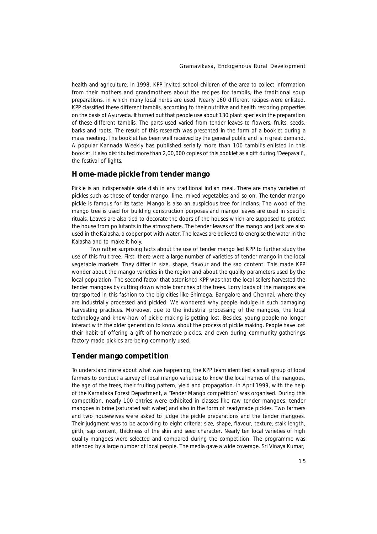health and agriculture. In 1998, KPP invited school children of the area to collect information from their mothers and grandmothers about the recipes for *tamblis*, the traditional soup preparations, in which many local herbs are used. Nearly 160 different recipes were enlisted. KPP classified these different *tamblis*, according to their nutritive and health restoring properties on the basis of Ayurveda. It turned out that people use about 130 plant species in the preparation of these different *tamblis*. The parts used varied from tender leaves to flowers, fruits, seeds, barks and roots. The result of this research was presented in the form of a booklet during a mass meeting. The booklet has been well received by the general public and is in great demand. A popular Kannada Weekly has published serially more than 100 *tambli's* enlisted in this booklet. It also distributed more than 2,00,000 copies of this booklet as a gift during 'Deepavali', the festival of lights.

#### **Home-made pickle from tender mango**

Pickle is an indispensable side dish in any traditional Indian meal. There are many varieties of pickles such as those of tender mango, lime, mixed vegetables and so on. The tender mango pickle is famous for its taste. Mango is also an auspicious tree for Indians. The wood of the mango tree is used for building construction purposes and mango leaves are used in specific rituals. Leaves are also tied to decorate the doors of the houses which are supposed to protect the house from pollutants in the atmosphere. The tender leaves of the mango and jack are also used in the *Kalasha*, a copper pot with water. The leaves are believed to energise the water in the *Kalasha* and to make it holy.

Two rather surprising facts about the use of tender mango led KPP to further study the use of this fruit tree. First, there were a large number of varieties of tender mango in the local vegetable markets. They differ in size, shape, flavour and the sap content. This made KPP wonder about the mango varieties in the region and about the quality parameters used by the local population. The second factor that astonished KPP was that the local sellers harvested the tender mangoes by cutting down whole branches of the trees. Lorry loads of the mangoes are transported in this fashion to the big cities like Shimoga, Bangalore and Chennai, where they are industrially processed and pickled. We wondered why people indulge in such damaging harvesting practices. Moreover, due to the industrial processing of the mangoes, the local technology and know-how of pickle making is getting lost. Besides, young people no longer interact with the older generation to know about the process of pickle making. People have lost their habit of offering a gift of homemade pickles, and even during community gatherings factory-made pickles are being commonly used.

#### **Tender mango competition**

To understand more about what was happening, the KPP team identified a small group of local farmers to conduct a survey of local mango varieties: to know the local names of the mangoes, the age of the trees, their fruiting pattern, yield and propagation. In April 1999, with the help of the Karnataka Forest Department, a 'Tender Mango competition' was organised. During this competition, nearly 100 entries were exhibited in classes like raw tender mangoes, tender mangoes in brine (saturated salt water) and also in the form of readymade pickles. Two farmers and two housewives were asked to judge the pickle preparations and the tender mangoes. Their judgment was to be according to eight criteria: size, shape, flavour, texture, stalk length, girth, sap content, thickness of the skin and seed character. Nearly ten local varieties of high quality mangoes were selected and compared during the competition. The programme was attended by a large number of local people. The media gave a wide coverage. Sri Vinaya Kumar,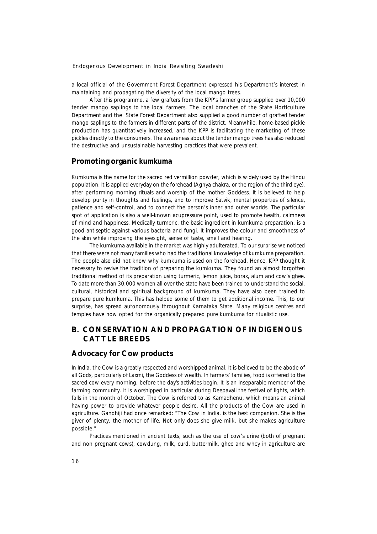a local official of the Government Forest Department expressed his Department's interest in maintaining and propagating the diversity of the local mango trees.

After this programme, a few grafters from the KPP's farmer group supplied over 10,000 tender mango saplings to the local farmers. The local branches of the State Horticulture Department and the State Forest Department also supplied a good number of grafted tender mango saplings to the farmers in different parts of the district. Meanwhile, home-based pickle production has quantitatively increased, and the KPP is facilitating the marketing of these pickles directly to the consumers. The awareness about the tender mango trees has also reduced the destructive and unsustainable harvesting practices that were prevalent.

#### **Promoting organic** *kumkuma*

*Kumkuma* is the name for the sacred red vermillion powder, which is widely used by the Hindu population. It is applied everyday on the forehead (*Agnya chakra*, or the region of the third eye), after performing morning rituals and worship of the mother Goddess. It is believed to help develop purity in thoughts and feelings, and to improve *Satvik,* mental properties of silence, patience and self-control, and to connect the person's inner and outer worlds. The particular spot of application is also a well-known acupressure point, used to promote health, calmness of mind and happiness. Medically turmeric, the basic ingredient in *kumkuma* preparation, is a good antiseptic against various bacteria and fungi. It improves the colour and smoothness of the skin while improving the eyesight, sense of taste, smell and hearing.

The *kumkuma* available in the market was highly adulterated. To our surprise we noticed that there were not many families who had the traditional knowledge of *kumkuma* preparation. The people also did not know why *kumkuma* is used on the forehead. Hence, KPP thought it necessary to revive the tradition of preparing the *kumkuma*. They found an almost forgotten traditional method of its preparation using turmeric, lemon juice, borax, alum and cow's ghee. To date more than 30,000 women all over the state have been trained to understand the social, cultural, historical and spiritual background of *kumkuma*. They have also been trained to prepare pure *kumkuma*. This has helped some of them to get additional income. This, to our surprise, has spread autonomously throughout Karnataka State. Many religious centres and temples have now opted for the organically prepared pure *kumkuma* for ritualistic use.

# **B. CONSERVATION AND PROPAGATION OF INDIGENOUS CATTLE BREEDS**

#### **Advocacy for Cow products**

In India, the Cow is a greatly respected and worshipped animal. It is believed to be the abode of all Gods, particularly of *Laxmi*, the Goddess of wealth. In farmers' families, food is offered to the sacred cow every morning, before the day's activities begin. It is an inseparable member of the farming community. It is worshipped in particular during *Deepavali* the festival of lights, which falls in the month of October. The Cow is referred to as *Kamadhenu,* which means an animal having power to provide whatever people desire. All the products of the Cow are used in agriculture. Gandhiji had once remarked: *"The Cow in India, is the best companion. She is the giver of plenty, the mother of life. Not only does she give milk, but she makes agriculture possible*.*"*

Practices mentioned in ancient texts, such as the use of cow's urine (both of pregnant and non pregnant cows), cowdung, milk, curd, buttermilk, ghee and whey in agriculture are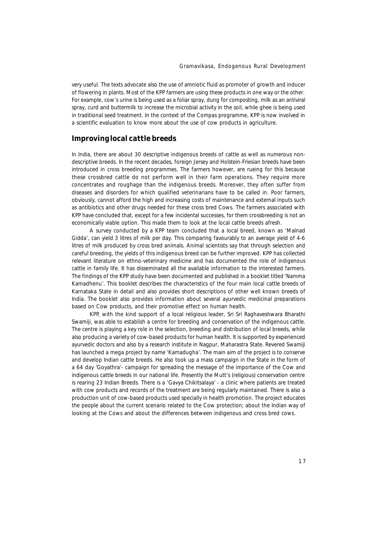very useful. The texts advocate also the use of *amniotic fluid* as promoter of growth and inducer of flowering in plants. Most of the KPP farmers are using these products in one way or the other. For example, cow's urine is being used as a foliar spray, dung for composting, milk as an antiviral spray, curd and buttermilk to increase the microbial activity in the soil, while ghee is being used in traditional seed treatment. In the context of the Compas programme, KPP is now involved in a scientific evaluation to know more about the use of cow products in agriculture.

#### **Improving local cattle breeds**

In India, there are about 30 descriptive indigenous breeds of cattle as well as numerous nondescriptive breeds. In the recent decades, foreign Jersey and Holstein-Friesian breeds have been introduced in cross breeding programmes. The farmers however, are rueing for this because these crossbred cattle do not perform well in their farm operations. They require more concentrates and roughage than the indigenous breeds. Moreover, they often suffer from diseases and disorders for which qualified veterinarians have to be called in. Poor farmers, obviously, cannot afford the high and increasing costs of maintenance and external inputs such as antibiotics and other drugs needed for these cross bred Cows. The farmers associated with KPP have concluded that, except for a few incidental successes, for them crossbreeding is not an economically viable option. This made them to look at the local cattle breeds afresh.

A survey conducted by a KPP team concluded that a local breed, known as 'Malnad Gidda', can yield 3 litres of milk per day. This comparing favourably to an average yield of 4-6 litres of milk produced by cross bred animals. Animal scientists say that through selection and careful breeding, the yields of this indigenous breed can be further improved. KPP has collected relevant literature on ethno-veterinary medicine and has documented the role of indigenous cattle in family life. It has disseminated all the available information to the interested farmers. The findings of the KPP study have been documented and published in a booklet titled *'Namma Kamadhenu'*. This booklet describes the characteristics of the four main local cattle breeds of Karnataka State in detail and also provides short descriptions of other well known breeds of India. The booklet also provides information about several ayurvedic medicinal preparations based on Cow products, and their promotive effect on human health.

KPP, with the kind support of a local religious leader, Sri Sri Raghaveshwara Bharathi Swamiji, was able to establish a centre for breeding and conservation of the indigenous cattle. The centre is playing a key role in the selection, breeding and distribution of local breeds, while also producing a variety of cow-based products for human health. It is supported by experienced ayurvedic doctors and also by a research institute in Nagpur, Maharastra State. Revered Swamiji has launched a mega project by name *'Kamadugha'*. The main aim of the project is to conserve and develop Indian cattle breeds. He also took up a mass campaign in the State in the form of a 64 day '*Goyathra'*- *campaign* for spreading the message of the importance of the Cow and indigenous cattle breeds in our national life. Presently the Mutt's (religious) conservation centre is rearing 23 Indian Breeds. There is a *'Gavya Chikitsalaya'* - a clinic where patients are treated with cow products and records of the treatment are being regularly maintained. There is also a production unit of cow-based products used specially in health promotion. The project educates the people about the current scenario related to the Cow protection; about the Indian way of looking at the Cows and about the differences between indigenous and cross bred cows.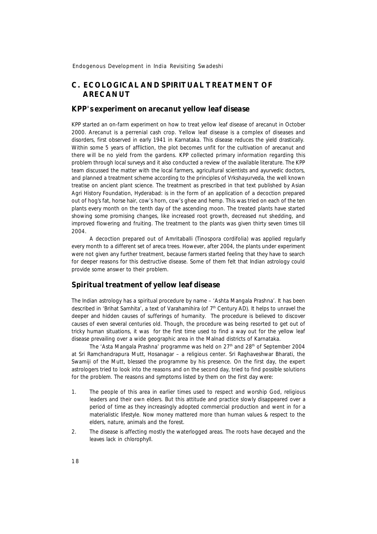# **C. ECOLOGICAL AND SPIRITUAL TREATMENT OF ARECANUT**

#### **KPP's experiment on arecanut yellow leaf disease**

KPP started an on-farm experiment on how to treat yellow leaf disease of arecanut in October 2000. Arecanut is a perrenial cash crop. Yellow leaf disease is a complex of diseases and disorders, first observed in early 1941 in Karnataka. This disease reduces the yield drastically. Within some 5 years of affliction, the plot becomes unfit for the cultivation of arecanut and there will be no yield from the gardens. KPP collected primary information regarding this problem through local surveys and it also conducted a review of the available literature. The KPP team discussed the matter with the local farmers, agricultural scientists and ayurvedic doctors, and planned a treatment scheme according to the principles of *Vrkshayurveda*, the well known treatise on ancient plant science. The treatment as prescribed in that text published by Asian Agri History Foundation, Hyderabad: is in the form of an application of a decoction prepared out of hog's fat, horse hair, cow's horn, cow's ghee and hemp. This was tried on each of the ten plants every month on the tenth day of the ascending moon. The treated plants have started showing some promising changes, like increased root growth, decreased nut shedding, and improved flowering and fruiting. The treatment to the plants was given thirty seven times till 2004.

A decoction prepared out of Amritaballi (*Tinospora cordifolia)* was applied regularly every month to a different set of areca trees. However, after 2004, the plants under experiment were not given any further treatment, because farmers started feeling that they have to search for deeper reasons for this destructive disease. Some of them felt that Indian astrology could provide some answer to their problem.

# **Spiritual treatment of yellow leaf disease**

The Indian astrology has a spiritual procedure by name – *'Ashta Mangala Prashna'*. It has been described in 'Brihat Samhita', a text of Varahamihira (of 7<sup>th</sup> Century AD). It helps to unravel the deeper and hidden causes of sufferings of humanity. The procedure is believed to discover causes of even several centuries old. Though, the procedure was being resorted to get out of tricky human situations, it was for the first time used to find a way out for the yellow leaf disease prevailing over a wide geographic area in the Malnad districts of Karnataka.

The 'Asta Mangala Prashna' programme was held on 27<sup>th</sup> and 28<sup>th</sup> of September 2004 at Sri Ramchandrapura Mutt, Hosanagar – a religious center. Sri Raghaveshwar Bharati, the Swamiji of the Mutt, blessed the programme by his presence. On the first day, the expert astrologers tried to look into the reasons and on the second day, tried to find possible solutions for the problem. The reasons and symptoms listed by them on the first day were:

- 1. The people of this area in earlier times used to respect and worship God, religious leaders and their own elders. But this attitude and practice slowly disappeared over a period of time as they increasingly adopted commercial production and went in for a materialistic lifestyle. Now money mattered more than human values & respect to the elders, nature, animals and the forest.
- 2. The disease is affecting mostly the waterlogged areas. The roots have decayed and the leaves lack in chlorophyll.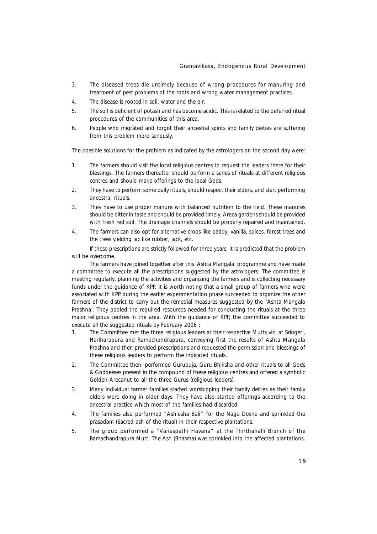- 3. The diseased trees die untimely because of wrong procedures for manuring and treatment of pest problems of the roots and wrong water management practices.
- 4. The disease is rooted in soil, water and the air.
- 5. The soil is deficient of potash and has become acidic. This is related to the deferred ritual procedures of the communities of this area.
- 6. People who migrated and forgot their ancestral spirits and family deities are suffering from this problem more seriously.

The possible solutions for the problem as indicated by the astrologers on the second day were:

- 1. The farmers should visit the local religious centres to request the leaders there for their blessings. The farmers thereafter should perform a series of rituals at different religious centres and should make offerings to the local Gods.
- 2. They have to perform some daily rituals, should respect their elders, and start performing ancestral rituals.
- 3. They have to use proper manure with balanced nutrition to the field. These manures should be bitter in taste and should be provided timely. Areca gardens should be provided with fresh red soil. The drainage channels should be properly repaired and maintained.
- 4. The farmers can also opt for alternative crops like paddy, vanilla, spices, forest trees and the trees yielding lac like rubber, jack, etc.

If these prescriptions are strictly followed for three years, it is predicted that the problem will be overcome.

The farmers have joined together after this *'Ashta Mangala'* programme and have made a committee to execute all the prescriptions suggested by the astrologers. The committee is meeting regularly, planning the activities and organizing the farmers and is collecting necessary funds under the guidance of KPP. It is worth noting that a small group of farmers who were associated with KPP during the earlier experimentation phase succeeded to organize the other farmers of the district to carry out the remedial measures suggested by the *'Ashta Mangala Prashna'*. They pooled the required resources needed for conducting the rituals at the three major religious centres in the area. With the guidance of KPP, the committee succeeded to execute all the suggested rituals by February 2006 :

- 1. The Committee met the three religious leaders at their respective Mutts viz. at Sringeri, Hariharapura and Ramachandrapura, conveying first the results of *Ashta Mangala Prashna* and then provided prescriptions and requested the permission and blessings of these religious leaders to perform the indicated rituals.
- 2. The Committee then, performed Gurupuja, Guru Bhiksha and other rituals to all Gods & Goddesses present in the compound of these religious centres and offered a symbolic Golden Arecanut to all the three Gurus (religious leaders).
- 3. Many individual farmer families started worshipping their family deities as their family elders were doing in older days. They have also started offerings according to the ancestral practice which most of the families had discarded.
- 4. The families also performed "*Ashlesha Bali*" for the Naga Dosha and sprinkled the *prasadam* (Sacred ash of the ritual) in their respective plantations.
- 5. The group performed a "*Vanaspathi Havana*" at the Thirthahalli Branch of the Ramachandrapura Mutt. The Ash (Bhasma) was sprinkled into the affected plantations.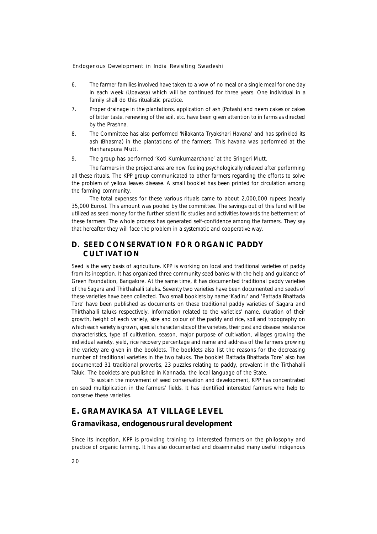- 6. The farmer families involved have taken to a vow of no meal or a single meal for one day in each week (*Upavasa*) which will be continued for three years. One individual in a family shall do this ritualistic practice.
- 7. Proper drainage in the plantations, application of ash (Potash) and neem cakes or cakes of bitter taste, renewing of the soil, etc. have been given attention to in farms as directed by the *Prashna*.
- 8. The Committee has also performed '*Nilakanta Tryakshari Havana*' and has sprinkled its ash (*Bhasma*) in the plantations of the farmers. This *havana* was performed at the Hariharapura Mutt.
- 9. The group has performed '*Koti Kumkumaarchane*' at the Sringeri Mutt.

The farmers in the project area are now feeling psychologically relieved after performing all these rituals. The KPP group communicated to other farmers regarding the efforts to solve the problem of yellow leaves disease. A small booklet has been printed for circulation among the farming community.

The total expenses for these various rituals came to about 2,000,000 rupees (nearly 35,000 Euros). This amount was pooled by the committee. The savings out of this fund will be utilized as seed money for the further scientific studies and activities towards the betterment of these farmers. The whole process has generated self-confidence among the farmers. They say that hereafter they will face the problem in a systematic and cooperative way.

# **D. SEED CONSERVATION FOR ORGANIC PADDY CULTIVATION**

Seed is the very basis of agriculture. KPP is working on local and traditional varieties of paddy from its inception. It has organized three community seed banks with the help and guidance of Green Foundation, Bangalore. At the same time, it has documented traditional paddy varieties of the *Sagara* and *Thirthahalli* taluks. Seventy two varieties have been documented and seeds of these varieties have been collected. Two small booklets by name *'Kadiru' and 'Battada Bhattada Tore'* have been published as documents on these traditional paddy varieties of *Sagara* and *Thirthahalli* taluks respectively. Information related to the varieties' name, duration of their growth, height of each variety, size and colour of the paddy and rice, soil and topography on which each variety is grown, special characteristics of the varieties, their pest and disease resistance characteristics, type of cultivation, season, major purpose of cultivation, villages growing the individual variety, yield, rice recovery percentage and name and address of the farmers growing the variety are given in the booklets. The booklets also list the reasons for the decreasing number of traditional varieties in the two taluks. The booklet `*Battada Bhattada Tore'* also has documented 31 traditional proverbs, 23 puzzles relating to paddy, prevalent in the *Tirthahalli* Taluk. The booklets are published in *Kannada*, the local language of the State.

To sustain the movement of seed conservation and development, KPP has concentrated on seed multiplication in the farmers' fields. It has identified interested farmers who help to conserve these varieties.

# **E. GRAMAVIKASA AT VILLAGE LEVEL**

#### *Gramavikasa***, endogenous rural development**

Since its inception, KPP is providing training to interested farmers on the philosophy and practice of organic farming. It has also documented and disseminated many useful indigenous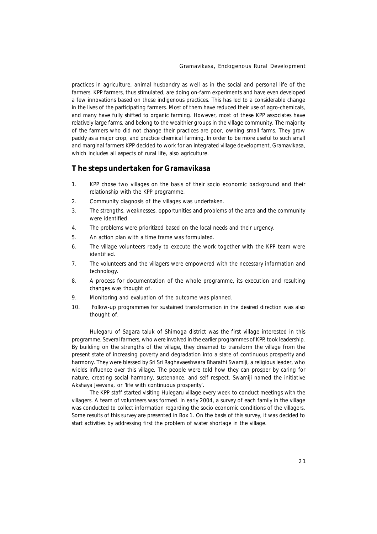practices in agriculture, animal husbandry as well as in the social and personal life of the farmers. KPP farmers, thus stimulated, are doing on-farm experiments and have even developed a few innovations based on these indigenous practices. This has led to a considerable change in the lives of the participating farmers. Most of them have reduced their use of agro-chemicals, and many have fully shifted to organic farming. However, most of these KPP associates have relatively large farms, and belong to the wealthier groups in the village community. The majority of the farmers who did not change their practices are poor, owning small farms. They grow paddy as a major crop, and practice chemical farming. In order to be more useful to such small and marginal farmers KPP decided to work for an integrated village development, *Gramavikasa*, which includes all aspects of rural life, also agriculture.

#### **The steps undertaken for** *Gramavikasa*

- 1. KPP chose two villages on the basis of their socio economic background and their relationship with the KPP programme.
- 2. Community diagnosis of the villages was undertaken.
- 3. The strengths, weaknesses, opportunities and problems of the area and the community were identified.
- 4. The problems were prioritized based on the local needs and their urgency.
- 5. An action plan with a time frame was formulated.
- 6. The village volunteers ready to execute the work together with the KPP team were identified.
- 7. The volunteers and the villagers were empowered with the necessary information and technology.
- 8. A process for documentation of the whole programme, its execution and resulting changes was thought of.
- 9. Monitoring and evaluation of the outcome was planned.
- 10. Follow-up programmes for sustained transformation in the desired direction was also thought of.

Hulegaru of Sagara taluk of Shimoga district was the first village interested in this programme. Several farmers, who were involved in the earlier programmes of KPP, took leadership. By building on the strengths of the village, they dreamed to transform the village from the present state of increasing poverty and degradation into a state of continuous prosperity and harmony. They were blessed by Sri Sri Raghavaeshwara Bharathi Swamiji, a religious leader, who wields influence over this village. The people were told how they can prosper by caring for nature, creating social harmony, sustenance, and self respect. Swamiji named the initiative *Akshaya Jeevana*, or '*life with continuous prosperity'*.

The KPP staff started visiting Hulegaru village every week to conduct meetings with the villagers. A team of volunteers was formed. In early 2004, a survey of each family in the village was conducted to collect information regarding the socio economic conditions of the villagers. Some results of this survey are presented in Box 1. On the basis of this survey, it was decided to start activities by addressing first the problem of water shortage in the village.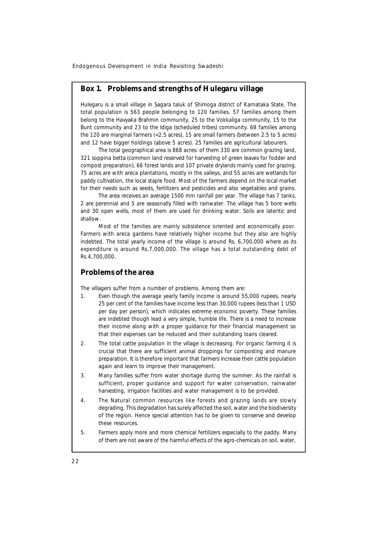### **Box 1. Problems and strengths of Hulegaru village**

Hulegaru is a small village in Sagara taluk of Shimoga district of Karnataka State. The total population is 563 people belonging to 120 families. 57 families among them belong to the Havyaka Brahmin community, 25 to the Vokkaliga community, 15 to the Bunt community and 23 to the Idiga (scheduled tribes) community. 68 families among the 120 are marginal farmers (<2.5 acres), 15 are small farmers (between 2.5 to 5 acres) and 12 have bigger holdings (above 5 acres). 25 families are agricultural labourers.

The total geographical area is 868 acres: of them 330 are common grazing land, 321 *soppina betta* (common land reserved for harvesting of green leaves for fodder and compost preparation), 66 forest lands and 107 private drylands mainly used for grazing. 75 acres are with areca plantations, mostly in the valleys, and 55 acres are wetlands for paddy cultivation, the local staple food. Most of the farmers depend on the local market for their needs such as seeds, fertilizers and pesticides and also vegetables and grains.

The area receives an average 1500 mm rainfall per year. The village has 7 tanks, 2 are perennial and 5 are seasonally filled with rainwater. The village has 5 bore wells and 30 open wells, most of them are used for drinking water. Soils are lateritic and shallow.

Most of the families are mainly subsistence oriented and economically poor. Farmers with areca gardens have relatively higher income but they also are highly indebted. The total yearly income of the village is around Rs. 6,700,000 where as its expenditure is around Rs.7,000,000. The village has a total outstanding debt of Rs.4,700,000.

#### **Problems of the area**

The villagers suffer from a number of problems. Among them are:

- 1. Even though the average yearly family income is around 55,000 rupees, nearly 25 per cent of the families have income less than 30,000 rupees (less than 1 USD per day per person), which indicates extreme economic poverty. These families are indebted though lead a very simple, humble life. There is a need to increase their income along with a proper guidance for their financial management so that their expenses can be reduced and their outstanding loans cleared.
- 2. The total cattle population in the village is decreasing. For organic farming it is crucial that there are sufficient animal droppings for composting and manure preparation. It is therefore important that farmers increase their cattle population again and learn to improve their management.
- 3. Many families suffer from water shortage during the summer. As the rainfall is sufficient, proper guidance and support for water conservation, rainwater harvesting, irrigation facilities and water management is to be provided.
- 4. The Natural common resources like forests and grazing lands are slowly degrading. This degradation has surely affected the soil, water and the biodiversity of the region. Hence special attention has to be given to conserve and develop these resources.
- 5. Farmers apply more and more chemical fertilizers especially to the paddy. Many of them are not aware of the harmful effects of the agro-chemicals on soil, water,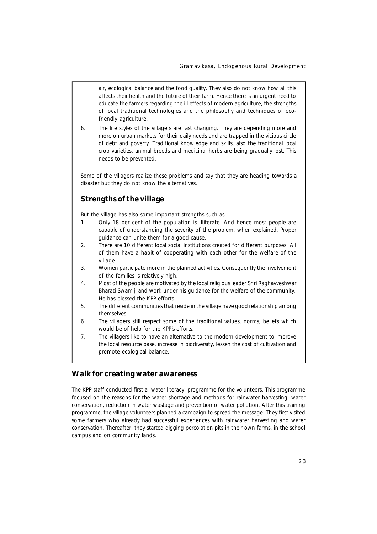air, ecological balance and the food quality. They also do not know how all this affects their health and the future of their farm. Hence there is an urgent need to educate the farmers regarding the ill effects of modern agriculture, the strengths of local traditional technologies and the philosophy and techniques of ecofriendly agriculture.

6. The life styles of the villagers are fast changing. They are depending more and more on urban markets for their daily needs and are trapped in the vicious circle of debt and poverty. Traditional knowledge and skills, also the traditional local crop varieties, animal breeds and medicinal herbs are being gradually lost. This needs to be prevented.

Some of the villagers realize these problems and say that they are heading towards a disaster but they do not know the alternatives.

# **Strengths of the village**

But the village has also some important strengths such as:

- 1. Only 18 per cent of the population is illiterate. And hence most people are capable of understanding the severity of the problem, when explained. Proper guidance can unite them for a good cause.
- 2. There are 10 different local social institutions created for different purposes. All of them have a habit of cooperating with each other for the welfare of the village.
- 3. Women participate more in the planned activities. Consequently the involvement of the families is relatively high.
- 4. Most of the people are motivated by the local religious leader Shri Raghavveshwar Bharati Swamiji and work under his guidance for the welfare of the community. He has blessed the KPP efforts.
- 5. The different communities that reside in the village have good relationship among themselves.
- 6. The villagers still respect some of the traditional values, norms, beliefs which would be of help for the KPP's efforts.
- 7. The villagers like to have an alternative to the modern development to improve the local resource base, increase in biodiversity, lessen the cost of cultivation and promote ecological balance.

### **Walk for creating water awareness**

The KPP staff conducted first a 'water literacy' programme for the volunteers. This programme focused on the reasons for the water shortage and methods for rainwater harvesting, water conservation, reduction in water wastage and prevention of water pollution. After this training programme, the village volunteers planned a campaign to spread the message. They first visited some farmers who already had successful experiences with rainwater harvesting and water conservation. Thereafter, they started digging percolation pits in their own farms, in the school campus and on community lands.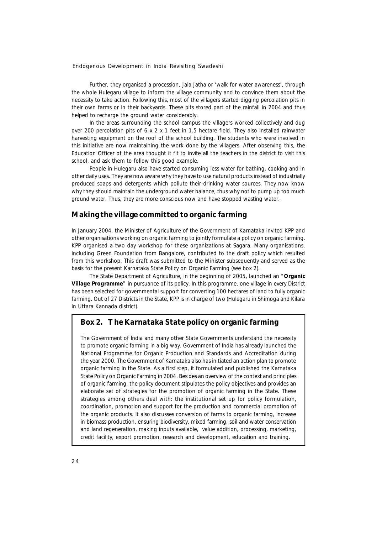Further, they organised a procession, *Jala Jatha* or 'walk for water awareness', through the whole Hulegaru village to inform the village community and to convince them about the necessity to take action. Following this, most of the villagers started digging percolation pits in their own farms or in their backyards. These pits stored part of the rainfall in 2004 and thus helped to recharge the ground water considerably.

In the areas surrounding the school campus the villagers worked collectively and dug over 200 percolation pits of 6 x 2 x 1 feet in 1.5 hectare field. They also installed rainwater harvesting equipment on the roof of the school building. The students who were involved in this initiative are now maintaining the work done by the villagers. After observing this, the Education Officer of the area thought it fit to invite all the teachers in the district to visit this school, and ask them to follow this good example.

People in Hulegaru also have started consuming less water for bathing, cooking and in other daily uses. They are now aware why they have to use natural products instead of industrially produced soaps and detergents which pollute their drinking water sources. They now know why they should maintain the underground water balance, thus why not to pump up too much ground water. Thus, they are more conscious now and have stopped wasting water.

#### **Making the village committed to organic farming**

In January 2004, the Minister of Agriculture of the Government of Karnataka invited KPP and other organisations working on organic farming to jointly formulate a policy on organic farming. KPP organised a two day workshop for these organizations at Sagara. Many organisations, including Green Foundation from Bangalore, contributed to the draft policy which resulted from this workshop. This draft was submitted to the Minister subsequently and served as the basis for the present Karnataka State Policy on Organic Farming (see box 2).

The State Department of Agriculture, in the beginning of 2005, launched an "**Organic Village Programme**" in pursuance of its policy. In this programme, one village in every District has been selected for governmental support for converting 100 hectares of land to fully organic farming. Out of 27 Districts in the State, KPP is in charge of two (Hulegaru in Shimoga and Kilara in Uttara Kannada district).

### **Box 2. The Karnataka State policy on organic farming**

The Government of India and many other State Governments understand the necessity to promote organic farming in a big way. Government of India has already launched the National Programme for Organic Production and Standards and Accreditation during the year 2000. The Government of Karnataka also has initiated an action plan to promote organic farming in the State. As a first step, it formulated and published the Karnataka State Policy on Organic Farming in 2004. Besides an overview of the context and principles of organic farming, the policy document stipulates the policy objectives and provides an elaborate set of strategies for the promotion of organic farming in the State. These strategies among others deal with: the institutional set up for policy formulation, coordination, promotion and support for the production and commercial promotion of the organic products. It also discusses conversion of farms to organic farming, increase in biomass production, ensuring biodiversity, mixed farming, soil and water conservation and land regeneration, making inputs available, value addition, processing, marketing, credit facility, export promotion, research and development, education and training.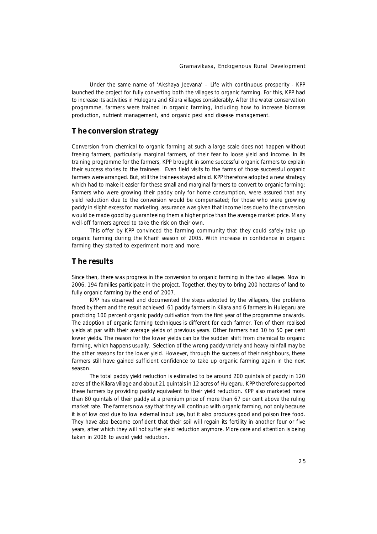Under the same name of '*Akshaya Jeevana'* – Life with continuous prosperity - KPP launched the project for fully converting both the villages to organic farming. For this, KPP had to increase its activities in Hulegaru and Kilara villages considerably. After the water conservation programme, farmers were trained in organic farming, including how to increase biomass production, nutrient management, and organic pest and disease management.

### **The conversion strategy**

Conversion from chemical to organic farming at such a large scale does not happen without freeing farmers, particularly marginal farmers, of their fear to loose yield and income. In its training programme for the farmers, KPP brought in some successful organic farmers to explain their success stories to the trainees. Even field visits to the farms of those successful organic farmers were arranged. But, still the trainees stayed afraid. KPP therefore adopted a new strategy which had to make it easier for these small and marginal farmers to convert to organic farming: Farmers who were growing their paddy only for home consumption, were assured that any yield reduction due to the conversion would be compensated; for those who were growing paddy in slight excess for marketing, assurance was given that income loss due to the conversion would be made good by guaranteeing them a higher price than the average market price. Many well-off farmers agreed to take the risk on their own.

This offer by KPP convinced the farming community that they could safely take up organic farming during the Kharif season of 2005. With increase in confidence in organic farming they started to experiment more and more.

# **The results**

Since then, there was progress in the conversion to organic farming in the two villages. Now in 2006, 194 families participate in the project. Together, they try to bring 200 hectares of land to fully organic farming by the end of 2007.

KPP has observed and documented the steps adopted by the villagers, the problems faced by them and the result achieved. 61 paddy farmers in Kilara and 6 farmers in Hulegaru are practicing 100 percent organic paddy cultivation from the first year of the programme onwards. The adoption of organic farming techniques is different for each farmer. Ten of them realised yields at par with their average yields of previous years. Other farmers had 10 to 50 per cent lower yields. The reason for the lower yields can be the sudden shift from chemical to organic farming, which happens usually. Selection of the wrong paddy variety and heavy rainfall may be the other reasons for the lower yield. However, through the success of their neighbours, these farmers still have gained sufficient confidence to take up organic farming again in the next season.

The total paddy yield reduction is estimated to be around 200 quintals of paddy in 120 acres of the Kilara village and about 21 quintals in 12 acres of Hulegaru. KPP therefore supported these farmers by providing paddy equivalent to their yield reduction. KPP also marketed more than 80 quintals of their paddy at a premium price of more than 67 per cent above the ruling market rate. The farmers now say that they will continuo with organic farming, not only because it is of low cost due to low external input use, but it also produces good and poison free food. They have also become confident that their soil will regain its fertility in another four or five years, after which they will not suffer yield reduction anymore. More care and attention is being taken in 2006 to avoid yield reduction.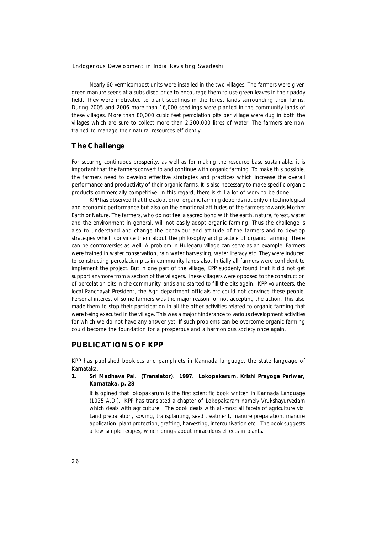Nearly 60 vermicompost units were installed in the two villages. The farmers were given green manure seeds at a subsidised price to encourage them to use green leaves in their paddy field. They were motivated to plant seedlings in the forest lands surrounding their farms. During 2005 and 2006 more than 16,000 seedlings were planted in the community lands of these villages. More than 80,000 cubic feet percolation pits per village were dug in both the villages which are sure to collect more than 2,200,000 litres of water. The farmers are now trained to manage their natural resources efficiently.

# **The Challenge**

For securing continuous prosperity, as well as for making the resource base sustainable, it is important that the farmers convert to and continue with organic farming. To make this possible, the farmers need to develop effective strategies and practices which increase the overall performance and productivity of their organic farms. It is also necessary to make specific organic products commercially competitive. In this regard, there is still a lot of work to be done.

KPP has observed that the adoption of organic farming depends not only on technological and economic performance but also on the emotional attitudes of the farmers towards Mother Earth or Nature. The farmers, who do not feel a sacred bond with the earth, nature, forest, water and the environment in general, will not easily adopt organic farming. Thus the challenge is also to understand and change the behaviour and attitude of the farmers and to develop strategies which convince them about the philosophy and practice of organic farming. There can be controversies as well. A problem in Hulegaru village can serve as an example. Farmers were trained in water conservation, rain water harvesting, water literacy etc. They were induced to constructing percolation pits in community lands also. Initially all farmers were confident to implement the project. But in one part of the village, KPP suddenly found that it did not get support anymore from a section of the villagers. These villagers were opposed to the construction of percolation pits in the community lands and started to fill the pits again. KPP volunteers, the local Panchayat President, the Agri department officials etc could not convince these people. Personal interest of some farmers was the major reason for not accepting the action. This also made them to stop their participation in all the other activities related to organic farming that were being executed in the village. This was a major hinderance to various development activities for which we do not have any answer yet. If such problems can be overcome organic farming could become the foundation for a prosperous and a harmonious society once again.

# **PUBLICATIONS OF KPP**

KPP has published booklets and pamphlets in Kannada language, the state language of Karnataka.

#### **1. Sri Madhava Pai. (Translator). 1997. Lokopakarum. Krishi Prayoga Pariwar, Karnataka. p. 28**

It is opined that *lokopakarum* is the first scientific book written in Kannada Language (1025 A.D.). KPP has translated a chapter of *Lokopakaram* namely Vrukshayurvedam which deals with agriculture. The book deals with all-most all facets of agriculture viz. Land preparation, sowing, transplanting, seed treatment, manure preparation, manure application, plant protection, grafting, harvesting, intercultivation etc. The book suggests a few simple recipes, which brings about miraculous effects in plants.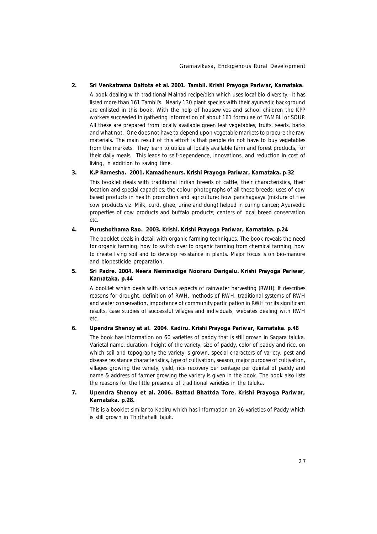#### **2. Sri Venkatrama Daitota et al. 2001. Tambli. Krishi Prayoga Pariwar, Karnataka.**

A book dealing with traditional Malnad recipe/dish which uses local bio-diversity. It has listed more than 161 Tambli's. Nearly 130 plant species with their ayurvedic background are enlisted in this book. With the help of housewives and school children the KPP workers succeeded in gathering information of about 161 formulae of TAMBLI or SOUP. All these are prepared from locally available green leaf vegetables, fruits, seeds, barks and what not. One does not have to depend upon vegetable markets to procure the raw materials. The main result of this effort is that people do not have to buy vegetables from the markets. They learn to utilize all locally available farm and forest products, for their daily meals. This leads to self-dependence, innovations, and reduction in cost of living, in addition to saving time.

#### **3. K.P Ramesha. 2001. Kamadhenurs. Krishi Prayoga Pariwar, Karnataka. p.32**

This booklet deals with traditional Indian breeds of cattle, their characteristics, their location and special capacities; the colour photographs of all these breeds; uses of cow based products in health promotion and agriculture; how panchagavya (mixture of five cow products viz. Milk, curd, ghee, urine and dung) helped in curing cancer; Ayurvedic properties of cow products and buffalo products; centers of local breed conservation etc.

#### **4. Purushothama Rao. 2003. Krishi. Krishi Prayoga Pariwar, Karnataka. p.24**

The booklet deals in detail with organic farming techniques. The book reveals the need for organic farming, how to switch over to organic farming from chemical farming, how to create living soil and to develop resistance in plants. Major focus is on bio-manure and biopesticide preparation.

#### **5. Sri Padre. 2004. Neera Nemmadige Nooraru Darigalu. Krishi Prayoga Pariwar, Karnataka. p.44**

A booklet which deals with various aspects of rainwater harvesting (RWH). It describes reasons for drought, definition of RWH, methods of RWH, traditional systems of RWH and water conservation, importance of community participation in RWH for its significant results, case studies of successful villages and individuals, websites dealing with RWH etc.

#### **6. Upendra Shenoy et al. 2004. Kadiru. Krishi Prayoga Pariwar, Karnataka. p.48**

The book has information on 60 varieties of paddy that is still grown in Sagara taluka. Varietal name, duration, height of the variety, size of paddy, color of paddy and rice, on which soil and topography the variety is grown, special characters of variety, pest and disease resistance characteristics, type of cultivation, season, major purpose of cultivation, villages growing the variety, yield, rice recovery per centage per quintal of paddy and name & address of farmer growing the variety is given in the book. The book also lists the reasons for the little presence of traditional varieties in the taluka.

#### **7. Upendra Shenoy et al. 2006. Battad Bhattda Tore. Krishi Prayoga Pariwar, Karnataka. p.28.**

This is a booklet similar to Kadiru which has information on 26 varieties of Paddy which is still grown in Thirthahalli taluk.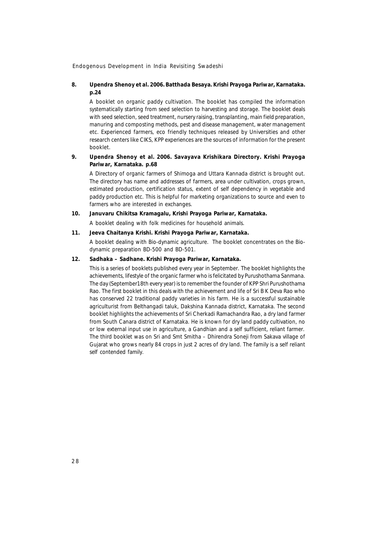#### **8. Upendra Shenoy et al. 2006. Batthada Besaya. Krishi Prayoga Pariwar, Karnataka. p.24**

A booklet on organic paddy cultivation. The booklet has compiled the information systematically starting from seed selection to harvesting and storage. The booklet deals with seed selection, seed treatment, nursery raising, transplanting, main field preparation, manuring and composting methods, pest and disease management, water management etc. Experienced farmers, eco friendly techniques released by Universities and other research centers like CIKS, KPP experiences are the sources of information for the present booklet.

#### **9. Upendra Shenoy et al. 2006. Savayava Krishikara Directory. Krishi Prayoga Pariwar, Karnataka. p.68**

A Directory of organic farmers of Shimoga and Uttara Kannada district is brought out. The directory has name and addresses of farmers, area under cultivation, crops grown, estimated production, certification status, extent of self dependency in vegetable and paddy production etc. This is helpful for marketing organizations to source and even to farmers who are interested in exchanges.

#### **10. Januvaru Chikitsa Kramagalu, Krishi Prayoga Pariwar, Karnataka.**

A booklet dealing with folk medicines for household animals.

#### **11. Jeeva Chaitanya Krishi. Krishi Prayoga Pariwar, Karnataka.**

A booklet dealing with Bio-dynamic agriculture. The booklet concentrates on the Biodynamic preparation BD-500 and BD-501.

#### **12. Sadhaka – Sadhane. Krishi Prayoga Pariwar, Karnataka.**

This is a series of booklets published every year in September. The booklet highlights the achievements, lifestyle of the organic farmer who is felicitated by Purushothama Sanmana. The day (September18th every year) is to remember the founder of KPP Shri Purushothama Rao. The first booklet in this deals with the achievement and life of Sri B K Deva Rao who has conserved 22 traditional paddy varieties in his farm. He is a successful sustainable agriculturist from Belthangadi taluk, Dakshina Kannada district, Karnataka. The second booklet highlights the achievements of Sri Cherkadi Ramachandra Rao, a dry land farmer from South Canara district of Karnataka. He is known for dry land paddy cultivation, no or low external input use in agriculture, a Gandhian and a self sufficient, reliant farmer. The third booklet was on Sri and Smt Smitha – Dhirendra Soneji from Sakava village of Gujarat who grows nearly 84 crops in just 2 acres of dry land. The family is a self reliant self contended family.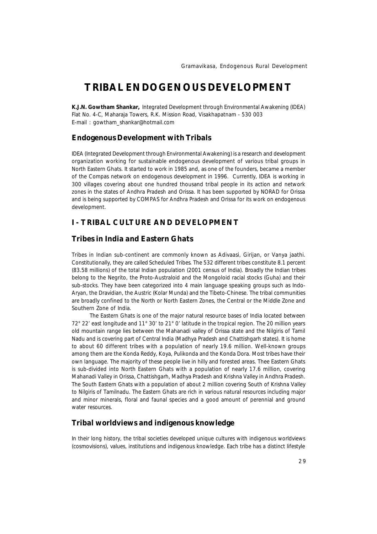# **TRIBAL ENDOGENOUS DEVELOPMENT**

**K.J.N. Gowtham Shankar,** *Integrated Development through Environmental Awakening (IDEA) Flat No. 4-C, Maharaja Towers, R.K. Mission Road, Visakhapatnam - 530 003 E-mail : gowtham\_shankar@hotmail.com*

#### **Endogenous Development with Tribals**

IDEA (Integrated Development through Environmental Awakening) is a research and development organization working for sustainable endogenous development of various tribal groups in North Eastern Ghats. It started to work in 1985 and, as one of the founders, became a member of the Compas network on endogenous development in 1996. Currently, IDEA is working in 300 villages covering about one hundred thousand tribal people in its action and network zones in the states of Andhra Pradesh and Orissa. It has been supported by NORAD for Orissa and is being supported by COMPAS for Andhra Pradesh and Orissa for its work on endogenous development.

# **I - TRIBAL CULTURE AND DEVELOPMENT**

# **Tribes in India and Eastern Ghats**

Tribes in Indian sub-continent are commonly known as *Adivaas*i, *Girijan, or Vanya jaathi*. Constitutionally, they are called *Scheduled Tribes*. The 532 different tribes constitute 8.1 percent (83.58 millions) of the total Indian population (2001 census of India). Broadly the Indian tribes belong to the Negrito, the Proto-Australoid and the Mongoloid racial stocks (Guha) and their sub-stocks. They have been categorized into 4 main language speaking groups such as Indo-Aryan, the Dravidian, the Austric (Kolar Munda) and the Tibeto-Chinese. The tribal communities are broadly confined to the North or North Eastern Zones, the Central or the Middle Zone and Southern Zone of India.

The Eastern Ghats is one of the major natural resource bases of India located between 72° 22' east longitude and 11° 30' to 21° 0' latitude in the tropical region. The 20 million years old mountain range lies between the Mahanadi valley of Orissa state and the Nilgiris of Tamil Nadu and is covering part of Central India (Madhya Pradesh and Chattishgarh states). It is home to about 60 different tribes with a population of nearly 19.6 million. Well-known groups among them are the Konda Reddy, Koya, Pulikonda and the Konda Dora. Most tribes have their own language. The majority of these people live in hilly and forested areas. Thee Eastern Ghats is sub-divided into North Eastern Ghats with a population of nearly 17.6 million, covering Mahanadi Valley in Orissa, Chattishgarh, Madhya Pradesh and Krishna Valley in Andhra Pradesh. The South Eastern Ghats with a population of about 2 million covering South of Krishna Valley to Nilgiris of Tamilnadu. The Eastern Ghats are rich in various natural resources including major and minor minerals, floral and faunal species and a good amount of perennial and ground water resources.

### **Tribal worldviews and indigenous knowledge**

In their long history, the tribal societies developed unique cultures with indigenous worldviews (cosmovisions), values, institutions and indigenous knowledge. Each tribe has a distinct lifestyle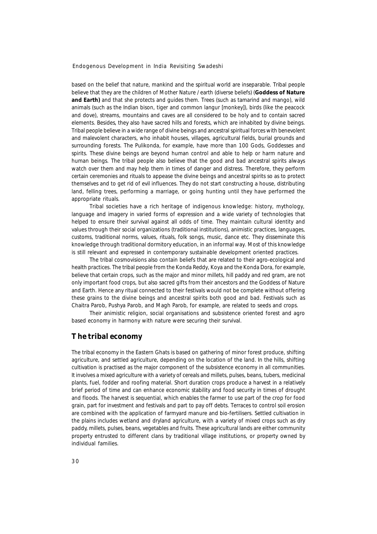based on the belief that nature, mankind and the spiritual world are inseparable. Tribal people believe that they are the children of Mother Nature / earth (diverse beliefs) (**Goddess of Nature** and Earth) and that she protects and guides them. Trees (such as tamarind and mango), wild animals (such as the Indian bison, tiger and common langur [monkey]), birds (like the peacock and dove), streams, mountains and caves are all considered to be holy and to contain sacred elements. Besides*,* they also have sacred hills and forests, which are inhabited by divine beings. Tribal people believe in a wide range of divine beings and ancestral spiritual forces with benevolent and malevolent characters, who inhabit houses, villages, agricultural fields, burial grounds and surrounding forests. The Pulikonda, for example, have more than 100 Gods, Goddesses and spirits. These divine beings are beyond human control and able to help or harm nature and human beings. The tribal people also believe that the good and bad ancestral spirits always watch over them and may help them in times of danger and distress. Therefore, they perform certain ceremonies and rituals to appease the divine beings and ancestral spirits so as to protect themselves and to get rid of evil influences. They do not start constructing a house, distributing land, felling trees, performing a marriage, or going hunting until they have performed the appropriate rituals.

Tribal societies have a rich heritage of indigenous knowledge: history, mythology, language and imagery in varied forms of expression and a wide variety of technologies that helped to ensure their survival against all odds of time. They maintain cultural identity and values through their social organizations (traditional institutions), animistic practices, languages, customs, traditional norms, values, rituals, folk songs, music, dance etc. They disseminate this knowledge through traditional dormitory education, in an informal way. Most of this knowledge is still relevant and expressed in contemporary sustainable development oriented practices.

The tribal cosmovisions also contain beliefs that are related to their agro-ecological and health practices. The tribal people from the Konda Reddy, Koya and the Konda Dora, for example, believe that certain crops, such as the major and minor millets, hill paddy and red gram, are not only important food crops, but also sacred gifts from their ancestors and the Goddess of Nature and Earth. Hence any ritual connected to their festivals would not be complete without offering these grains to the divine beings and ancestral spirits both good and bad. Festivals such *as Chaitra Parob, Pushya Parob,* and *Magh Parob*, for example, are related to seeds and crops.

Their animistic religion, social organisations and subsistence oriented forest and agro based economy in harmony with nature were securing their survival.

# **The tribal economy**

The tribal economy in the Eastern Ghats is based on gathering of minor forest produce, shifting agriculture, and settled agriculture, depending on the location of the land. In the hills, shifting cultivation is practised as the major component of the subsistence economy in all communities. It involves a mixed agriculture with a variety of cereals and millets, pulses, beans, tubers, medicinal plants, fuel, fodder and roofing material. Short duration crops produce a harvest in a relatively brief period of time and can enhance economic stability and food security in times of drought and floods. The harvest is sequential, which enables the farmer to use part of the crop for food grain, part for investment and festivals and part to pay off debts. Terraces to control soil erosion are combined with the application of farmyard manure and bio-fertilisers. Settled cultivation in the plains includes wetland and dryland agriculture, with a variety of mixed crops such as dry paddy, millets, pulses, beans, vegetables and fruits. These agricultural lands are either community property entrusted to different clans by traditional village institutions, or property owned by individual families.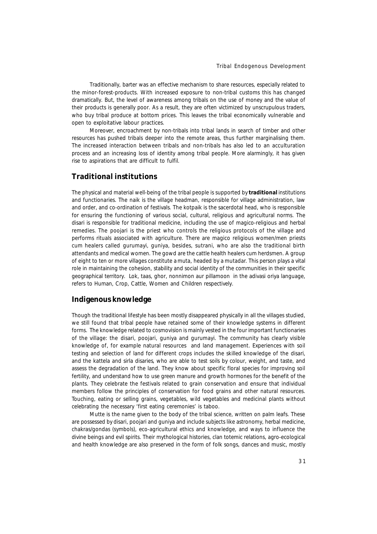Traditionally, barter was an effective mechanism to share resources, especially related to the minor-forest-products. With increased exposure to non-tribal customs this has changed dramatically. But, the level of awareness among tribals on the use of money and the value of their products is generally poor. As a result, they are often victimized by unscrupulous traders, who buy tribal produce at bottom prices. This leaves the tribal economically vulnerable and open to exploitative labour practices.

Moreover, encroachment by non-tribals into tribal lands in search of timber and other resources has pushed tribals deeper into the remote areas, thus further marginalising them. The increased interaction between tribals and non-tribals has also led to an acculturation process and an increasing loss of identity among tribal people. More alarmingly, it has given rise to aspirations that are difficult to fulfil.

# **Traditional institutions**

The physical and material well-being of the tribal people is supported by **traditional** institutions and functionaries. The *naik* is the village headman, responsible for village administration, law and order, and co-ordination of festivals*.* The *kotpaik* is the sacerdotal head, who is responsible for ensuring the functioning of various social, cultural, religious and agricultural norms. The *disari* is responsible for traditional medicine, including the use of magico-religious and herbal remedies. The *poojari* is the priest who controls the religious protocols of the village and performs rituals associated with agriculture. There are magico religious women/men priests cum healers called *gurumayi*, *guniya,* besides, *sutrani*, who are also the traditional birth attendants and medical women*.* The *gowd* are the cattle health healers cum herdsmen. A group of eight to ten or more villages constitute a *muta*, headed by a *mutadar*. This person plays a vital role in maintaining the cohesion, stability and social identity of the communities in their specific geographical territory. *Lok, taas, ghor, nonnimon aur pillamoon* in the adivasi oriya language, refers to Human, Crop, Cattle, Women and Children respectively.

#### **Indigenous knowledge**

Though the traditional lifestyle has been mostly disappeared physically in all the villages studied, we still found that tribal people have retained some of their knowledge systems in different forms. The knowledge related to cosmovision is mainly vested in the four important functionaries of the village: the *disari, poojari, guniya and gurumayi*. The community has clearly visible knowledge of, for example natural resources and land management. Experiences with soil testing and selection of land for different crops includes the skilled knowledge of the *disari*, and the *kattela* and *sirla disaries*, who are able to test soils by colour, weight, and taste, and assess the degradation of the land. They know about specific floral species for improving soil fertility, and understand how to use green manure and growth hormones for the benefit of the plants. They celebrate the festivals related to grain conservation and ensure that individual members follow the principles of conservation for food grains and other natural resources. Touching, eating or selling grains, vegetables, wild vegetables and medicinal plants without celebrating the necessary 'first eating ceremonies' is taboo.

*Mutte* is the name given to the body of the tribal science*,* written on palm leafs. These are possessed by *disari, poojari and guniya* and include subjects like astronomy, herbal medicine, *chakras/gondas* (symbols), eco-agricultural ethics and knowledge, and ways to influence the divine beings and evil spirits. Their mythological histories, clan totemic relations, agro-ecological and health knowledge are also preserved in the form of folk songs, dances and music, mostly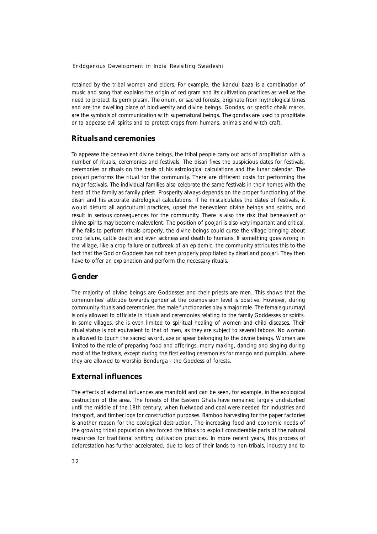retained by the tribal women and elders. For example, the *kandul baza* is a combination of music and song that explains the origin of red gram and its cultivation practices as well as the need to protect its germ plasm. The *onum*, or sacred forests, originate from mythological times and are the dwelling place of biodiversity and divine beings. *Gondas*, or specific chalk marks, are the symbols of communication with supernatural beings. The *gondas* are used to propitiate or to appease evil spirits and to protect crops from humans, animals and witch craft.

#### **Rituals and ceremonies**

To appease the benevolent divine beings, the tribal people carry out acts of propitiation with a number of rituals, ceremonies and festivals. The *disari* fixes the auspicious dates for festivals, ceremonies or rituals on the basis of his astrological calculations and the lunar calendar. The *poojari* performs the ritual for the community. There are different costs for performing the major festivals. The individual families also celebrate the same festivals in their homes with the head of the family as family priest. Prosperity always depends on the proper functioning of the *disari* and his accurate astrological calculations*.* If he miscalculates the dates of festivals*,* it would disturb all agricultural practices*,* upset the benevolent divine beings and spirits, and result in serious consequences for the community. There is also the risk that benevolent or divine spirits may become malevolent. The position of *poojari* is also very important and critical. If he fails to perform rituals properly, the divine beings could curse the village bringing about crop failure, cattle death and even sickness and death to humans. If something goes wrong in the village, like a crop failure or outbreak of an epidemic, the community attributes this to the fact that the God or Goddess has not been properly propitiated by *disari* and *poojari.* They then have to offer an explanation and perform the necessary rituals.

# **Gender**

The majority of divine beings are Goddesses and their priests are men. This shows that the communities' attitude towards gender at the cosmovision level is positive. However, during community rituals and ceremonies, the male functionaries play a major role. The female *gurumayi* is only allowed to officiate in rituals and ceremonies relating to the family Goddesses or spirits. In some villages, she is even limited to spiritual healing of women and child diseases*.* Their ritual status is not equivalent to that of men, as they are subject to several taboos. No woman is allowed to touch the sacred sword, axe or spear belonging to the divine beings. Women are limited to the role of preparing food and offerings, merry making, dancing and singing during most of the festivals, except during the first eating ceremonies for mango and pumpkin, where they are allowed to worship *Bondurga* - the Goddess of forests.

#### **External influences**

The effects of external influences are manifold and can be seen, for example, in the ecological destruction of the area. The forests of the Eastern Ghats have remained largely undisturbed until the middle of the 18th century, when fuelwood and coal were needed for industries and transport, and timber logs for construction purposes. Bamboo harvesting for the paper factories is another reason for the ecological destruction. The increasing food and economic needs of the growing tribal population also forced the tribals to exploit considerable parts of the natural resources for traditional shifting cultivation practices. In more recent years, this process of deforestation has further accelerated, due to loss of their lands to non-tribals, industry and to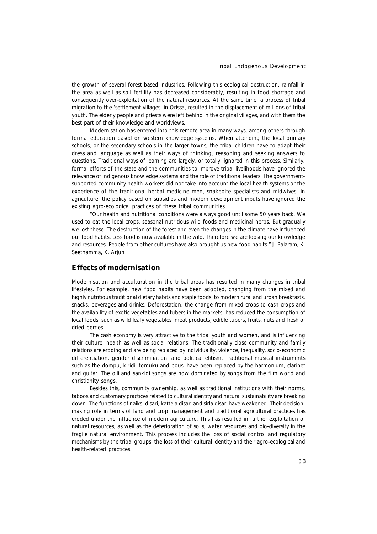the growth of several forest-based industries. Following this ecological destruction, rainfall in the area as well as soil fertility has decreased considerably, resulting in food shortage and consequently over-exploitation of the natural resources. At the same time, a process of tribal migration to the 'settlement villages' in Orissa, resulted in the displacement of millions of tribal youth. The elderly people and priests were left behind in the original villages, and with them the best part of their knowledge and worldviews.

Modernisation has entered into this remote area in many ways, among others through formal education based on western knowledge systems. When attending the local primary schools, or the secondary schools in the larger towns, the tribal children have to adapt their dress and language as well as their ways of thinking, reasoning and seeking answers to questions. Traditional ways of learning are largely, or totally, ignored in this process. Similarly, formal efforts of the state and the communities to improve tribal livelihoods have ignored the relevance of indigenous knowledge systems and the role of traditional leaders. The governmentsupported community health workers did not take into account the local health systems or the experience of the traditional herbal medicine men, snakebite specialists and midwives. In agriculture, the policy based on subsidies and modern development inputs have ignored the existing agro-ecological practices of these tribal communities.

*"Our health and nutritional conditions were always good until some 50 years back. We used to eat the local crops, seasonal nutritious wild foods and medicinal herbs. But gradually we lost these. The destruction of the forest and even the changes in the climate have influenced our food habits. Less food is now available in the wild. Therefore we are loosing our knowledge* and resources. People from other cultures have also brought us new food habits." J. Balaram, K. Seethamma, K. Arjun

#### **Effects of modernisation**

Modernisation and acculturation in the tribal areas has resulted in many changes in tribal lifestyles. For example, new food habits have been adopted, changing from the mixed and highly nutritious traditional dietary habits and staple foods, to modern rural and urban breakfasts, snacks, beverages and drinks. Deforestation, the change from mixed crops to cash crops and the availability of exotic vegetables and tubers in the markets, has reduced the consumption of local foods, such as wild leafy vegetables, meat products, edible tubers, fruits, nuts and fresh or dried berries.

The cash economy is very attractive to the tribal youth and women, and is influencing their culture, health as well as social relations. The traditionally close community and family relations are eroding and are being replaced by individuality, violence, inequality, socio-economic differentiation, gender discrimination, and political elitism. Traditional musical instruments such as the *dompu*, *kiridi*, *tomuku* and *bousi* have been replaced by the harmonium, clarinet and guitar. The *oili* and *sankidi* songs are now dominated by songs from the film world and christianity songs.

Besides this, community ownership, as well as traditional institutions with their norms, taboos and customary practices related to cultural identity and natural sustainability are breaking down. The functions of *naiks, disari, kattela disari* and *sirla disari* have weakened. Their decisionmaking role in terms of land and crop management and traditional agricultural practices has eroded under the influence of modern agriculture. This has resulted in further exploitation of natural resources, as well as the deterioration of soils, water resources and bio-diversity in the fragile natural environment. This process includes the loss of social control and regulatory mechanisms by the tribal groups, the loss of their cultural identity and their agro-ecological and health-related practices.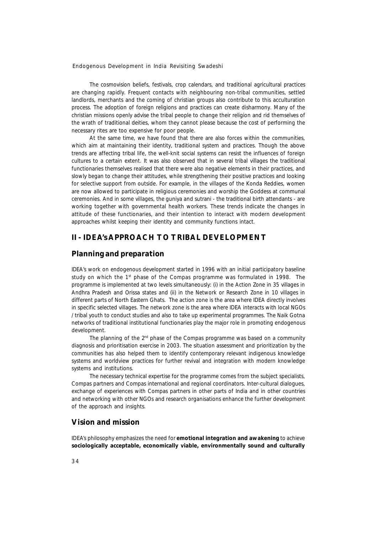The cosmovision beliefs, festivals, crop calendars, and traditional agricultural practices are changing rapidly. Frequent contacts with neighbouring non-tribal communities, settled landlords, merchants and the coming of christian groups also contribute to this acculturation process. The adoption of foreign religions and practices can create disharmony. Many of the christian missions openly advise the tribal people to change their religion and rid themselves of the wrath of traditional deities, whom they cannot please because the cost of performing the necessary rites are too expensive for poor people.

At the same time, we have found that there are also forces within the communities, which aim at maintaining their identity, traditional system and practices. Though the above trends are affecting tribal life, the well-knit social systems can resist the influences of foreign cultures to a certain extent. It was also observed that in several tribal villages the traditional functionaries themselves realised that there were also negative elements in their practices, and slowly began to change their attitudes, while strengthening their positive practices and looking for selective support from outside. For example, in the villages of the Konda Reddies, women are now allowed to participate in religious ceremonies and worship the Goddess at communal ceremonies. And in some villages, the *guniya* and *sutrani* - the traditional birth attendants - are working together with governmental health workers. These trends indicate the changes in attitude of these functionaries, and their intention to interact with modern development approaches whilst keeping their identity and community functions intact.

### **II - IDEA's APPROACH TO TRIBAL DEVELOPMENT**

#### **Planning and preparation**

IDEA's work on endogenous development started in 1996 with an initial participatory baseline study on which the 1st phase of the Compas programme was formulated in 1998. The programme is implemented at two levels simultaneously: (i) in the Action Zone in 35 villages in Andhra Pradesh and Orissa states and (ii) in the Network or Research Zone in 10 villages in different parts of North Eastern Ghats.The action zone is the area where IDEA directly involves in specific selected villages. The network zone is the area where IDEA interacts with local NGOs / tribal youth to conduct studies and also to take up experimental programmes. The *Naik Gotna* networks of traditional institutional functionaries play the major role in promoting endogenous development.

The planning of the  $2<sup>nd</sup>$  phase of the Compas programme was based on a community diagnosis and prioritisation exercise in 2003. The situation assessment and prioritization by the communities has also helped them to identify contemporary relevant indigenous knowledge systems and worldview practices for further revival and integration with modern knowledge systems and institutions.

The necessary technical expertise for the programme comes from the subject specialists, Compas partners and Compas international and regional coordinators. Inter-cultural dialogues, exchange of experiences with Compas partners in other parts of India and in other countries and networking with other NGOs and research organisations enhance the further development of the approach and insights.

### **Vision and mission**

IDEA's philosophy emphasizes the need for **emotional integration and awakening** to achieve **sociologically acceptable, economically viable, environmentally sound and culturally**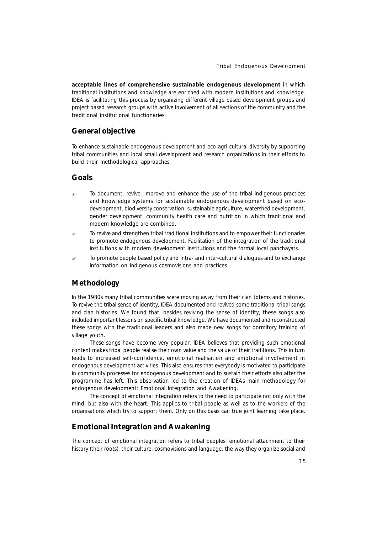**acceptable lines of comprehensive sustainable endogenous development** in which traditional institutions and knowledge are enriched with modern institutions and knowledge. IDEA is facilitating this process by organizing different village based development groups and project based research groups with active involvement of all sections of the community and the traditional institutional functionaries.

### **General objective**

To enhance sustainable endogenous development and eco-agri-cultural diversity by supporting tribal communities and local small development and research organizations in their efforts to build their methodological approaches.

## **Goals**

- ? To document, revive, improve and enhance the use of the tribal indigenous practices and knowledge systems for sustainable endogenous development based on ecodevelopment, biodiversity conservation, sustainable agriculture, watershed development, gender development, community health care and nutrition in which traditional and modern knowledge are combined.
- $\approx$  To revive and strengthen tribal traditional institutions and to empower their functionaries to promote endogenous development. Facilitation of the integration of the traditional institutions with modern development institutions and the formal local panchayats.
- $\approx$  To promote people based policy and intra- and inter-cultural dialogues and to exchange information on indigenous cosmovisions and practices.

## **Methodology**

In the 1980s many tribal communities were moving away from their clan totems and histories. To revive the tribal sense of identity, IDEA documented and revived some traditional tribal songs and clan histories. We found that, besides reviving the sense of identity, these songs also included important lessons on specific tribal knowledge. We have documented and reconstructed these songs with the traditional leaders and also made new songs for dormitory training of village youth.

These songs have become very popular. IDEA believes that providing such emotional content makes tribal people realise their own value and the value of their traditions. This in turn leads to increased self-confidence, emotional realisation and emotional involvement in endogenous development activities. This also ensures that everybody is motivated to participate in community processes for endogenous development and to sustain their efforts also after the programme has left. This observation led to the creation of IDEAs main methodology for endogenous development: *Emotional Integration and Awakening.*

The concept of emotional integration refers to the need to participate not only with the mind, but also with the heart. This applies to tribal people as well as to the workers of the organisations which try to support them. Only on this basis can true joint learning take place.

#### **Emotional Integration and Awakening**

The concept of emotional integration refers to tribal peoples' emotional attachment to their history (their roots), their culture, cosmovisions and language, the way they organize social and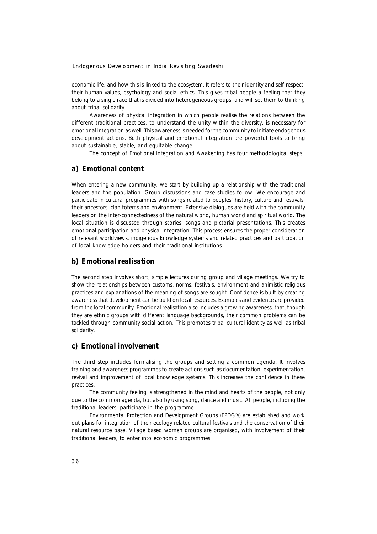economic life, and how this is linked to the ecosystem. It refers to their identity and self-respect: their human values, psychology and social ethics. This gives tribal people a feeling that they belong to a single race that is divided into heterogeneous groups, and will set them to thinking about tribal solidarity.

Awareness of physical integration in which people realise the relations between the different traditional practices, to understand the unity within the diversity, is necessary for emotional integration as well. This awareness is needed for the community to initiate endogenous development actions. Both physical and emotional integration are powerful tools to bring about sustainable, stable, and equitable change.

The concept of Emotional Integration and Awakening has four methodological steps:

#### *a) Emotional content*

When entering a new community, we start by building up a relationship with the traditional leaders and the population. Group discussions and case studies follow. We encourage and participate in cultural programmes with songs related to peoples' history, culture and festivals, their ancestors, clan totems and environment. Extensive dialogues are held with the community leaders on the inter-connectedness of the natural world, human world and spiritual world. The local situation is discussed through stories, songs and pictorial presentations. This creates emotional participation and physical integration. This process ensures the proper consideration of relevant worldviews, indigenous knowledge systems and related practices and participation of local knowledge holders and their traditional institutions.

#### *b) Emotional realisation*

The second step involves short, simple lectures during group and village meetings. We try to show the relationships between customs, norms, festivals, environment and animistic religious practices and explanations of the meaning of songs are sought. Confidence is built by creating awareness that development can be build on local resources. Examples and evidence are provided from the local community. Emotional realisation also includes a growing awareness, that, though they are ethnic groups with different language backgrounds, their common problems can be tackled through community social action. This promotes tribal cultural identity as well as tribal solidarity.

# *c) Emotional involvement*

The third step includes formalising the groups and setting a common agenda. It involves training and awareness programmes to create actions such as documentation, experimentation, revival and improvement of local knowledge systems. This increases the confidence in these practices.

The community feeling is strengthened in the mind and hearts of the people, not only due to the common agenda, but also by using song, dance and music. All people, including the traditional leaders, participate in the programme.

Environmental Protection and Development Groups (EPDG's) are established and work out plans for integration of their ecology related cultural festivals and the conservation of their natural resource base. Village based women groups are organised, with involvement of their traditional leaders, to enter into economic programmes.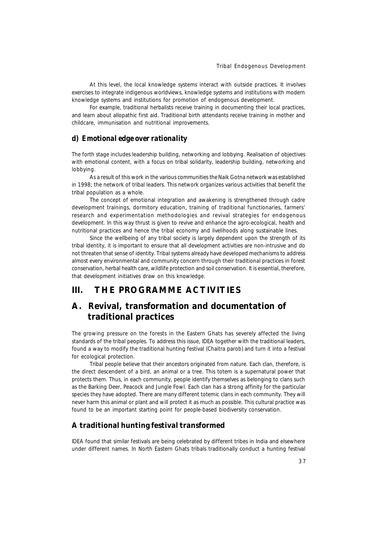At this level, the local knowledge systems interact with outside practices. It involves exercises to integrate indigenous worldviews, knowledge systems and institutions with modern knowledge systems and institutions for promotion of endogenous development.

For example, traditional herbalists receive training in documenting their local practices, and learn about allopathic first aid. Traditional birth attendants receive training in mother and childcare, immunisation and nutritional improvements.

### *d) Emotional edge over rationality*

The forth stage includes leadership building, networking and lobbying. Realisation of objectives with emotional content, with a focus on tribal solidarity, leadership building, networking and lobbying.

As a result of this work in the various communities the *Naik Gotna* network was established in 1998; the network of tribal leaders. This network organizes various activities that benefit the tribal population as a whole.

The concept of emotional integration and awakening is strengthened through cadre development trainings, dormitory education, training of traditional functionaries, farmers' research and experimentation methodologies and revival strategies for endogenous development. In this way thrust is given to revive and enhance the agro-ecological, health and nutritional practices and hence the tribal economy and livelihoods along sustainable lines.

Since the wellbeing of any tribal society is largely dependent upon the strength of its tribal identity, it is important to ensure that all development activities are non-intrusive and do not threaten that sense of identity. Tribal systems already have developed mechanisms to address almost every environmental and community concern through their traditional practices in forest conservation, herbal health care, wildlife protection and soil conservation. It is essential, therefore, that development initiatives draw on this knowledge.

## **III. THE PROGRAMME ACTIVITIES**

# **A. Revival, transformation and documentation of traditional practices**

The growing pressure on the forests in the Eastern Ghats has severely affected the living standards of the tribal peoples. To address this issue, IDEA together with the traditional leaders, found a way to modify the traditional hunting festival *(Chaitra parob)* and turn it into a festival for ecological protection.

Tribal people believe that their ancestors originated from nature. Each clan, therefore, is the direct descendent of a bird, an animal or a tree. This totem is a supernatural power that protects them. Thus, in each community, people identify themselves as belonging to clans such as the Barking Deer, Peacock and Jungle Fowl. Each clan has a strong affinity for the particular species they have adopted. There are many different totemic clans in each community. They will never harm this animal or plant and will protect it as much as possible. This cultural practice was found to be an important starting point for people-based biodiversity conservation.

### **A traditional hunting festival transformed**

IDEA found that similar festivals are being celebrated by different tribes in India and elsewhere under different names. In North Eastern Ghats tribals traditionally conduct a hunting festival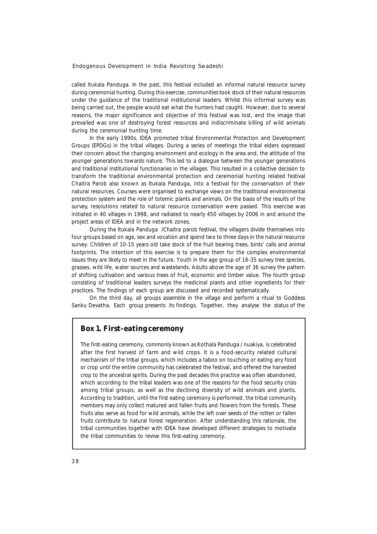called *Itukala Panduga*. In the past, this festival included an informal natural resource survey during ceremonial hunting. During this exercise, communities took stock of their natural resources under the guidance of the traditional institutional leaders. Whilst this informal survey was being carried out, the people would eat what the hunters had caught. However, due to several reasons, the major significance and objective of this festival was lost, and the image that prevailed was one of destroying forest resources and indiscriminate killing of wild animals during the ceremonial hunting time.

In the early 1990s, IDEA promoted tribal Environmental Protection and Development Groups (EPDGs) in the tribal villages. During a series of meetings the tribal elders expressed their concern about the changing environment and ecology in the area and, the attitude of the younger generations towards nature. This led to a dialogue between the younger generations and traditional institutional functionaries in the villages. This resulted in a collective decision to transform the traditional environmental protection and ceremonial hunting related festival Chaitra Parob also known as Itukala Panduga, into a festival for the conservation of their natural resources. Courses were organised to exchange views on the traditional environmental protection system and the role of totemic plants and animals. On the basis of the results of the survey, resolutions related to natural resource conservation were passed. This exercise was initiated in 40 villages in 1998, and radiated to nearly 450 villages by 2006 in and around the project areas of IDEA and in the network zones.

During the *Itukala Panduga /Chaitra parob* festival, the villagers divide themselves into four groups based on age, sex and vocation and spend two to three days in the natural resource survey. Children of 10-15 years old take stock of the fruit bearing trees, birds' calls and animal footprints. The intention of this exercise is to prepare them for the complex environmental issues they are likely to meet in the future. Youth in the age group of 16-35 survey tree species, grasses, wild life, water sources and wastelands. Adults above the age of 36 survey the pattern of shifting cultivation and various trees of fruit, economic and timber value. The fourth group consisting of traditional leaders surveys the medicinal plants and other ingredients for their practices. The findings of each group are discussed and recorded systematically.

On the third day, all groups assemble in the village and perform a ritual to Goddess *Sanku Devatha*. Each group presents its findings. Together, they analyse the status of the

### **Box 1. First-eating ceremony**

The first-eating ceremony, commonly known as *Kothala Panduga / nuakiya*, is celebrated after the first harvest of farm and wild crops. It is a food-security related cultural mechanism of the tribal groups, which includes a taboo on touching or eating any food or crop until the entire community has celebrated the festival, and offered the harvested crop to the ancestral spirits. During the past decades this practice was often abandoned, which according to the tribal leaders was one of the reasons for the food security crisis among tribal groups, as well as the declining diversity of wild animals and plants. According to tradition, until the first eating ceremony is performed, the tribal community members may only collect matured and fallen fruits and flowers from the forests. These fruits also serve as food for wild animals, while the left over seeds of the rotten or fallen fruits contribute to natural forest regeneration. After understanding this rationale, the tribal communities together with IDEA have developed different strategies to motivate the tribal communities to revive this first-eating ceremony.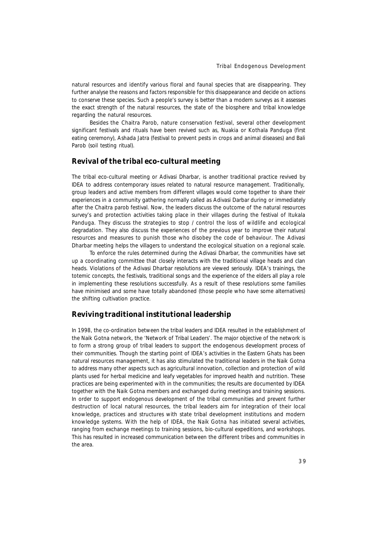natural resources and identify various floral and faunal species that are disappearing. They further analyse the reasons and factors responsible for this disappearance and decide on actions to conserve these species. Such a people's survey is better than a modern surveys as it assesses the exact strength of the natural resources, the state of the biosphere and tribal knowledge regarding the natural resources.

Besides the *Chaitra Parob,* nature conservation festival, several other development significant festivals and rituals have been revived such as, *Nuakia* or *Kothala Panduga* (first eating ceremony), *Ashada Jatra* (festival to prevent pests in crops and animal diseases) and *Bali* Parob (soil testing ritual).

#### **Revival of the tribal eco-cultural meeting**

The tribal eco-cultural meeting *or Adivasi Dharbar,* is another traditional practice revived by IDEA to address contemporary issues related to natural resource management. Traditionally, group leaders and active members from different villages would come together to share their experiences in a community gathering normally called as *Adivasi Darbar* during or immediately after the *Chaitra parob* festival. Now, the leaders discuss the outcome of the natural resources survey's and protection activities taking place in their villages during the festival of *Itukala Panduga.* They discuss the strategies to stop / control the loss of wildlife and ecological degradation. They also discuss the experiences of the previous year to improve their natural resources and measures to punish those who disobey the code of behaviour. The *Adivasi Dharbar* meeting helps the villagers to understand the ecological situation on a regional scale.

To enforce the rules determined during the *Adivasi Dharbar*, the communities have set up a coordinating committee that closely interacts with the traditional village heads and clan heads. Violations of the *Adivasi Dharbar* resolutions are viewed seriously. IDEA's trainings, the totemic concepts, the festivals, traditional songs and the experience of the elders all play a role in implementing these resolutions successfully. As a result of these resolutions some families have minimised and some have totally abandoned (those people who have some alternatives) the shifting cultivation practice.

#### **Reviving traditional institutional leadership**

In 1998, the co-ordination between the tribal leaders and IDEA resulted in the establishment of the *Naik Gotna* network, the 'Network of Tribal Leaders'. The major objective of the network is to form a strong group of tribal leaders to support the endogenous development process of their communities. Though the starting point of IDEA's activities in the Eastern Ghats has been natural resources management, it has also stimulated the traditional leaders in the *Naik Gotna* to address many other aspects such as agricultural innovation, collection and protection of wild plants used for herbal medicine and leafy vegetables for improved health and nutrition. These practices are being experimented with in the communities; the results are documented by IDEA together with the *Naik Gotna* members and exchanged during meetings and training sessions. In order to support endogenous development of the tribal communities and prevent further destruction of local natural resources, the tribal leaders aim for integration of their local knowledge, practices and structures with state tribal development institutions and modern knowledge systems. With the help of IDEA, the *Naik Gotna* has initiated several activities, ranging from exchange meetings to training sessions, bio-cultural expeditions, and workshops. This has resulted in increased communication between the different tribes and communities in the area.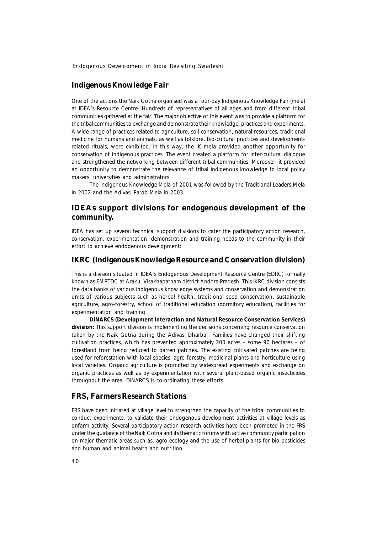#### **Indigenous Knowledge Fair**

One of the actions the *Naik Gotna* organised was a four-day Indigenous Knowledge Fair (*mela*) at IDEA's Resource Centre. Hundreds of representatives of all ages and from different tribal communities gathered at the fair. The major objective of this event was to provide a platform for the tribal communities to exchange and demonstrate their knowledge, practices and experiments. A wide range of practices related to agriculture, soil conservation, natural resources, traditional medicine for humans and animals, as well as folklore, bio-cultural practices and developmentrelated rituals, were exhibited. In this way, the IK *mela* provided another opportunity for conservation of indigenous practices. The event created a platform for inter-cultural dialogue and strengthened the networking between different tribal communities. Moreover, it provided an opportunity to demonstrate the relevance of tribal indigenous knowledge to local policy makers, universities and administrators.

The Indigenous Knowledge *Mela* of *2001* was followed by the Traditional Leaders *Mela* in 2002 and the *Adivasi Parob Mela* in 2003.

### **IDEAs support divisions for endogenous development of the community.**

IDEA has set up several technical support divisions to cater the participatory action research, conservation, experimentation, demonstration and training needs to the community in their effort to achieve endogenous development:

### **IKRC (Indigenous Knowledge Resource and Conservation division)**

This is a division situated in IDEA's Endogenous Development Resource Centre (EDRC) formally known as EMRTDC at Araku, Visakhapatnam district Andhra Pradesh. This IKRC division consists the data banks of various indigenous knowledge systems and conservation and demonstration units of various subjects such as herbal health, traditional seed conservation, sustainable agriculture, agro-forestry, school of traditional education (dormitory education), facilities for experimentation and training.

**DINARCS (Development Interaction and Natural Resource Conservation Services) division:** This support division is implementing the decisions concerning resource conservation taken by the *Naik Gotna* during the *Adivasi Dharbar*. Families have changed their shifting cultivation practices, which has prevented approximately 200 acres – some 90 hectares – of forestland from being reduced to barren patches. The existing cultivated patches are being used for reforestation with local species, agro-forestry, medicinal plants and horticulture using local varieties. Organic agriculture is promoted by widespread experiments and exchange on organic practices as well as by experimentation with several plant-based organic insecticides throughout the area. DINARCS is co-ordinating these efforts.

#### **FRS, Farmers Research Stations**

FRS have been initiated at village level to strengthen the capacity of the tribal communities to conduct experiments, to validate their endogenous development activities at village levels as onfarm activity. Several participatory action research activities have been promoted in the FRS under the guidance of the *Naik Gotna* and its thematic forums with active community participation on major thematic areas such as: agro-ecology and the use of herbal plants for bio-pesticides and human and animal health and nutrition.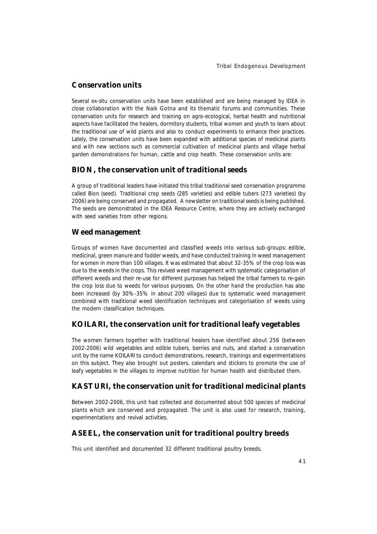### **Conservation units**

Several ex-situ conservation units have been established and are being managed by IDEA in close collaboration with the *Naik Gotna* and its thematic forums and communities. These conservation units for research and training on agro-ecological, herbal health and nutritional aspects have facilitated the healers, dormitory students, tribal women and youth to learn about the traditional use of wild plants and also to conduct experiments to enhance their practices. Lately, the conservation units have been expanded with additional species of medicinal plants and with new sections such as commercial cultivation of medicinal plants and village herbal garden demonstrations for human, cattle and crop health. These conservation units are:

### **BION, the conservation unit of traditional seeds**

A group of traditional leaders have initiated this tribal traditional seed conservation programme called *Bion* (seed). Traditional crop seeds (285 varieties) and edible tubers (273 varieties) (by 2006) are being conserved and propagated. A newsletter on traditional seeds is being published. The seeds are demonstrated in the IDEA Resource Centre, where they are actively exchanged with seed varieties from other regions.

### **Weed management**

Groups of women have documented and classified weeds into various sub-groups: edible, medicinal, green manure and fodder weeds, and have conducted training in weed management for women in more than 100 villages. It was estimated that about 32-35% of the crop loss was due to the weeds in the crops. This revived weed management with systematic categorisation of different weeds and their re-use for different purposes has helped the tribal farmers to re-gain the crop loss due to weeds for various purposes. On the other hand the production has also been increased (by 30%-35% in about 200 villages) due to systematic weed management combined with traditional weed identification techniques and categorisation of weeds using the modern classification techniques.

### **KOILARI, the conservation unit for traditional leafy vegetables**

The women farmers together with traditional healers have identified about 256 (between 2002-2006) wild vegetables and edible tubers, berries and nuts, and started a conservation unit by the name KOILARI to conduct demonstrations, research, trainings and experimentations on this subject. They also brought out posters, calendars and stickers to promote the use of leafy vegetables in the villages to improve nutrition for human health and distributed them.

### **KASTURI, the conservation unit for traditional medicinal plants**

Between 2002-2006, this unit had collected and documented about 500 species of medicinal plants which are conserved and propagated. The unit is also used for research, training, experimentations and revival activities.

### **ASEEL, the conservation unit for traditional poultry breeds**

This unit identified and documented 32 different traditional poultry breeds.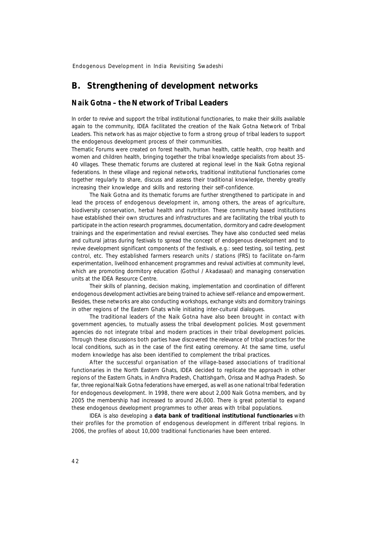### **B. Strengthening of development networks**

### *Naik Gotna* **– the Network of Tribal Leaders**

In order to revive and support the tribal institutional functionaries, to make their skills available again to the community, IDEA facilitated the creation of the *Naik Gotna* Network of Tribal Leaders. This network has as major objective to form a strong group of tribal leaders to support the endogenous development process of their communities.

Thematic Forums were created on forest health, human health, cattle health, crop health and women and children health, bringing together the tribal knowledge specialists from about 35- 40 villages. These thematic forums are clustered at regional level in the Naik Gotna regional federations. In these village and regional networks, traditional institutional functionaries come together regularly to share, discuss and assess their traditional knowledge, thereby greatly increasing their knowledge and skills and restoring their self-confidence.

The *Naik Gotna* and its thematic forums are further strengthened to participate in and lead the process of endogenous development in, among others, the areas of agriculture, biodiversity conservation, herbal health and nutrition. These community based institutions have established their own structures and infrastructures and are facilitating the tribal youth to participate in the action research programmes, documentation, dormitory and cadre development trainings and the experimentation and revival exercises. They have also conducted seed *melas* and cultural *jatras* during festivals to spread the concept of endogenous development and to revive development significant components of the festivals, e.g.: seed testing, soil testing, pest control, etc. They established farmers research units / stations (FRS) to facilitate on-farm experimentation, livelihood enhancement programmes and revival activities at community level, which are promoting dormitory education (*Gothul / Akadasaal)* and managing conservation units at the IDEA Resource Centre.

Their skills of planning, decision making, implementation and coordination of different endogenous development activities are being trained to achieve self-reliance and empowerment. Besides, these networks are also conducting workshops, exchange visits and dormitory trainings in other regions of the Eastern Ghats while initiating inter-cultural dialogues.

The traditional leaders of the *Naik Gotna* have also been brought in contact with government agencies, to mutually assess the tribal development policies. Most government agencies do not integrate tribal and modern practices in their tribal development policies. Through these discussions both parties have discovered the relevance of tribal practices for the local conditions, such as in the case of the first eating ceremony. At the same time, useful modern knowledge has also been identified to complement the tribal practices.

After the successful organisation of the village-based associations of traditional functionaries in the North Eastern Ghats, IDEA decided to replicate the approach in other regions of the Eastern Ghats, in Andhra Pradesh, Chattishgarh, Orissa and Madhya Pradesh. So far, three regional *Naik Gotna* federations have emerged, as well as one national tribal federation for endogenous development. In 1998, there were about 2,000 *Naik Gotna* members, and by 2005 the membership had increased to around 26,000. There is great potential to expand these endogenous development programmes to other areas with tribal populations.

IDEA is also developing a **data bank of traditional institutional functionaries** with their profiles for the promotion of endogenous development in different tribal regions. In 2006, the profiles of about 10,000 traditional functionaries have been entered.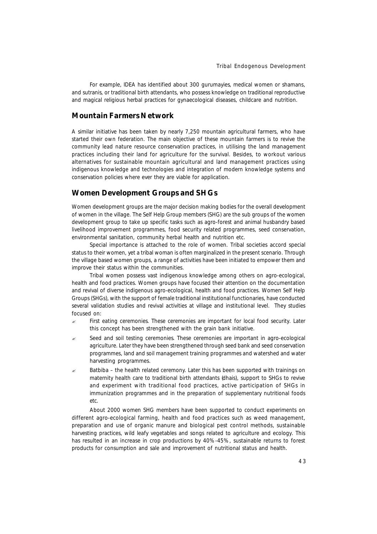For example, IDEA has identified about 300 *gurumayies*, medical women or shamans, and *sutranis*, or traditional birth attendants, who possess knowledge on traditional reproductive and magical religious herbal practices for gynaecological diseases, childcare and nutrition.

### **Mountain Farmers Network**

A similar initiative has been taken by nearly 7,250 mountain agricultural farmers, who have started their own federation. The main objective of these mountain farmers is to revive the community lead nature resource conservation practices, in utilising the land management practices including their land for agriculture for the survival. Besides, to workout various alternatives for sustainable mountain agricultural and land management practices using indigenous knowledge and technologies and integration of modern knowledge systems and conservation policies where ever they are viable for application.

#### **Women Development Groups and SHGs**

Women development groups are the major decision making bodies for the overall development of women in the village. The Self Help Group members (SHG) are the sub groups of the women development group to take up specific tasks such as agro-forest and animal husbandry based livelihood improvement programmes, food security related programmes, seed conservation, environmental sanitation, community herbal health and nutrition etc.

Special importance is attached to the role of women. Tribal societies accord special status to their women, yet a tribal woman is often marginalized in the present scenario. Through the village based women groups, a range of activities have been initiated to empower them and improve their status within the communities.

Tribal women possess vast indigenous knowledge among others on agro-ecological, health and food practices. Women groups have focused their attention on the documentation and revival of diverse indigenous agro-ecological, health and food practices. Women Self Help Groups (SHGs), with the support of female traditional institutional functionaries, have conducted several validation studies and revival activities at village and institutional level. They studies focused on:

- ? *First eating ceremonies*. These ceremonies are important for local food security. Later this concept has been strengthened with the grain bank initiative.
- ? *Seed and soil testing ceremonies*. These ceremonies are important in agro-ecological agriculture. Later they have been strengthened through seed bank and seed conservation programmes, land and soil management training programmes and watershed and water harvesting programmes.
- ? *Batbiba the health related ceremony*. Later this has been supported with trainings on maternity health care to traditional birth attendants (*dhais*), support to SHGs to revive and experiment with traditional food practices, active participation of SHGs in immunization programmes and in the preparation of supplementary nutritional foods etc.

About 2000 women SHG members have been supported to conduct experiments on different agro-ecological farming, health and food practices such as weed management, preparation and use of organic manure and biological pest control methods, sustainable harvesting practices, wild leafy vegetables and songs related to agriculture and ecology. This has resulted in an increase in crop productions by 40%-45%, sustainable returns to forest products for consumption and sale and improvement of nutritional status and health.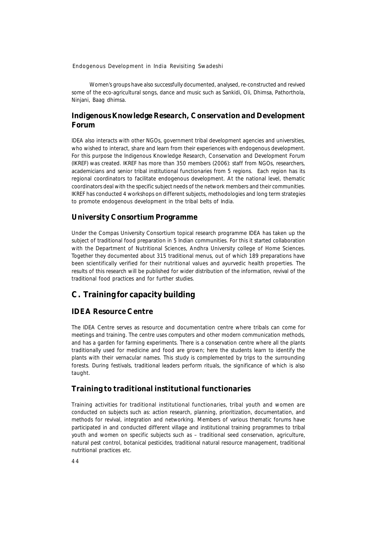Women's groups have also successfully documented, analysed, re-constructed and revived some of the eco-agricultural songs, dance and music such as *Sankidi, Oli, Dhimsa, Pathorthola, Ninjani, Baag dhimsa.*

### **Indigenous Knowledge Research, Conservation and Development Forum**

IDEA also interacts with other NGOs, government tribal development agencies and universities, who wished to interact, share and learn from their experiences with endogenous development. For this purpose the Indigenous Knowledge Research, Conservation and Development Forum (IKREF) was created. IKREF has more than 350 members *(2006)*: staff from NGOs, researchers, academicians and senior tribal institutional functionaries from 5 regions. Each region has its regional coordinators to facilitate endogenous development. At the national level, thematic coordinators deal with the specific subject needs of the network members and their communities. IKREF has conducted 4 workshops on different subjects, methodologies and long term strategies to promote endogenous development in the tribal belts of India.

### **University Consortium Programme**

Under the Compas University Consortium topical research programme IDEA has taken up the subject of traditional food preparation in 5 Indian communities. For this it started collaboration with the Department of Nutritional Sciences, Andhra University college of Home Sciences. Together they documented about 315 traditional menus, out of which 189 preparations have been scientifically verified for their nutritional values and ayurvedic health properties. The results of this research will be published for wider distribution of the information, revival of the traditional food practices and for further studies.

# **C. Training for capacity building**

### **IDEA Resource Centre**

The IDEA Centre serves as resource and documentation centre where tribals can come for meetings and training. The centre uses computers and other modern communication methods, and has a garden for farming experiments. There is a conservation centre where all the plants traditionally used for medicine and food are grown; here the students learn to identify the plants with their vernacular names. This study is complemented by trips to the surrounding forests. During festivals, traditional leaders perform rituals, the significance of which is also taught.

### **Training to traditional institutional functionaries**

Training activities for traditional institutional functionaries, tribal youth and women are conducted on subjects such as: action research, planning, prioritization, documentation, and methods for revival, integration and networking. Members of various thematic forums have participated in and conducted different village and institutional training programmes to tribal youth and women on specific subjects such as – traditional seed conservation, agriculture, natural pest control, botanical pesticides, traditional natural resource management, traditional nutritional practices etc.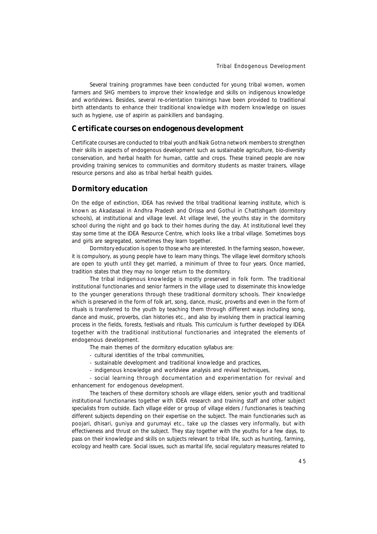Several training programmes have been conducted for young tribal women, women farmers and SHG members to improve their knowledge and skills on indigenous knowledge and worldviews. Besides, several re-orientation trainings have been provided to traditional birth attendants to enhance their traditional knowledge with modern knowledge on issues such as hygiene, use of aspirin as painkillers and bandaging.

#### **Certificate courses on endogenous development**

Certificate courses are conducted to tribal youth and *Naik Gotna* network members to strengthen their skills in aspects of endogenous development such as sustainable agriculture, bio-diversity conservation, and herbal health for human, cattle and crops. These trained people are now providing training services to communities and dormitory students as master trainers, village resource persons and also as tribal herbal health guides.

#### **Dormitory education**

On the edge of extinction, IDEA has revived the tribal traditional learning institute, which is known as *Akadasaal* in Andhra Pradesh and Orissa and *Gothul* in Chattishgarh (dormitory schools), at institutional and village level. At village level, the youths stay in the dormitory school during the night and go back to their homes during the day. At institutional level they stay some time at the IDEA Resource Centre, which looks like a tribal village. Sometimes boys and girls are segregated, sometimes they learn together.

Dormitory education is open to those who are interested. In the farming season, however, it is compulsory, as young people have to learn many things. The village level dormitory schools are open to youth until they get married, a minimum of three to four years. Once married, tradition states that they may no longer return to the dormitory.

The tribal indigenous knowledge is mostly preserved in folk form. The traditional institutional functionaries and senior farmers in the village used to disseminate this knowledge to the younger generations through these traditional dormitory schools. Their knowledge which is preserved in the form of folk art, song, dance, music, proverbs and even in the form of rituals is transferred to the youth by teaching them through different ways including song, dance and music, proverbs, clan histories etc., and also by involving them in practical learning process in the fields, forests, festivals and rituals. This curriculum is further developed by IDEA together with the traditional institutional functionaries and integrated the elements of endogenous development.

The main themes of the dormitory education syllabus are:

- cultural identities of the tribal communities,
- sustainable development and traditional knowledge and practices,
- indigenous knowledge and worldview analysis and revival techniques,

- social learning through documentation and experimentation for revival and enhancement for endogenous development.

The teachers of these dormitory schools are village elders, senior youth and traditional institutional functionaries together with IDEA research and training staff and other subject specialists from outside. Each village elder or group of village elders / functionaries is teaching different subjects depending on their expertise on the subject. The main functionaries such as *poojari, dhisari, guniya and gurumayi* etc., take up the classes very informally, but with effectiveness and thrust on the subject. They stay together with the youths for a few days, to pass on their knowledge and skills on subjects relevant to tribal life, such as hunting, farming, ecology and health care. Social issues, such as marital life, social regulatory measures related to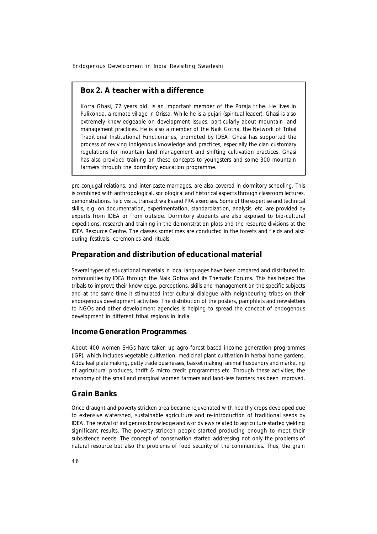### **Box 2. A teacher with a difference**

Korra Ghasi, 72 years old, is an important member of the Poraja tribe. He lives in Pulikonda, a remote village in Orissa. While he is a *pujari* (spiritual leader), Ghasi is also extremely knowledgeable on development issues, particularly about mountain land management practices. He is also a member of the *Naik Gotna*, the Network of Tribal Traditional Institutional Functionaries, promoted by IDEA. Ghasi has supported the process of reviving indigenous knowledge and practices, especially the clan customary regulations for mountain land management and shifting cultivation practices. Ghasi has also provided training on these concepts to youngsters and some 300 mountain farmers through the dormitory education programme.

pre-conjugal relations, and inter-caste marriages, are also covered in dormitory schooling. This is combined with anthropological, sociological and historical aspects through classroom lectures, demonstrations, field visits, transact walks and PRA exercises. Some of the expertise and technical skills, e.g. on documentation, experimentation, standardization, analysis, etc. are provided by experts from IDEA or from outside. Dormitory students are also exposed to bio-cultural expeditions, research and training in the demonstration plots and the resource divisions at the IDEA Resource Centre. The classes sometimes are conducted in the forests and fields and also during festivals, ceremonies and rituals.

#### **Preparation and distribution of educational material**

Several types of educational materials in local languages have been prepared and distributed to communities by IDEA through the *Naik Gotna* and its Thematic Forums. This has helped the tribals to improve their knowledge, perceptions, skills and management on the specific subjects and at the same time it stimulated inter-cultural dialogue with neighbouring tribes on their endogenous development activities. The distribution of the posters, pamphlets and newsletters to NGOs and other development agencies is helping to spread the concept of endogenous development in different tribal regions in India.

### **Income Generation Programmes**

About 400 women SHGs have taken up agro-forest based income generation programmes (IGP), which includes vegetable cultivation, medicinal plant cultivation in herbal home gardens, Adda leaf plate making, petty trade businesses, basket making, animal husbandry and marketing of agricultural produces, thrift & micro credit programmes etc. Through these activities, the economy of the small and marginal women farmers and land-less farmers has been improved.

### **Grain Banks**

Once draught and poverty stricken area became rejuvenated with healthy crops developed due to extensive watershed, sustainable agriculture and re-introduction of traditional seeds by IDEA. The revival of indigenous knowledge and worldviews related to agriculture started yielding significant results. The poverty stricken people started producing enough to meet their subsistence needs. The concept of conservation started addressing not only the problems of natural resource but also the problems of food security of the communities. Thus, the grain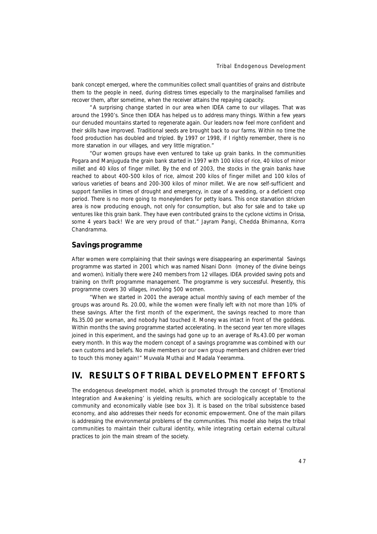bank concept emerged, where the communities collect small quantities of grains and distribute them to the people in need, during distress times especially to the marginalised families and recover them, after sometime, when the receiver attains the repaying capacity.

"A surprising change started in our area when IDEA came to our villages. That was around the 1990's. Since then IDEA has helped us to address many things. Within a few years our denuded mountains started to regenerate again. Our leaders now feel more confident and their skills have improved. Traditional seeds are brought back to our farms. Within no time the food production has doubled and tripled. By 1997 or 1998, if I rightly remember, there is no more starvation in our villages, and very little migration."

*"Our women groups have even ventured to take up grain banks. In the communities Pogara and Manjuguda the grain bank started in 1997 with 100 kilos of rice, 40 kilos of minor millet and 40 kilos of finger millet. By the end of 2003, the stocks in the grain banks have reached to about 400-500 kilos of rice, almost 200 kilos of finger millet and 100 kilos of various varieties of beans and 200-300 kilos of minor millet. We are now self-sufficient and support families in times of drought and emergency, in case of a wedding, or a deficient crop period. There is no more going to moneylenders for petty loans. This once starvation stricken area is now producing enough, not only for consumption, but also for sale and to take up ventures like this grain bank. They have even contributed grains to the cyclone victims in Orissa, some 4 years back! We are very proud of that."* Jayram Pangi, Chedda Bhimanna, Korra Chandramma.

#### **Savings programme**

After women were complaining that their savings were disappearing an experimental Savings programme was started in 2001 which was named Nisani Donn (money of the divine beings and women). Initially there were 240 members from 12 villages. IDEA provided saving pots and training on thrift programme management. The programme is very successful. Presently, this programme covers 30 villages, involving 500 women.

*"When we started in 2001 the average actual monthly saving of each member of the groups was around Rs. 20.00, while the women were finally left with not more than 10% of these savings. After the first month of the experiment, the savings reached to more than Rs.35.00 per woman, and nobody had touched it. Money was intact in front of the goddess. Within months the saving programme started accelerating. In the second year ten more villages joined in this experiment, and the savings had gone up to an average of Rs.43.00 per woman every month. In this way the modern concept of a savings programme was combined with our own customs and beliefs. No male members or our own group members and children ever tried to touch this money again!"* Muvvala Muthai and Madala Yeeramma.

# **IV. RESULTS OF TRIBAL DEVELOPMENT EFFORTS**

The endogenous development model, which is promoted through the concept of 'Emotional Integration and Awakening' is yielding results, which are sociologically acceptable to the community and economically viable (see box 3). It is based on the tribal subsistence based economy, and also addresses their needs for economic empowerment. One of the main pillars is addressing the environmental problems of the communities. This model also helps the tribal communities to maintain their cultural identity, while integrating certain external cultural practices to join the main stream of the society.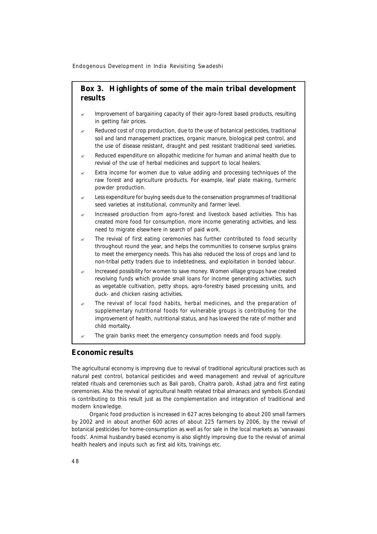### **Box 3. Highlights of some of the main tribal development results**

- ? Improvement of bargaining capacity of their agro-forest based products, resulting in getting fair prices.
- Reduced cost of crop production, due to the use of botanical pesticides, traditional soil and land management practices, organic manure, biological pest control, and the use of disease resistant, draught and pest resistant traditional seed varieties.
- ? Reduced expenditure on allopathic medicine for human and animal health due to revival of the use of herbal medicines and support to local healers.
- Extra income for women due to value adding and processing techniques of the raw forest and agriculture products. For example, leaf plate making, turmeric powder production.
- Less expenditure for buying seeds due to the conservation programmes of traditional seed varieties at institutional, community and farmer level.
- Increased production from agro-forest and livestock based activities. This has created more food for consumption, more income generating activities, and less need to migrate elsewhere in search of paid work.
- The revival of first eating ceremonies has further contributed to food security throughout round the year, and helps the communities to conserve surplus grains to meet the emergency needs. This has also reduced the loss of crops and land to non-tribal petty traders due to indebtedness, and exploitation in bonded labour.
- ? Increased possibility for women to save money. Women village groups have created revolving funds which provide small loans for income generating activities, such as vegetable cultivation, petty shops, agro-forestry based processing units, and duck- and chicken raising activities.
- The revival of local food habits, herbal medicines, and the preparation of supplementary nutritional foods for vulnerable groups is contributing for the improvement of health, nutritional status, and has lowered the rate of mother and child mortality.
- The grain banks meet the emergency consumption needs and food supply.

#### **Economic results**

The agricultural economy is improving due to revival of traditional agricultural practices such as natural pest control, botanical pesticides and weed management and revival of agriculture related rituals and ceremonies such as *Bali parob, Chaitra parob, Ashad jatra* and first eating ceremonies. Also the revival of agricultural health related tribal almanacs and symbols (*Gondas*) is contributing to this result just as the complementation and integration of traditional and modern knowledge.

Organic food production is increased in 627 acres belonging to about 200 small farmers by 2002 and in about another 600 acres of about 225 farmers by 2006, by the revival of botanical pesticides for home-consumption as well as for sale in the local markets as '*vanavaasi* foods'. Animal husbandry based economy is also slightly improving due to the revival of animal health healers and inputs such as first aid kits, trainings etc.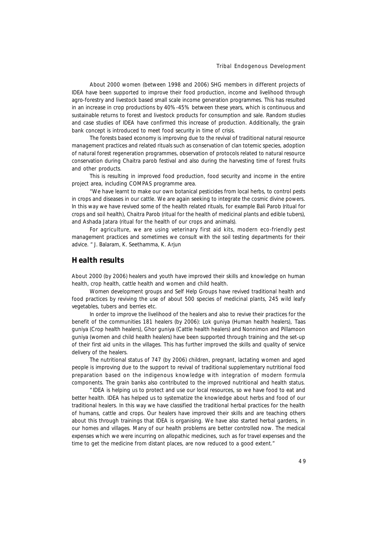About 2000 women (between 1998 and 2006) SHG members in different projects of IDEA have been supported to improve their food production, income and livelihood through agro-forestry and livestock based small scale income generation programmes. This has resulted in an increase in crop productions by 40%-45% between these years, which is continuous and sustainable returns to forest and livestock products for consumption and sale. Random studies and case studies of IDEA have confirmed this increase of production. Additionally, the grain bank concept is introduced to meet food security in time of crisis.

The forests based economy is improving due to the revival of traditional natural resource management practices and related rituals such as conservation of clan totemic species, adoption of natural forest regeneration programmes, observation of protocols related to natural resource conservation during *Chaitra parob* festival and also during the harvesting time of forest fruits and other products.

This is resulting in improved food production, food security and income in the entire project area, including COMPAS programme area.

*"We have learnt to make our own botanical pesticides from local herbs, to control pests in crops and diseases in our cattle. We are again seeking to integrate the cosmic divine powers. In this way we have revived some of the health related rituals, for example Bali Parob (*ritual for crops and soil health*), Chaitra Parob (*ritual for the health of medicinal plants and edible tubers*), and Ashada Jatara* (ritual for the health of our crops and animals*).*

*For agriculture, we are using veterinary first aid kits, modern eco-friendly pest management practices and sometimes we consult with the soil testing departments for their advice. "* J. Balaram, K. Seethamma, K. Arjun

### **Health results**

About 2000 *(by 2006)* healers and youth have improved their skills and knowledge on human health, crop health, cattle health and women and child health.

Women development groups and Self Help Groups have revived traditional health and food practices by reviving the use of about 500 species of medicinal plants, 245 wild leafy vegetables, tubers and berries etc.

In order to improve the livelihood of the healers and also to revive their practices for the benefit of the communities 181 healers (by 2006): *Lok guniya* (Human health healers), *Taas guniya* (Crop health healers), *Ghor guniya* (Cattle health healers) and *Nonnimon and Pillamoon guniya* (women and child health healers) have been supported through training and the set-up of their first aid units in the villages. This has further improved the skills and quality of service delivery of the healers.

The nutritional status of 747 (by 2006) children, pregnant, lactating women and aged people is improving due to the support to revival of traditional supplementary nutritional food preparation based on the indigenous knowledge with integration of modern formula components. The grain banks also contributed to the improved nutritional and health status.

"IDEA is helping us to protect and use our local resources, so we have food to eat and better health. IDEA has helped us to systematize the knowledge about herbs and food of our traditional healers. In this way we have classified the traditional herbal practices for the health of humans, cattle and crops. Our healers have improved their skills and are teaching others about this through trainings that IDEA is organising. We have also started herbal gardens, in our homes and villages. Many of our health problems are better controlled now. The medical expenses which we were incurring on allopathic medicines, such as for travel expenses and the time to get the medicine from distant places, are now reduced to a good extent."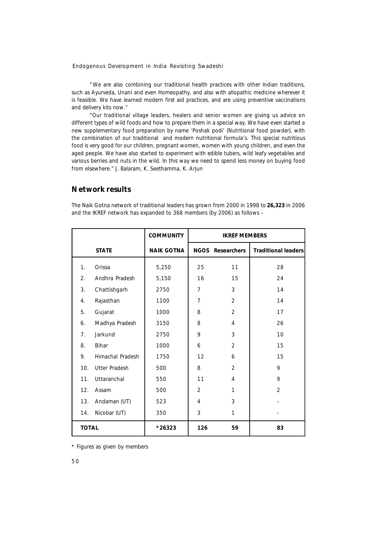"We are also combining our traditional health practices with other Indian traditions, such as Ayurveda, Unani and even Homeopathy, and also with allopathic medicine wherever it is feasible. We have learned modern first aid practices, and are using preventive vaccinations and delivery kits now."

*"Our traditional village leaders, healers and senior women are giving us advice on different types of wild foods and how to prepare them in a special way. We have even started a new supplementary food preparation by name 'Poshak podi' (*Nutritional food powder*), with the combination of our traditional and modern nutritional formula's. This special nutritious food is very good for our children, pregnant women, women with young children, and even the aged people. We have also started to experiment with edible tubers, wild leafy vegetables and various berries and nuts in the wild. In this way we need to spend less money on buying food from elsewhere."* J. Balaram, K. Seethamma, K. Arjun

### **Network results**

|                  |                      | <b>COMMUNITY</b>  | <b>IKREF MEMBERS</b> |                         |                            |
|------------------|----------------------|-------------------|----------------------|-------------------------|----------------------------|
|                  | <b>STATE</b>         | <b>NAIK GOTNA</b> |                      | <b>NGOS</b> Researchers | <b>Traditional leaders</b> |
| 1.               | Orissa               | 5,250             | 25                   | 11                      | 28                         |
| $\overline{2}$ . | Andhra Pradesh       | 5,150             | 16                   | 15                      | 24                         |
| 3.               | Chattishgarh         | 2750              | $\overline{7}$       | 3                       | 14                         |
| 4.               | Rajasthan            | 1100              | $\overline{7}$       | $\overline{2}$          | 14                         |
| 5.               | Gujarat              | 1000              | 8                    | $\overline{2}$          | 17                         |
| 6.               | Madhya Pradesh       | 3150              | 8                    | 4                       | 26                         |
| 7 <sub>1</sub>   | Jarkund              | 2750              | 9                    | 3                       | 10                         |
| 8.               | <b>Bihar</b>         | 1000              | 6                    | $\overline{2}$          | 15                         |
| 9.               | Himachal Pradesh     | 1750              | 12                   | 6                       | 15                         |
| 10.              | <b>Utter Pradesh</b> | 500               | 8                    | $\overline{2}$          | 9                          |
| 11.              | Uttaranchal          | 550               | 11                   | 4                       | 9                          |
| 12.              | Assam                | 500               | $\overline{2}$       | $\mathbf{1}$            | $\overline{2}$             |
| 13.              | Andaman (UT)         | 523               | 4                    | 3                       |                            |
| 14.              | Nicobar (UT)         | 350               | 3                    | $\mathbf{1}$            |                            |
| <b>TOTAL</b>     |                      | *26323            | 126                  | 59                      | 83                         |

The Naik Gotna network of traditional leaders has grown from 2000 in 1998 to **26,323** in 2006 and the IKREF network has expanded to 368 members (by 2006) as follows –

\* Figures as given by members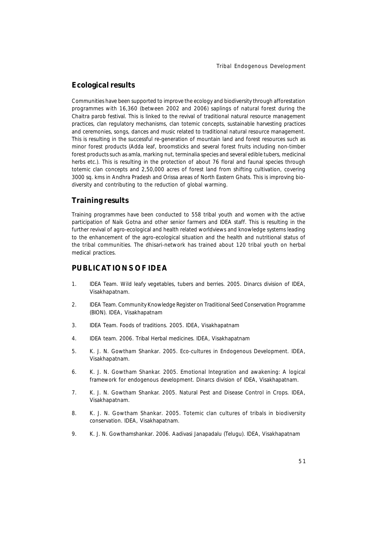### **Ecological results**

Communities have been supported to improve the ecology and biodiversity through afforestation programmes with 16,360 *(between 2002 and 2006)* saplings of natural forest during the *Chaitra parob* festival. This is linked to the revival of traditional natural resource management practices, clan regulatory mechanisms, clan totemic concepts, sustainable harvesting practices and ceremonies, songs, dances and music related to traditional natural resource management. This is resulting in the successful re-generation of mountain land and forest resources such as minor forest products (Adda leaf, broomsticks and several forest fruits including non-timber forest products such as amla, marking nut, terminalia species and several edible tubers, medicinal herbs etc.). This is resulting in the protection of about 76 floral and faunal species through totemic clan concepts and 2,50,000 acres of forest land from shifting cultivation, covering 3000 sq. kms in Andhra Pradesh and Orissa areas of North Eastern Ghats. This is improving biodiversity and contributing to the reduction of global warming.

### **Training results**

Training programmes have been conducted to 558 tribal youth and women with the active participation of Naik Gotna and other senior farmers and IDEA staff. This is resulting in the further revival of agro-ecological and health related worldviews and knowledge systems leading to the enhancement of the agro-ecological situation and the health and nutritional status of the tribal communities. The dhisari-network has trained about 120 tribal youth on herbal medical practices.

### **PUBLICATIONS OF IDEA**

- 1. IDEA Team. *Wild leafy vegetables, tubers and berries.* 2005. Dinarcs division of IDEA, Visakhapatnam.
- 2. IDEA Team. *Community Knowledge Register on Traditional Seed Conservation Programme (BION).* IDEA, Visakhapatnam
- 3. IDEA Team. *Foods of traditions.* 2005. IDEA, Visakhapatnam
- 4. IDEA team. 2006. *Tribal Herbal medicines.* IDEA, Visakhapatnam
- 5. K. J. N. Gowtham Shankar. 2005. *Eco-cultures in Endogenous Development.* IDEA, Visakhapatnam.
- 6. K. J. N. Gowtham Shankar. 2005. *Emotional Integration and awakening: A logical framework for endogenous development.* Dinarcs division of IDEA, Visakhapatnam.
- 7. K. J. N. Gowtham Shankar. 2005. *Natural Pest and Disease Control in Crops.* IDEA, Visakhapatnam.
- 8. K. J. N. Gowtham Shankar. 2005. *Totemic clan cultures of tribals in biodiversity conservation.* IDEA, Visakhapatnam.
- 9. K. J. N. Gowthamshankar. 2006. *Aadivasi Janapadalu (Telugu).* IDEA, Visakhapatnam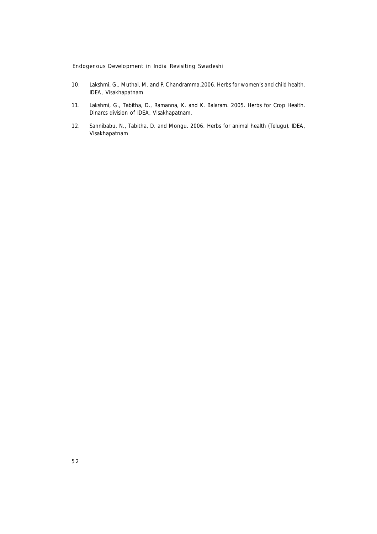- 10. Lakshmi, G., Muthai, M. and P. Chandramma.2006. *Herbs for women's and child health.* IDEA, Visakhapatnam
- 11. Lakshmi, G., Tabitha, D., Ramanna, K. and K. Balaram. 2005. *Herbs for Crop Health.* Dinarcs division of IDEA, Visakhapatnam.
- 12. Sannibabu, N., Tabitha, D. and Mongu. 2006. *Herbs for animal health (Telugu).* IDEA, Visakhapatnam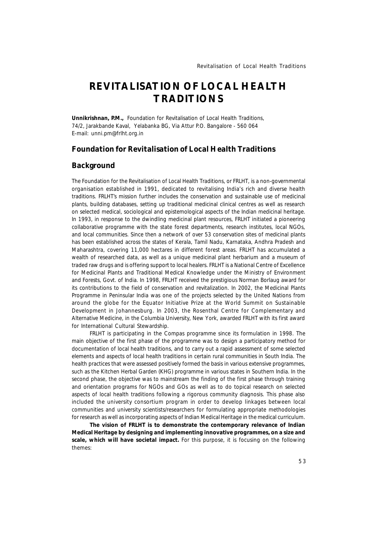# **REVITALISATION OF LOCAL HEALTH TRADITIONS**

**Unnikrishnan, P.M.,** *Foundation for Revitalisation of Local Health Traditions, 74/2, Jarakbande Kaval, Yelabanka BG, Via Attur P.O. Bangalore - 560 064 E-mail: unni.pm@frlht.org.in*

### **Foundation for Revitalisation of Local Health Traditions**

#### **Background**

The Foundation for the Revitalisation of Local Health Traditions, or FRLHT, is a non-governmental organisation established in 1991, dedicated to revitalising India's rich and diverse health traditions. FRLHT's mission further includes the conservation and sustainable use of medicinal plants, building databases, setting up traditional medicinal clinical centres as well as research on selected medical, sociological and epistemological aspects of the Indian medicinal heritage. In 1993, in response to the dwindling medicinal plant resources, FRLHT initiated a pioneering collaborative programme with the state forest departments, research institutes, local NGOs, and local communities. Since then a network of over 53 conservation sites of medicinal plants has been established across the states of Kerala, Tamil Nadu, Karnataka, Andhra Pradesh and Maharashtra, covering 11,000 hectares in different forest areas. FRLHT has accumulated a wealth of researched data, as well as a unique medicinal plant herbarium and a museum of traded raw drugs and is offering support to local healers. FRLHT is a National Centre of Excellence for Medicinal Plants and Traditional Medical Knowledge under the Ministry of Environment and Forests, Govt. of India. In 1998, FRLHT received the prestigious Norman Borlaug award for its contributions to the field of conservation and revitalization. In 2002, the Medicinal Plants Programme in Peninsular India was one of the projects selected by the United Nations from around the globe for the Equator Initiative Prize at the World Summit on Sustainable Development in Johannesburg. In 2003, the Rosenthal Centre for Complementary and Alternative Medicine, in the Columbia University, New York, awarded FRLHT with its first award for International Cultural Stewardship.

FRLHT is participating in the Compas programme since its formulation in 1998. The main objective of the first phase of the programme was to design a participatory method for documentation of local health traditions, and to carry out a rapid assessment of some selected elements and aspects of local health traditions in certain rural communities in South India. The health practices that were assessed positively formed the basis in various extensive programmes, such as the Kitchen Herbal Garden (KHG) programme in various states in Southern India. In the second phase, the objective was to mainstream the finding of the first phase through training and orientation programs for NGOs and GOs as well as to do topical research on selected aspects of local health traditions following a rigorous community diagnosis. This phase also included the university consortium program in order to develop linkages between local communities and university scientists/researchers for formulating appropriate methodologies for research as well as incorporating aspects of Indian Medical Heritage in the medical curriculum.

**The vision of FRLHT is to demonstrate the contemporary relevance of Indian Medical Heritage by designing and implementing innovative programmes, on a size and scale, which will have societal impact.** For this purpose, it is focusing on the following themes: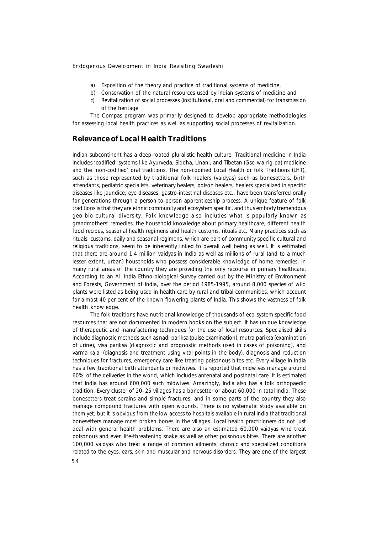- a) Exposition of the theory and practice of traditional systems of medicine,
- b) Conservation of the natural resources used by Indian systems of medicine and
- c) Revitalization of social processes (institutional, oral and commercial) for transmission of the heritage

The Compas program was primarily designed to develop appropriate methodologies for assessing local health practices as well as supporting social processes of revitalization.

### **Relevance of Local Health Traditions**

Indian subcontinent has a deep-rooted pluralistic health culture. Traditional medicine in India includes 'codified' systems like Ayurveda, Siddha, Unani, and Tibetan (Gso-wa-rig-pa) medicine and the 'non-codified' oral traditions. The non-codified Local Health or folk Traditions (LHT), such as those represented by traditional folk healers (*vaidyas*) such as bonesetters, birth attendants, pediatric specialists, veterinary healers, poison healers, healers specialized in specific diseases like jaundice, eye diseases, gastro-intestinal diseases etc., have been transferred orally for generations through a person-to-person apprenticeship process. A unique feature of folk traditions is that they are ethnic community and ecosystem specific, and thus embody tremendous geo-bio-cultural diversity. Folk knowledge also includes what is popularly known as grandmothers' remedies, the household knowledge about primary healthcare, different health food recipes, seasonal health regimens and health customs, rituals etc. Many practices such as rituals, customs, daily and seasonal regimens, which are part of community specific cultural and religious traditions, seem to be inherently linked to overall well being as well. It is estimated that there are around 1.4 million *vaidyas* in India as well as millions of rural (and to a much lesser extent, urban) households who possess considerable knowledge of home remedies. In many rural areas of the country they are providing the only recourse in primary healthcare. According to an All India Ethno-biological Survey carried out by the Ministry of Environment and Forests, Government of India, over the period 1985-1995, around 8,000 species of wild plants were listed as being used in health care by rural and tribal communities, which account for almost 40 per cent of the known flowering plants of India. This shows the vastness of folk health knowledge.

The folk traditions have nutritional knowledge of thousands of eco-system specific food resources that are not documented in modern books on the subject. It has unique knowledge of therapeutic and manufacturing techniques for the use of local resources. Specialised skills include diagnostic methods such as *nadi pariksa* (pulse examination), *mutra pariksa* (examination of urine), *visa pariksa* (diagnostic and prognostic methods used in cases of poisoning), and *varma kalai* (diagnosis and treatment using vital points in the body), diagnosis and reduction techniques for fractures, emergency care like treating poisonous bites etc. Every village in India has a few traditional birth attendants or midwives. It is reported that midwives manage around 60% of the deliveries in the world, which includes antenatal and postnatal care. It is estimated that India has around 600,000 such midwives. Amazingly, India also has a folk orthopaedic tradition. Every cluster of 20–25 villages has a bonesetter or about 60,000 in total India. These bonesetters treat sprains and simple fractures, and in some parts of the country they also manage compound fractures with open wounds. There is no systematic study available on them yet, but it is obvious from the low access to hospitals available in rural India that traditional bonesetters manage most broken bones in the villages. Local health practitioners do not just deal with general health problems. There are also an estimated 60,000 *vaidyas* who treat poisonous and even life-threatening snake as well as other poisonous bites. There are another 100,000 *vaidyas* who treat a range of common ailments, chronic and specialized conditions related to the eyes, ears, skin and muscular and nervous disorders. They are one of the largest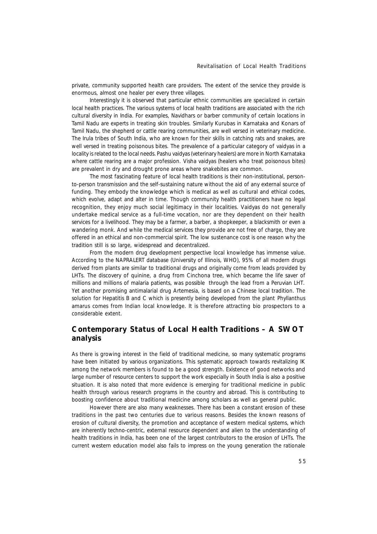private, community supported health care providers. The extent of the service they provide is enormous, almost one healer per every three villages.

Interestingly it is observed that particular ethnic communities are specialized in certain local health practices. The various systems of local health traditions are associated with the rich cultural diversity in India. For examples, Navidhars or barber community of certain locations in Tamil Nadu are experts in treating skin troubles. Similarly Kurubas in Karnataka and Konars of Tamil Nadu, the shepherd or cattle rearing communities, are well versed in veterinary medicine. The Irula tribes of South India, who are known for their skills in catching rats and snakes, are well versed in treating poisonous bites. The prevalence of a particular category of *vaidyas* in a locality is related to the local needs. *Pashu vaidyas* (veterinary healers) are more in North Karnataka where cattle rearing are a major profession. *Visha vaidyas* (healers who treat poisonous bites) are prevalent in dry and drought prone areas where snakebites are common.

The most fascinating feature of local health traditions is their non-institutional, personto-person transmission and the self-sustaining nature without the aid of any external source of funding. They embody the knowledge which is medical as well as cultural and ethical codes, which evolve, adapt and alter in time. Though community health practitioners have no legal recognition, they enjoy much social legitimacy in their localities. *Vaidyas* do not generally undertake medical service as a full-time vocation, nor are they dependent on their health services for a livelihood. They may be a farmer, a barber, a shopkeeper, a blacksmith or even a wandering monk. And while the medical services they provide are not free of charge, they are offered in an ethical and non-commercial spirit. The low sustenance cost is one reason why the tradition still is so large, widespread and decentralized.

From the modern drug development perspective local knowledge has immense value. According to the NAPRALERT database (University of Illinois, WHO), 95% of all modern drugs derived from plants are similar to traditional drugs and originally come from leads provided by LHTs. The discovery of quinine, a drug from Cinchona tree, which became the life saver of millions and millions of malaria patients, was possible through the lead from a Peruvian LHT. Yet another promising antimalarial drug Artemesia, is based on a Chinese local tradition. The solution for Hepatitis B and C which is presently being developed from the plant *Phyllanthus amarus* comes from Indian local knowledge. It is therefore attracting bio prospectors to a considerable extent.

### **Contemporary Status of Local Health Traditions – A SWOT analysis**

As there is growing interest in the field of traditional medicine, so many systematic programs have been initiated by various organizations. This systematic approach towards revitalizing IK among the network members is found to be a good strength. Existence of good networks and large number of resource centers to support the work especially in South India is also a positive situation. It is also noted that more evidence is emerging for traditional medicine in public health through various research programs in the country and abroad. This is contributing to boosting confidence about traditional medicine among scholars as well as general public.

However there are also many weaknesses. There has been a constant erosion of these traditions in the past two centuries due to various reasons. Besides the known reasons of erosion of cultural diversity, the promotion and acceptance of western medical systems, which are inherently techno-centric, external resource dependent and alien to the understanding of health traditions in India, has been one of the largest contributors to the erosion of LHTs. The current western education model also fails to impress on the young generation the rationale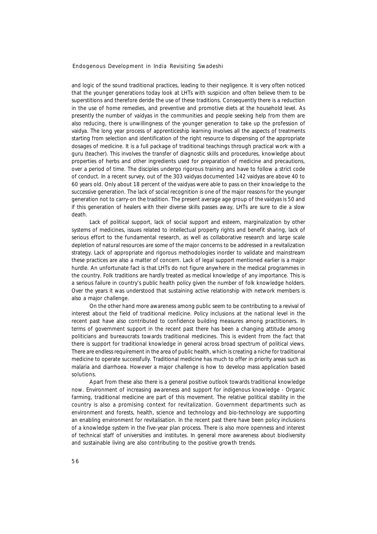and logic of the sound traditional practices, leading to their negligence. It is very often noticed that the younger generations today look at LHTs with suspicion and often believe them to be superstitions and therefore deride the use of these traditions. Consequently there is a reduction in the use of home remedies, and preventive and promotive diets at the household level. As presently the number of *vaidyas* in the communities and people seeking help from them are also reducing, there is unwillingness of the younger generation to take up the profession of *vaidya*. The long year process of apprenticeship learning involves all the aspects of treatments starting from selection and identification of the right resource to dispensing of the appropriate dosages of medicine. It is a full package of traditional teachings through practical work with a *guru* (teacher). This involves the transfer of diagnostic skills and procedures, knowledge about properties of herbs and other ingredients used for preparation of medicine and precautions, over a period of time. The disciples undergo rigorous training and have to follow a strict code of conduct. In a recent survey, out of the 303 *vaidyas* documented 142 *vaidyas* are above 40 to 60 years old. Only about 18 percent of the *vaidyas* were able to pass on their knowledge to the successive generation. The lack of social recognition is one of the major reasons for the younger generation not to carry-on the tradition. The present average age group of the *vaidyas* is 50 and if this generation of healers with their diverse skills passes away, LHTs are sure to die a slow death.

Lack of political support, lack of social support and esteem, marginalization by other systems of medicines, issues related to intellectual property rights and benefit sharing, lack of serious effort to the fundamental research, as well as collaborative research and large scale depletion of natural resources are some of the major concerns to be addressed in a revitalization strategy. Lack of appropriate and rigorous methodologies inorder to validate and mainstream these practices are also a matter of concern. Lack of legal support mentioned earlier is a major hurdle. An unfortunate fact is that LHTs do not figure anywhere in the medical programmes in the country. Folk traditions are hardly treated as medical knowledge of any importance. This is a serious failure in country's public health policy given the number of folk knowledge holders. Over the years it was understood that sustaining active relationship with network members is also a major challenge.

On the other hand more awareness among public seem to be contributing to a revival of interest about the field of traditional medicine. Policy inclusions at the national level in the recent past have also contributed to confidence building measures among practitioners. In terms of government support in the recent past there has been a changing attitude among politicians and bureaucrats towards traditional medicines. This is evident from the fact that there is support for traditional knowledge in general across broad spectrum of political views. There are endless requirement in the area of public health, which is creating a niche for traditional medicine to operate successfully. Traditional medicine has much to offer in priority areas such as malaria and diarrhoea. However a major challenge is how to develop mass application based solutions.

Apart from these also there is a general positive outlook towards traditional knowledge now. Environment of increasing awareness and support for indigenous knowledge - Organic farming, traditional medicine are part of this movement. The relative political stability in the country is also a promising context for revitalization. Government departments such as environment and forests, health, science and technology and bio-technology are supporting an enabling environment for revitalisation. In the recent past there have been policy inclusions of a knowledge system in the five-year plan process. There is also more openness and interest of technical staff of universities and institutes. In general more awareness about biodiversity and sustainable living are also contributing to the positive growth trends.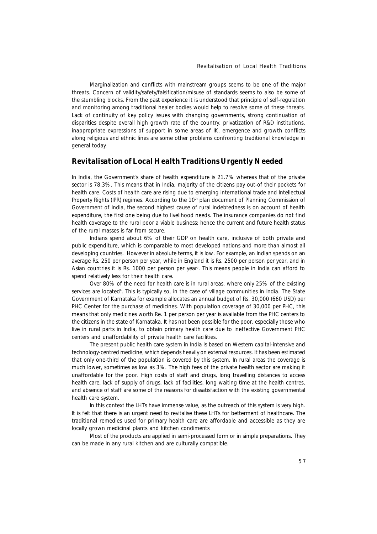Marginalization and conflicts with mainstream groups seems to be one of the major threats. Concern of validity/safety/falsification/misuse of standards seems to also be some of the stumbling blocks. From the past experience it is understood that principle of self-regulation and monitoring among traditional healer bodies would help to resolve some of these threats. Lack of continuity of key policy issues with changing governments, strong continuation of disparities despite overall high growth rate of the country, privatization of R&D institutions, inappropriate expressions of support in some areas of IK, emergence and growth conflicts along religious and ethnic lines are some other problems confronting traditional knowledge in general today.

#### **Revitalisation of Local Health Traditions Urgently Needed**

In India, the Government's share of health expenditure is 21.7% whereas that of the private sector is 78.3%. This means that in India, majority of the citizens pay out-of their pockets for health care. Costs of health care are rising due to emerging international trade and Intellectual Property Rights (IPR) regimes. According to the 10<sup>th</sup> plan document of Planning Commission of Government of India, the second highest cause of rural indebtedness is on account of health expenditure, the first one being due to livelihood needs. The insurance companies do not find health coverage to the rural poor a viable business; hence the current and future health status of the rural masses is far from secure.

Indians spend about 6% of their GDP on health care, inclusive of both private and public expenditure, which is comparable to most developed nations and more than almost all developing countries. However in absolute terms, it is low. For example, an Indian spends on an average Rs. 250 per person per year, while in England it is Rs. 2500 per person per year, and in Asian countries it is Rs. 1000 per person per year<sup>3</sup> . This means people in India can afford to spend relatively less for their health care.

Over 80% of the need for health care is in rural areas, where only 25% of the existing services are located<sup>4</sup>. This is typically so, in the case of village communities in India. The State Government of Karnataka for example allocates an annual budget of Rs. 30,000 (660 USD) per PHC Center for the purchase of medicines. With population coverage of 30,000 per PHC, this means that only medicines worth Re. 1 per person per year is available from the PHC centers to the citizens in the state of Karnataka. It has not been possible for the poor, especially those who live in rural parts in India, to obtain primary health care due to ineffective Government PHC centers and unaffordability of private health care facilities.

The present public health care system in India is based on Western capital-intensive and technology-centred medicine, which depends heavily on external resources. It has been estimated that only one-third of the population is covered by this system. In rural areas the coverage is much lower, sometimes as low as 3%. The high fees of the private health sector are making it unaffordable for the poor. High costs of staff and drugs, long travelling distances to access health care, lack of supply of drugs, lack of facilities, long waiting time at the health centres, and absence of staff are some of the reasons for dissatisfaction with the existing governmental health care system.

In this context the LHTs have immense value, as the outreach of this system is very high. It is felt that there is an urgent need to revitalise these LHTs for betterment of healthcare. The traditional remedies used for primary health care are affordable and accessible as they are locally grown medicinal plants and kitchen condiments

Most of the products are applied in semi-processed form or in simple preparations. They can be made in any rural kitchen and are culturally compatible.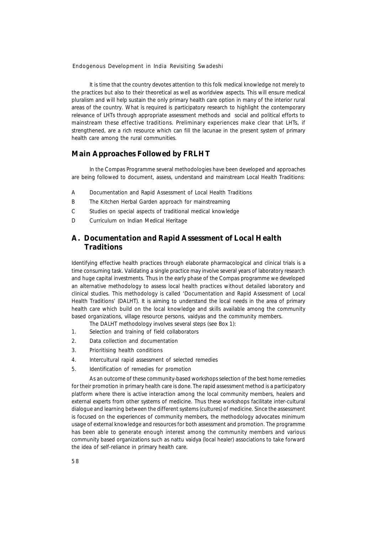It is time that the country devotes attention to this folk medical knowledge not merely to the practices but also to their theoretical as well as worldview aspects. This will ensure medical pluralism and will help sustain the only primary health care option in many of the interior rural areas of the country. What is required is participatory research to highlight the contemporary relevance of LHTs through appropriate assessment methods and social and political efforts to mainstream these effective traditions. Preliminary experiences make clear that LHTs, if strengthened, are a rich resource which can fill the lacunae in the present system of primary health care among the rural communities.

### **Main Approaches Followed by FRLHT**

In the Compas Programme several methodologies have been developed and approaches are being followed to document, assess, understand and mainstream Local Health Traditions:

- A Documentation and Rapid Assessment of Local Health Traditions
- B The Kitchen Herbal Garden approach for mainstreaming
- C Studies on special aspects of traditional medical knowledge
- D Curriculum on Indian Medical Heritage

### **A. Documentation and Rapid Assessment of Local Health Traditions**

Identifying effective health practices through elaborate pharmacological and clinical trials is a time consuming task. Validating a single practice may involve several years of laboratory research and huge capital investments. Thus in the early phase of the Compas programme we developed an alternative methodology to assess local health practices without detailed laboratory and clinical studies. This methodology is called 'Documentation and Rapid Assessment of Local Health Traditions' (DALHT). It is aiming to understand the local needs in the area of primary health care which build on the local knowledge and skills available among the community based organizations, village resource persons, *vaidyas* and the community members.

- The DALHT methodology involves several steps (see Box 1):
- 1. Selection and training of field collaborators
- 2. Data collection and documentation
- 3. Prioritising health conditions
- 4. Intercultural rapid assessment of selected remedies
- 5. Identification of remedies for promotion

As an outcome of these community-based workshops selection of the best home remedies for their promotion in primary health care is done. The rapid assessment method is a participatory platform where there is active interaction among the local community members, healers and external experts from other systems of medicine. Thus these workshops facilitate inter-cultural dialogue and learning between the different systems (cultures) of medicine. Since the assessment is focused on the experiences of community members, the methodology advocates minimum usage of external knowledge and resources for both assessment and promotion. The programme has been able to generate enough interest among the community members and various community based organizations such as *nattu vaidya* (local healer) associations to take forward the idea of self-reliance in primary health care.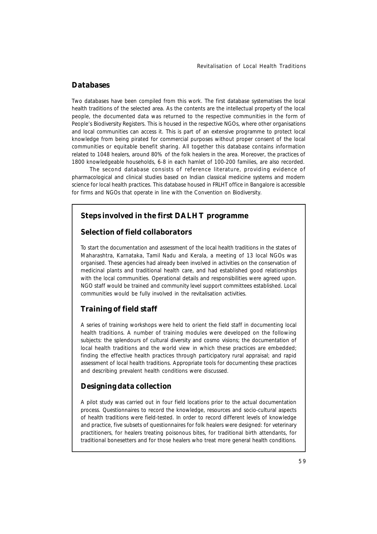### **Databases**

Two databases have been compiled from this work. The first database systematises the local health traditions of the selected area. As the contents are the intellectual property of the local people, the documented data was returned to the respective communities in the form of People's Biodiversity Registers. This is housed in the respective NGOs, where other organisations and local communities can access it. This is part of an extensive programme to protect local knowledge from being pirated for commercial purposes without proper consent of the local communities or equitable benefit sharing. All together this database contains information related to 1048 healers, around 80% of the folk healers in the area. Moreover, the practices of 1800 knowledgeable households, 6-8 in each hamlet of 100-200 families, are also recorded.

The second database consists of reference literature, providing evidence of pharmacological and clinical studies based on Indian classical medicine systems and modern science for local health practices. This database housed in FRLHT office in Bangalore is accessible for firms and NGOs that operate in line with the Convention on Biodiversity.

### **Steps involved in the first DALHT programme**

### **Selection of field collaborators**

To start the documentation and assessment of the local health traditions in the states of Maharashtra, Karnataka, Tamil Nadu and Kerala, a meeting of 13 local NGOs was organised. These agencies had already been involved in activities on the conservation of medicinal plants and traditional health care, and had established good relationships with the local communities. Operational details and responsibilities were agreed upon. NGO staff would be trained and community level support committees established. Local communities would be fully involved in the revitalisation activities.

### **Training of field staff**

A series of training workshops were held to orient the field staff in documenting local health traditions. A number of training modules were developed on the following subjects: the splendours of cultural diversity and cosmo visions; the documentation of local health traditions and the world view in which these practices are embedded; finding the effective health practices through participatory rural appraisal; and rapid assessment of local health traditions. Appropriate tools for documenting these practices and describing prevalent health conditions were discussed.

### **Designing data collection**

A pilot study was carried out in four field locations prior to the actual documentation process. Questionnaires to record the knowledge, resources and socio-cultural aspects of health traditions were field-tested. In order to record different levels of knowledge and practice, five subsets of questionnaires for folk healers were designed: for veterinary practitioners, for healers treating poisonous bites, for traditional birth attendants, for traditional bonesetters and for those healers who treat more general health conditions.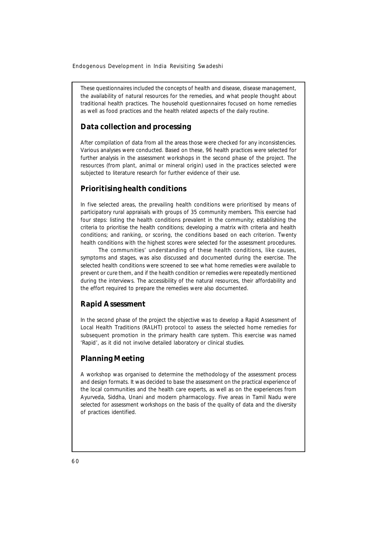These questionnaires included the concepts of health and disease, disease management, the availability of natural resources for the remedies, and what people thought about traditional health practices. The household questionnaires focused on home remedies as well as food practices and the health related aspects of the daily routine.

### **Data collection and processing**

After compilation of data from all the areas those were checked for any inconsistencies. Various analyses were conducted. Based on these, 96 health practices were selected for further analysis in the assessment workshops in the second phase of the project. The resources (from plant, animal or mineral origin) used in the practices selected were subjected to literature research for further evidence of their use.

### **Prioritising health conditions**

In five selected areas, the prevailing health conditions were prioritised by means of participatory rural appraisals with groups of 35 community members. This exercise had four steps: listing the health conditions prevalent in the community; establishing the criteria to prioritise the health conditions; developing a matrix with criteria and health conditions; and ranking, or scoring, the conditions based on each criterion. Twenty health conditions with the highest scores were selected for the assessment procedures.

The communities' understanding of these health conditions, like causes, symptoms and stages, was also discussed and documented during the exercise. The selected health conditions were screened to see what home remedies were available to prevent or cure them, and if the health condition or remedies were repeatedly mentioned during the interviews. The accessibility of the natural resources, their affordability and the effort required to prepare the remedies were also documented.

#### **Rapid Assessment**

In the second phase of the project the objective was to develop a Rapid Assessment of Local Health Traditions (RALHT) protocol to assess the selected home remedies for subsequent promotion in the primary health care system. This exercise was named 'Rapid', as it did not involve detailed laboratory or clinical studies.

### **Planning Meeting**

A workshop was organised to determine the methodology of the assessment process and design formats. It was decided to base the assessment on the practical experience of the local communities and the health care experts, as well as on the experiences from Ayurveda, Siddha, Unani and modern pharmacology. Five areas in Tamil Nadu were selected for assessment workshops on the basis of the quality of data and the diversity of practices identified.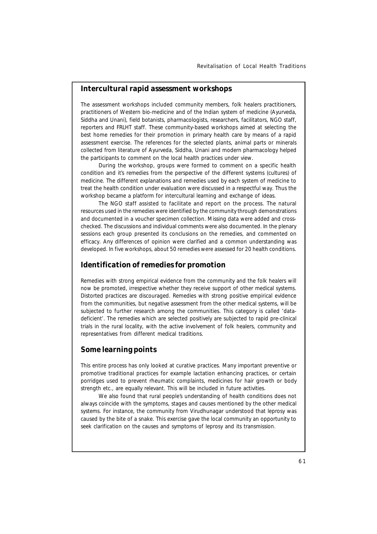#### **Intercultural rapid assessment workshops**

The assessment workshops included community members, folk healers practitioners, practitioners of Western bio-medicine and of the Indian system of medicine (Ayurveda, Siddha and Unani), field botanists, pharmacologists, researchers, facilitators, NGO staff, reporters and FRLHT staff. These community-based workshops aimed at selecting the best home remedies for their promotion in primary health care by means of a rapid assessment exercise. The references for the selected plants, animal parts or minerals collected from literature of Ayurveda, Siddha, Unani and modern pharmacology helped the participants to comment on the local health practices under view.

During the workshop, groups were formed to comment on a specific health condition and it's remedies from the perspective of the different systems (cultures) of medicine. The different explanations and remedies used by each system of medicine to treat the health condition under evaluation were discussed in a respectful way. Thus the workshop became a platform for intercultural learning and exchange of ideas.

The NGO staff assisted to facilitate and report on the process. The natural resources used in the remedies were identified by the community through demonstrations and documented in a voucher specimen collection. Missing data were added and crosschecked. The discussions and individual comments were also documented. In the plenary sessions each group presented its conclusions on the remedies, and commented on efficacy. Any differences of opinion were clarified and a common understanding was developed. In five workshops, about 50 remedies were assessed for 20 health conditions.

#### **Identification of remedies for promotion**

Remedies with strong empirical evidence from the community and the folk healers will now be promoted, irrespective whether they receive support of other medical systems. Distorted practices are discouraged. Remedies with strong positive empirical evidence from the communities, but negative assessment from the other medical systems, will be subjected to further research among the communities. This category is called 'datadeficient'. The remedies which are selected positively are subjected to rapid pre-clinical trials in the rural locality, with the active involvement of folk healers, community and representatives from different medical traditions.

#### **Some learning points**

This entire process has only looked at curative practices. Many important preventive or promotive traditional practices for example lactation enhancing practices, or certain porridges used to prevent rheumatic complaints, medicines for hair growth or body strength etc., are equally relevant. This will be included in future activities.

We also found that rural people's understanding of health conditions does not always coincide with the symptoms, stages and causes mentioned by the other medical systems. For instance, the community from Virudhunagar understood that leprosy was caused by the bite of a snake. This exercise gave the local community an opportunity to seek clarification on the causes and symptoms of leprosy and its transmission.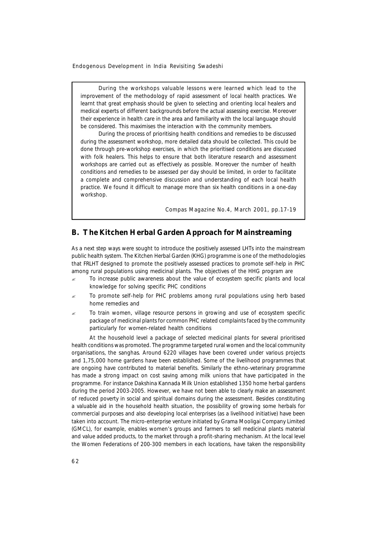During the workshops valuable lessons were learned which lead to the improvement of the methodology of rapid assessment of local health practices. We learnt that great emphasis should be given to selecting and orienting local healers and medical experts of different backgrounds before the actual assessing exercise. Moreover their experience in health care in the area and familiarity with the local language should be considered. This maximises the interaction with the community members.

During the process of prioritising health conditions and remedies to be discussed during the assessment workshop, more detailed data should be collected. This could be done through pre-workshop exercises, in which the prioritised conditions are discussed with folk healers. This helps to ensure that both literature research and assessment workshops are carried out as effectively as possible. Moreover the number of health conditions and remedies to be assessed per day should be limited, in order to facilitate a complete and comprehensive discussion and understanding of each local health practice. We found it difficult to manage more than six health conditions in a one-day workshop.

*Compas Magazine No.4, March 2001, pp.17-19*

### **B. The Kitchen Herbal Garden Approach for Mainstreaming**

As a next step ways were sought to introduce the positively assessed LHTs into the mainstream public health system. The Kitchen Herbal Garden (KHG) programme is one of the methodologies that FRLHT designed to promote the positively assessed practices to promote self-help in PHC among rural populations using medicinal plants. The objectives of the HHG program are

- ? To increase public awareness about the value of ecosystem specific plants and local knowledge for solving specific PHC conditions
- To promote self-help for PHC problems among rural populations using herb based home remedies and
- ? To train women, village resource persons in growing and use of ecosystem specific package of medicinal plants for common PHC related complaints faced by the community particularly for women-related health conditions

At the household level a package of selected medicinal plants for several prioritised health conditions was promoted. The programme targeted rural women and the local community organisations, the *sanghas*. Around 6220 villages have been covered under various projects and 1,75,000 home gardens have been established. Some of the livelihood programmes that are ongoing have contributed to material benefits. Similarly the ethno-veterinary programme has made a strong impact on cost saving among milk unions that have participated in the programme. For instance Dakshina Kannada Milk Union established 1350 home herbal gardens during the period 2003-2005. However, we have not been able to clearly make an assessment of reduced poverty in social and spiritual domains during the assessment. Besides constituting a valuable aid in the household health situation, the possibility of growing some herbals for commercial purposes and also developing local enterprises (as a livelihood initiative) have been taken into account. The micro-enterprise venture initiated by Grama Mooligai Company Limited (GMCL), for example, enables women's groups and farmers to sell medicinal plants material and value added products, to the market through a profit-sharing mechanism. At the local level the Women Federations of 200-300 members in each locations, have taken the responsibility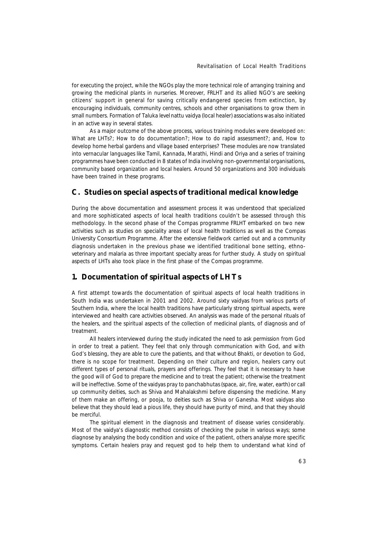for executing the project, while the NGOs play the more technical role of arranging training and growing the medicinal plants in nurseries. Moreover, FRLHT and its allied NGO's are seeking citizens' support in general for saving critically endangered species from extinction, by encouraging individuals, community centres, schools and other organisations to grow them in small numbers. Formation of Taluka level *nattu vaidya* (local healer) associations was also initiated in an active way in several states.

As a major outcome of the above process, various training modules were developed on: What are LHTs?; How to do documentation?; How to do rapid assessment?; and, How to develop home herbal gardens and village based enterprises? These modules are now translated into vernacular languages like Tamil, Kannada, Marathi, Hindi and Oriya and a series of training programmes have been conducted in 8 states of India involving non-governmental organisations, community based organization and local healers. Around 50 organizations and 300 individuals have been trained in these programs.

### **C. Studies on special aspects of traditional medical knowledge**

During the above documentation and assessment process it was understood that specialized and more sophisticated aspects of local health traditions couldn't be assessed through this methodology. In the second phase of the Compas programme FRLHT embarked on two new activities such as studies on speciality areas of local health traditions as well as the Compas University Consortium Programme. After the extensive fieldwork carried out and a community diagnosis undertaken in the previous phase we identified traditional bone setting, ethnoveterinary and malaria as three important specialty areas for further study. A study on spiritual aspects of LHTs also took place in the first phase of the Compas programme.

#### **1. Documentation of spiritual aspects of LHTs**

A first attempt towards the documentation of spiritual aspects of local health traditions in South India was undertaken in 2001 and 2002. Around sixty *vaidyas* from various parts of Southern India, where the local health traditions have particularly strong spiritual aspects, were interviewed and health care activities observed. An analysis was made of the personal rituals of the healers, and the spiritual aspects of the collection of medicinal plants, of diagnosis and of treatment.

All healers interviewed during the study indicated the need to ask permission from God in order to treat a patient. They feel that only through communication with God, and with God's blessing, they are able to cure the patients, and that without *Bhakti*, or devotion to God, there is no scope for treatment. Depending on their culture and region, healers carry out different types of personal rituals, prayers and offerings. They feel that it is necessary to have the good will of God to prepare the medicine and to treat the patient; otherwise the treatment will be ineffective. Some of the *vaidyas* pray to *panchabhutas* (space, air, fire, water, earth) or call up community deities, such as *Shiva* and *Mahalakshmi* before dispensing the medicine. Many of them make an offering, or *pooja*, to deities such as *Shiva* or *Ganesha*. Most *vaidyas* also believe that they should lead a pious life, they should have purity of mind, and that they should be merciful.

The spiritual element in the diagnosis and treatment of disease varies considerably. Most of the *vaidya's* diagnostic method consists of checking the pulse in various ways; some diagnose by analysing the body condition and voice of the patient, others analyse more specific symptoms. Certain healers pray and request god to help them to understand what kind of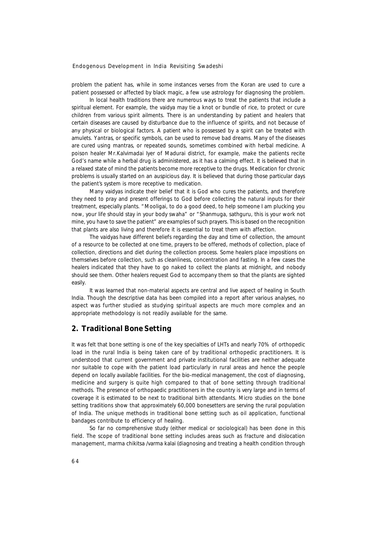problem the patient has, while in some instances verses from the Koran are used to cure a patient possessed or affected by black magic, a few use astrology for diagnosing the problem.

In local health traditions there are numerous ways to treat the patients that include a spiritual element. For example, the *vaidya* may tie a knot or bundle of rice, to protect or cure children from various spirit ailments. There is an understanding by patient and healers that certain diseases are caused by disturbance due to the influence of spirits, and not because of any physical or biological factors. A patient who is possessed by a spirit can be treated with amulets. Y*antras*, or specific symbols, can be used to remove bad dreams. Many of the diseases are cured using *mantras*, or repeated sounds, sometimes combined with herbal medicine. A poison healer Mr.Kalvimadai Iyer of Madurai district, for example, make the patients recite God's name while a herbal drug is administered, as it has a calming effect. It is believed that in a relaxed state of mind the patients become more receptive to the drugs. Medication for chronic problems is usually started on an auspicious day. It is believed that during those particular days the patient's system is more receptive to medication.

Many *vaidyas* indicate their belief that it is God who cures the patients, and therefore they need to pray and present offerings to God before collecting the natural inputs for their treatment, especially plants. "*Mooligai, to do a good deed, to help someone I am plucking you now, your life should stay in your body swaha*" or "*Shanmuga, sathguru, this is your work not mine, you have to save the patient*" are examples of such prayers. This is based on the recognition that plants are also living and therefore it is essential to treat them with affection.

The *vaidyas* have different beliefs regarding the day and time of collection, the amount of a resource to be collected at one time, prayers to be offered, methods of collection, place of collection, directions and diet during the collection process. Some healers place impositions on themselves before collection, such as cleanliness, concentration and fasting. In a few cases the healers indicated that they have to go naked to collect the plants at midnight, and nobody should see them. Other healers request God to accompany them so that the plants are sighted easily.

It was learned that non-material aspects are central and live aspect of healing in South India. Though the descriptive data has been compiled into a report after various analyses, no aspect was further studied as studying spiritual aspects are much more complex and an appropriate methodology is not readily available for the same.

#### **2. Traditional Bone Setting**

It was felt that bone setting is one of the key specialties of LHTs and nearly 70% of orthopedic load in the rural India is being taken care of by traditional orthopedic practitioners. It is understood that current government and private institutional facilities are neither adequate nor suitable to cope with the patient load particularly in rural areas and hence the people depend on locally available facilities. For the bio-medical management, the cost of diagnosing, medicine and surgery is quite high compared to that of bone setting through traditional methods. The presence of orthopaedic practitioners in the country is very large and in terms of coverage it is estimated to be next to traditional birth attendants. Micro studies on the bone setting traditions show that approximately 60,000 bonesetters are serving the rural population of India. The unique methods in traditional bone setting such as oil application, functional bandages contribute to efficiency of healing.

So far no comprehensive study (either medical or sociological) has been done in this field. The scope of traditional bone setting includes areas such as fracture and dislocation management, *marma chikitsa /varma kalai* (diagnosing and treating a health condition through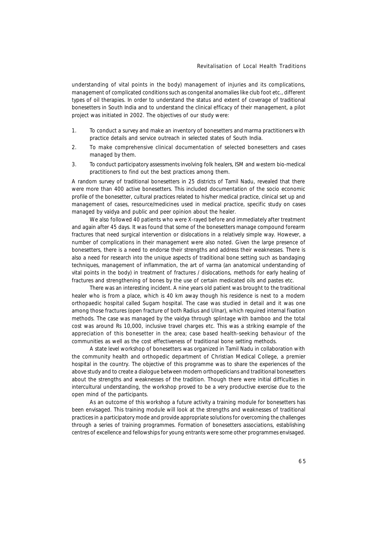understanding of vital points in the body) management of injuries and its complications, management of complicated conditions such as congenital anomalies like club foot etc., different types of oil therapies. In order to understand the status and extent of coverage of traditional bonesetters in South India and to understand the clinical efficacy of their management, a pilot project was initiated in 2002. The objectives of our study were:

- 1. To conduct a survey and make an inventory of bonesetters and *marma* practitioners with practice details and service outreach in selected states of South India.
- 2. To make comprehensive clinical documentation of selected bonesetters and cases managed by them.
- 3. To conduct participatory assessments involving folk healers, ISM and western bio-medical practitioners to find out the best practices among them.

A random survey of traditional bonesetters in 25 districts of Tamil Nadu, revealed that there were more than 400 active bonesetters. This included documentation of the socio economic profile of the bonesetter, cultural practices related to his/her medical practice, clinical set up and management of cases, resource/medicines used in medical practice, specific study on cases managed by vaidya and public and peer opinion about the healer.

We also followed 40 patients who were X-rayed before and immediately after treatment and again after 45 days. It was found that some of the bonesetters manage compound forearm fractures that need surgical intervention or dislocations in a relatively simple way. However, a number of complications in their management were also noted. Given the large presence of bonesetters, there is a need to endorse their strengths and address their weaknesses. There is also a need for research into the unique aspects of traditional bone setting such as bandaging techniques, management of inflammation, the art of *varma* (an anatomical understanding of vital points in the body) in treatment of fractures / dislocations, methods for early healing of fractures and strengthening of bones by the use of certain medicated oils and pastes etc.

There was an interesting incident. A nine years old patient was brought to the traditional healer who is from a place, which is 40 km away though his residence is next to a modern orthopaedic hospital called Sugam hospital. The case was studied in detail and it was one among those fractures (open fracture of both Radius and Ulnar), which required internal fixation methods. The case was managed by the *vaidya* through splintage with bamboo and the total cost was around Rs 10,000, inclusive travel charges etc. This was a striking example of the appreciation of this bonesetter in the area; case based health-seeking behaviour of the communities as well as the cost effectiveness of traditional bone setting methods.

A state level workshop of bonesetters was organized in Tamil Nadu in collaboration with the community health and orthopedic department of Christian Medical College, a premier hospital in the country. The objective of this programme was to share the experiences of the above study and to create a dialogue between modern orthopedicians and traditional bonesetters about the strengths and weaknesses of the tradition. Though there were initial difficulties in intercultural understanding, the workshop proved to be a very productive exercise due to the open mind of the participants.

As an outcome of this workshop a future activity a training module for bonesetters has been envisaged. This training module will look at the strengths and weaknesses of traditional practices in a participatory mode and provide appropriate solutions for overcoming the challenges through a series of training programmes. Formation of bonesetters associations, establishing centres of excellence and fellowships for young entrants were some other programmes envisaged.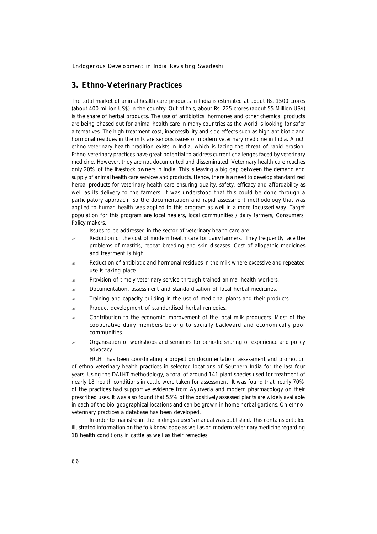#### **3. Ethno-Veterinary Practices**

The total market of animal health care products in India is estimated at about Rs. 1500 crores (about 400 million US\$) in the country. Out of this, about Rs. 225 crores (about 55 Million US\$) is the share of herbal products. The use of antibiotics, hormones and other chemical products are being phased out for animal health care in many countries as the world is looking for safer alternatives. The high treatment cost, inaccessibility and side effects such as high antibiotic and hormonal residues in the milk are serious issues of modern veterinary medicine in India. A rich ethno-veterinary health tradition exists in India, which is facing the threat of rapid erosion. Ethno-veterinary practices have great potential to address current challenges faced by veterinary medicine. However, they are not documented and disseminated. Veterinary health care reaches only 20% of the livestock owners in India. This is leaving a big gap between the demand and supply of animal health care services and products. Hence, there is a need to develop standardized herbal products for veterinary health care ensuring quality, safety, efficacy and affordability as well as its delivery to the farmers. It was understood that this could be done through a participatory approach. So the documentation and rapid assessment methodology that was applied to human health was applied to this program as well in a more focussed way. Target population for this program are local healers, local communities / dairy farmers, Consumers, Policy makers.

Issues to be addressed in the sector of veterinary health care are:

- Reduction of the cost of modern health care for dairy farmers. They frequently face the problems of mastitis, repeat breeding and skin diseases. Cost of allopathic medicines and treatment is high.
- Reduction of antibiotic and hormonal residues in the milk where excessive and repeated use is taking place.
- Provision of timely veterinary service through trained animal health workers.
- $\approx$  Documentation, assessment and standardisation of local herbal medicines.
- ? Training and capacity building in the use of medicinal plants and their products.
- $\mathbb{R}$  Product development of standardised herbal remedies.
- $\epsilon$  Contribution to the economic improvement of the local milk producers. Most of the cooperative dairy members belong to socially backward and economically poor communities.
- $\epsilon$  Organisation of workshops and seminars for periodic sharing of experience and policy advocacy

FRLHT has been coordinating a project on documentation, assessment and promotion of ethno-veterinary health practices in selected locations of Southern India for the last four years. Using the DALHT methodology, a total of around 141 plant species used for treatment of nearly 18 health conditions in cattle were taken for assessment. It was found that nearly 70% of the practices had supportive evidence from Ayurveda and modern pharmacology on their prescribed uses. It was also found that 55% of the positively assessed plants are widely available in each of the bio-geographical locations and can be grown in home herbal gardens. On ethnoveterinary practices a database has been developed.

In order to mainstream the findings a user's manual was published. This contains detailed illustrated information on the folk knowledge as well as on modern veterinary medicine regarding 18 health conditions in cattle as well as their remedies.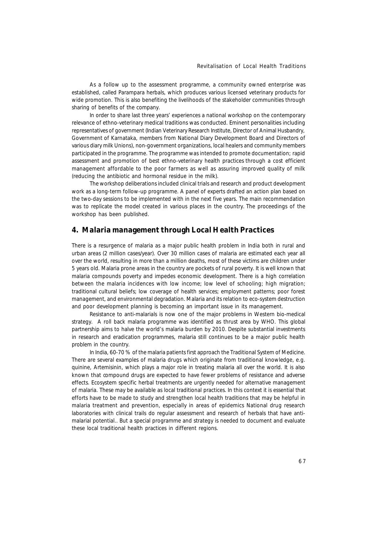As a follow up to the assessment programme, a community owned enterprise was established, called Parampara herbals, which produces various licensed veterinary products for wide promotion. This is also benefiting the livelihoods of the stakeholder communities through sharing of benefits of the company.

In order to share last three years' experiences a national workshop on the contemporary relevance of ethno-veterinary medical traditions was conducted. Eminent personalities including representatives of government (Indian Veterinary Research Institute, Director of Animal Husbandry, Government of Karnataka, members from National Diary Development Board and Directors of various diary milk Unions), non-government organizations, local healers and community members participated in the programme. The programme was intended to promote documentation; rapid assessment and promotion of best ethno-veterinary health practices through a cost efficient management affordable to the poor farmers as well as assuring improved quality of milk (reducing the antibiotic and hormonal residue in the milk).

The workshop deliberations included clinical trials and research and product development work as a long-term follow-up programme. A panel of experts drafted an action plan based on the two-day sessions to be implemented with in the next five years. The main recommendation was to replicate the model created in various places in the country. The proceedings of the workshop has been published.

#### **4. Malaria management through Local Health Practices**

There is a resurgence of malaria as a major public health problem in India both in rural and urban areas (2 million cases/year). Over 30 million cases of malaria are estimated each year all over the world, resulting in more than a million deaths, most of these victims are children under 5 years old. Malaria prone areas in the country are pockets of rural poverty. It is well known that malaria compounds poverty and impedes economic development. There is a high correlation between the malaria incidences with low income; low level of schooling; high migration; traditional cultural beliefs; low coverage of health services; employment patterns; poor forest management, and environmental degradation. Malaria and its relation to eco-system destruction and poor development planning is becoming an important issue in its management.

Resistance to anti-malarials is now one of the major problems in Western bio-medical strategy. A roll back malaria programme was identified as thrust area by WHO. This global partnership aims to halve the world's malaria burden by 2010. Despite substantial investments in research and eradication programmes, malaria still continues to be a major public health problem in the country.

In India, 60-70 % of the malaria patients first approach the Traditional System of Medicine. There are several examples of malaria drugs which originate from traditional knowledge, e.g. quinine, Artemisinin, which plays a major role in treating malaria all over the world. It is also known that compound drugs are expected to have fewer problems of resistance and adverse effects. Ecosystem specific herbal treatments are urgently needed for alternative management of malaria. These may be available as local traditional practices. In this context it is essential that efforts have to be made to study and strengthen local health traditions that may be helpful in malaria treatment and prevention, especially in areas of epidemics National drug research laboratories with clinical trails do regular assessment and research of herbals that have antimalarial potential.. But a special programme and strategy is needed to document and evaluate these local traditional health practices in different regions.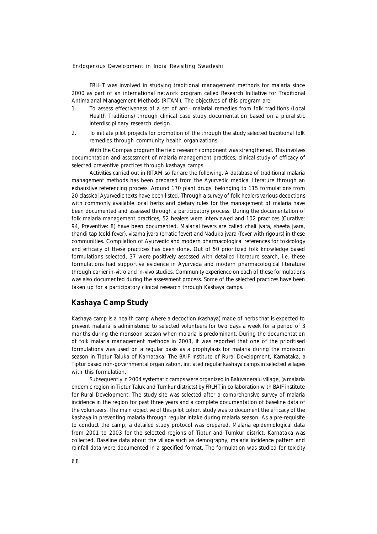FRLHT was involved in studying traditional management methods for malaria since 2000 as part of an international network program called Research Initiative for Traditional Antimalarial Management Methods (RITAM). The objectives of this program are:

- 1. To assess effectiveness of a set of anti- malarial remedies from folk traditions (Local Health Traditions) through clinical case study documentation based on a pluralistic interdisciplinary research design.
- 2. To initiate pilot projects for promotion of the through the study selected traditional folk remedies through community health organizations.

With the Compas program the field research component was strengthened. This involves documentation and assessment of malaria management practices, clinical study of efficacy of selected preventive practices through kashaya camps.

Activities carried out in RITAM so far are the following. A database of traditional malaria management methods has been prepared from the Ayurvedic medical literature through an exhaustive referencing process. Around 170 plant drugs, belonging to 115 formulations from 20 classical Ayurvedic texts have been listed. Through a survey of folk healers various decoctions with commonly available local herbs and dietary rules for the management of malaria have been documented and assessed through a participatory process. During the documentation of folk malaria management practices, 52 healers were interviewed and 102 practices (Curative: 94, Preventive: 8) have been documented. Malarial fevers are called *chali jvara, sheeta jvara, thandi tap* (cold fever), *visama jvara* (erratic fever) and *Naduka jvara* (fever with rigours) in these communities. Compilation of Ayurvedic and modern pharmacological references for toxicology and efficacy of these practices has been done. Out of 50 prioritized folk knowledge based formulations selected, 37 were positively assessed with detailed literature search, i.e. these formulations had supportive evidence in Ayurveda and modern pharmacological literature through earlier in-vitro and in-vivo studies. Community experience on each of these formulations was also documented during the assessment process. Some of the selected practices have been taken up for a participatory clinical research through *Kashaya* camps.

### *Kashaya* **Camp Study**

*Kashaya* camp is a health camp where a decoction (*kashaya*) made of herbs that is expected to prevent malaria is administered to selected volunteers for two days a week for a period of 3 months during the monsoon season when malaria is predominant. During the documentation of folk malaria management methods in 2003, it was reported that one of the prioritised formulations was used on a regular basis as a prophylaxis for malaria during the monsoon season in Tiptur Taluka of Karnataka. The BAIF Institute of Rural Development, Karnataka, a Tiptur based non-governmental organization, initiated regular *kashaya* camps in selected villages with this formulation.

Subsequently in 2004 systematic camps were organized in Baluvaneralu village, (a malaria endemic region in Tiptur Taluk and Tumkur districts) by FRLHT in collaboration with BAIF institute for Rural Development. The study site was selected after a comprehensive survey of malaria incidence in the region for past three years and a complete documentation of baseline data of the volunteers. The main objective of this pilot cohort study was to document the efficacy of the *kashaya* in preventing malaria through regular intake during malaria season. As a pre-requisite to conduct the camp, a detailed study protocol was prepared. Malaria epidemiological data from 2001 to 2003 for the selected regions of Tiptur and Tumkur district, Karnataka was collected. Baseline data about the village such as demography, malaria incidence pattern and rainfall data were documented in a specified format. The formulation was studied for toxicity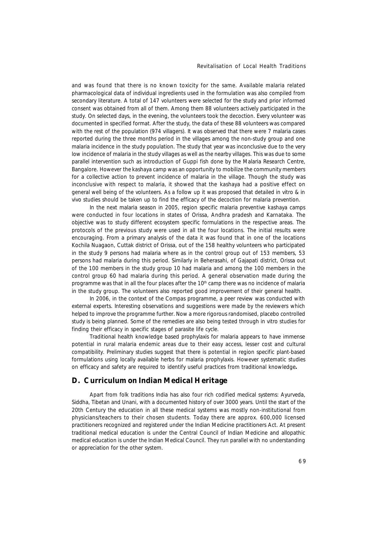and was found that there is no known toxicity for the same. Available malaria related pharmacological data of individual ingredients used in the formulation was also compiled from secondary literature. A total of 147 volunteers were selected for the study and prior informed consent was obtained from all of them. Among them 88 volunteers actively participated in the study. On selected days, in the evening, the volunteers took the decoction. Every volunteer was documented in specified format. After the study, the data of these 88 volunteers was compared with the rest of the population (974 villagers). It was observed that there were 7 malaria cases reported during the three months period in the villages among the non-study group and one malaria incidence in the study population. The study that year was inconclusive due to the very low incidence of malaria in the study villages as well as the nearby villages. This was due to some parallel intervention such as introduction of Guppi fish done by the Malaria Research Centre, Bangalore. However the *kashaya* camp was an opportunity to mobilize the community members for a collective action to prevent incidence of malaria in the village. Though the study was inconclusive with respect to malaria, it showed that the *kashaya* had a positive effect on general well being of the volunteers. As a follow up it was proposed that detailed in vitro & in vivo studies should be taken up to find the efficacy of the decoction for malaria prevention.

In the next malaria season in 2005, region specific malaria preventive *kashaya* camps were conducted in four locations in states of Orissa, Andhra pradesh and Karnataka. The objective was to study different ecosystem specific formulations in the respective areas. The protocols of the previous study were used in all the four locations. The initial results were encouraging. From a primary analysis of the data it was found that in one of the locations Kochila Nuagaon, Cuttak district of Orissa, out of the 158 healthy volunteers who participated in the study 9 persons had malaria where as in the control group out of 153 members, 53 persons had malaria during this period. Similarly in Beherasahi, of Gajapati district, Orissa out of the 100 members in the study group 10 had malaria and among the 100 members in the control group 60 had malaria during this period. A general observation made during the programme was that in all the four places after the  $10<sup>th</sup>$  camp there was no incidence of malaria in the study group. The volunteers also reported good improvement of their general health.

In 2006, in the context of the Compas programme, a peer review was conducted with external experts. Interesting observations and suggestions were made by the reviewers which helped to improve the programme further. Now a more rigorous randomised, placebo controlled study is being planned. Some of the remedies are also being tested through in vitro studies for finding their efficacy in specific stages of parasite life cycle.

Traditional health knowledge based prophylaxis for malaria appears to have immense potential in rural malaria endemic areas due to their easy access, lesser cost and cultural compatibility. Preliminary studies suggest that there is potential in region specific plant-based formulations using locally available herbs for malaria prophylaxis. However systematic studies on efficacy and safety are required to identify useful practices from traditional knowledge**.**

#### **D. Curriculum on Indian Medical Heritage**

Apart from folk traditions India has also four rich codified medical systems: Ayurveda, Siddha, Tibetan and Unani, with a documented history of over 3000 years. Until the start of the 20th Century the education in all these medical systems was mostly non-institutional from physicians/teachers to their chosen students. Today there are approx. 600,000 licensed practitioners recognized and registered under the Indian Medicine practitioners Act. At present traditional medical education is under the Central Council of Indian Medicine and allopathic medical education is under the Indian Medical Council. They run parallel with no understanding or appreciation for the other system.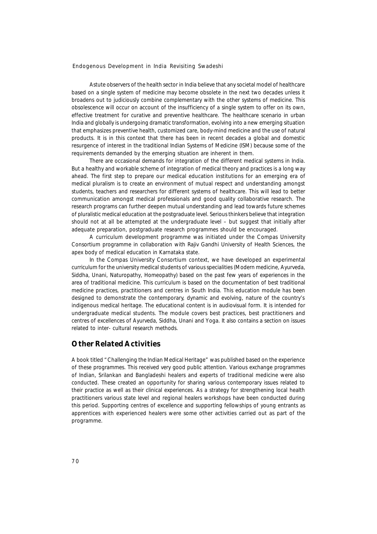Astute observers of the health sector in India believe that any societal model of healthcare based on a single system of medicine may become obsolete in the next two decades unless it broadens out to judiciously combine complementary with the other systems of medicine. This obsolescence will occur on account of the insufficiency of a single system to offer on its own, effective treatment for curative and preventive healthcare. The healthcare scenario in urban India and globally is undergoing dramatic transformation, evolving into a new emerging situation that emphasizes preventive health, customized care, body-mind medicine and the use of natural products. It is in this context that there has been in recent decades a global and domestic resurgence of interest in the traditional Indian Systems of Medicine (ISM) because some of the requirements demanded by the emerging situation are inherent in them.

There are occasional demands for integration of the different medical systems in India. But a healthy and workable scheme of integration of medical theory and practices is a long way ahead. The first step to prepare our medical education institutions for an emerging era of medical pluralism is to create an environment of mutual respect and understanding amongst students, teachers and researchers for different systems of healthcare. This will lead to better communication amongst medical professionals and good quality collaborative research. The research programs can further deepen mutual understanding and lead towards future schemes of pluralistic medical education at the postgraduate level. Serious thinkers believe that integration should not at all be attempted at the undergraduate level – but suggest that initially after adequate preparation, postgraduate research programmes should be encouraged.

A curriculum development programme was initiated under the Compas University Consortium programme in collaboration with Rajiv Gandhi University of Health Sciences, the apex body of medical education in Karnataka state.

In the Compas University Consortium context, we have developed an experimental curriculum for the university medical students of various specialities (Modern medicine, Ayurveda, Siddha, Unani, Naturopathy, Homeopathy) based on the past few years of experiences in the area of traditional medicine. This curriculum is based on the documentation of best traditional medicine practices, practitioners and centres in South India. This education module has been designed to demonstrate the contemporary, dynamic and evolving, nature of the country's indigenous medical heritage. The educational content is in audiovisual form. It is intended for undergraduate medical students. The module covers best practices, best practitioners and centres of excellences of Ayurveda, Siddha, Unani and Yoga. It also contains a section on issues related to inter- cultural research methods.

### **Other Related Activities**

A book titled "Challenging the Indian Medical Heritage" was published based on the experience of these programmes. This received very good public attention. Various exchange programmes of Indian, Srilankan and Bangladeshi healers and experts of traditional medicine were also conducted. These created an opportunity for sharing various contemporary issues related to their practice as well as their clinical experiences. As a strategy for strengthening local health practitioners various state level and regional healers workshops have been conducted during this period. Supporting centres of excellence and supporting fellowships of young entrants as apprentices with experienced healers were some other activities carried out as part of the programme.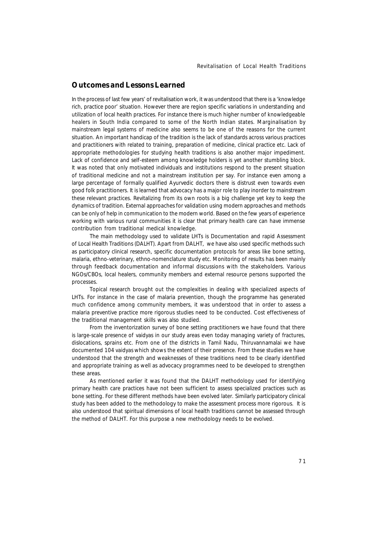### **Outcomes and Lessons Learned**

In the process of last few years' of revitalisation work, it was understood that there is a 'knowledge rich, practice poor' situation. However there are region specific variations in understanding and utilization of local health practices. For instance there is much higher number of knowledgeable healers in South India compared to some of the North Indian states. Marginalisation by mainstream legal systems of medicine also seems to be one of the reasons for the current situation. An important handicap of the tradition is the lack of standards across various practices and practitioners with related to training, preparation of medicine, clinical practice etc. Lack of appropriate methodologies for studying health traditions is also another major impediment. Lack of confidence and self-esteem among knowledge holders is yet another stumbling block. It was noted that only motivated individuals and institutions respond to the present situation of traditional medicine and not a mainstream institution per say. For instance even among a large percentage of formally qualified Ayurvedic doctors there is distrust even towards even good folk practitioners. It is learned that advocacy has a major role to play inorder to mainstream these relevant practices. Revitalizing from its own roots is a big challenge yet key to keep the dynamics of tradition. External approaches for validation using modern approaches and methods can be only of help in communication to the modern world. Based on the few years of experience working with various rural communities it is clear that primary health care can have immense contribution from traditional medical knowledge.

The main methodology used to validate LHTs is Documentation and rapid Assessment of Local Health Traditions (DALHT). Apart from DALHT, we have also used specific methods such as participatory clinical research, specific documentation protocols for areas like bone setting, malaria, ethno-veterinary, ethno-nomenclature study etc. Monitoring of results has been mainly through feedback documentation and informal discussions with the stakeholders. Various NGOs/CBOs, local healers, community members and external resource persons supported the processes.

Topical research brought out the complexities in dealing with specialized aspects of LHTs. For instance in the case of malaria prevention, though the programme has generated much confidence among community members, it was understood that in order to assess a malaria preventive practice more rigorous studies need to be conducted. Cost effectiveness of the traditional management skills was also studied.

From the inventorization survey of bone setting practitioners we have found that there is large-scale presence of *vaidyas* in our study areas even today managing variety of fractures, dislocations, sprains etc. From one of the districts in Tamil Nadu, Thiruvannamalai we have documented 104 *vaidyas* which shows the extent of their presence. From these studies we have understood that the strength and weaknesses of these traditions need to be clearly identified and appropriate training as well as advocacy programmes need to be developed to strengthen these areas.

As mentioned earlier it was found that the DALHT methodology used for identifying primary health care practices have not been sufficient to assess specialized practices such as bone setting. For these different methods have been evolved later. Similarly participatory clinical study has been added to the methodology to make the assessment process more rigorous. It is also understood that spiritual dimensions of local health traditions cannot be assessed through the method of DALHT. For this purpose a new methodology needs to be evolved.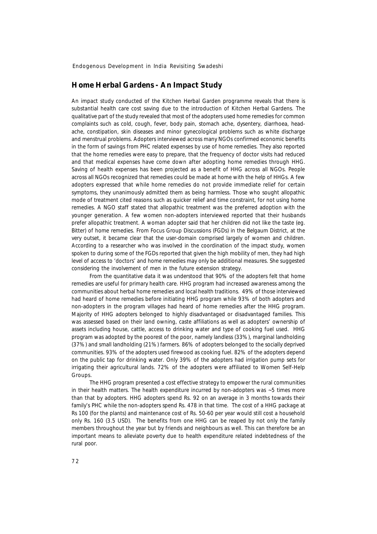### **Home Herbal Gardens - An Impact Study**

An impact study conducted of the Kitchen Herbal Garden programme reveals that there is substantial health care cost saving due to the introduction of Kitchen Herbal Gardens. The qualitative part of the study revealed that most of the adopters used home remedies for common complaints such as cold, cough, fever, body pain, stomach ache, dysentery, diarrhoea, headache, constipation, skin diseases and minor gynecological problems such as white discharge and menstrual problems. Adopters interviewed across many NGOs confirmed economic benefits in the form of savings from PHC related expenses by use of home remedies. They also reported that the home remedies were easy to prepare, that the frequency of doctor visits had reduced and that medical expenses have come down after adopting home remedies through HHG. Saving of health expenses has been projected as a benefit of HHG across all NGOs. People across all NGOs recognized that remedies could be made at home with the help of HHGs. A few adopters expressed that while home remedies do not provide immediate relief for certain symptoms, they unanimously admitted them as being harmless. Those who sought allopathic mode of treatment cited reasons such as quicker relief and time constraint, for not using home remedies. A NGO staff stated that allopathic treatment was the preferred adoption with the younger generation. A few women non-adopters interviewed reported that their husbands prefer allopathic treatment. A woman adopter said that her children did not like the taste (eg. Bitter) of home remedies. From Focus Group Discussions (FGDs) in the Belgaum District, at the very outset, it became clear that the user-domain comprised largely of women and children. According to a researcher who was involved in the coordination of the impact study, women spoken to during some of the FGDs reported that given the high mobility of men, they had high level of access to 'doctors' and home remedies may only be additional measures. She suggested considering the involvement of men in the future extension strategy.

From the quantitative data it was understood that 90% of the adopters felt that home remedies are useful for primary health care. HHG program had increased awareness among the communities about herbal home remedies and local health traditions. 49% of those interviewed had heard of home remedies before initiating HHG program while 93% of both adopters and non-adopters in the program villages had heard of home remedies after the HHG program. Majority of HHG adopters belonged to highly disadvantaged or disadvantaged families. This was assessed based on their land owning, caste affiliations as well as adopters' ownership of assets including house, cattle, access to drinking water and type of cooking fuel used. HHG program was adopted by the poorest of the poor, namely landless (33%), marginal landholding (37%) and small landholding (21%) farmers. 86% of adopters belonged to the socially deprived communities. 93% of the adopters used firewood as cooking fuel. 82% of the adopters depend on the public tap for drinking water. Only 39% of the adopters had irrigation pump sets for irrigating their agricultural lands. 72% of the adopters were affiliated to Women Self-Help Groups.

The HHG program presented a cost effective strategy to empower the rural communities in their health matters. The health expenditure incurred by non-adopters was ~5 times more than that by adopters. HHG adopters spend Rs. 92 on an average in 3 months towards their family's PHC while the non-adopters spend Rs. 478 in that time. The cost of a HHG package at Rs 100 (for the plants) and maintenance cost of Rs. 50-60 per year would still cost a household only Rs. 160 (3.5 USD). The benefits from one HHG can be reaped by not only the family members throughout the year but by friends and neighbours as well. This can therefore be an important means to alleviate poverty due to health expenditure related indebtedness of the rural poor.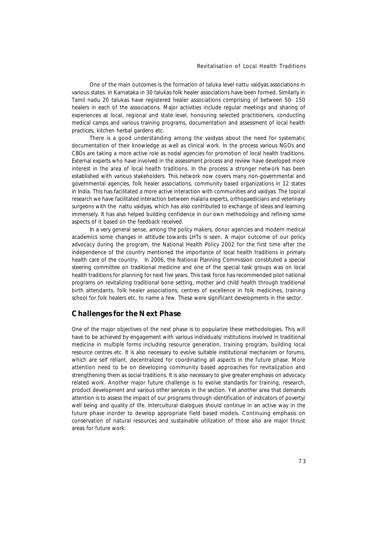One of the main outcomes is the formation of taluka level *nattu vaidyas* associations in various states. In Karnataka in 30 talukas folk healer associations have been formed. Similarly in Tamil nadu 20 talukas have registered healer associations comprising of between 50- 150 healers in each of the associations. Major activities include regular meetings and sharing of experiences at local, regional and state level, honouring selected practitioners, conducting medical camps and various training programs, documentation and assessment of local health practices, kitchen herbal gardens etc.

There is a good understanding among the *vaidyas* about the need for systematic documentation of their knowledge as well as clinical work. In the process various NGOs and CBOs are taking a more active role as nodal agencies for promotion of local health traditions. External experts who have involved in the assessment process and review have developed more interest in the area of local health traditions. In the process a stronger network has been established with various stakeholders. This network now covers many non-governmental and governmental agencies, folk healer associations, community based organizations in 12 states in India. This has facilitated a more active interaction with communities and *vaidyas*. The topical research we have facilitated interaction between malaria experts, orthopaedicians and veterinary surgeons with the *nattu vaidyas*, which has also contributed to exchange of ideas and learning immensely. It has also helped building confidence in our own methodology and refining some aspects of it based on the feedback received.

In a very general sense, among the policy makers, donor agencies and modern medical academics some changes in attitude towards LHTs is seen. A major outcome of our policy advocacy during the program, the National Health Policy 2002 for the first time after the independence of the country mentioned the importance of local health traditions in primary health care of the country. In 2006, the National Planning Commission constituted a special steering committee on traditional medicine and one of the special task groups was on local health traditions for planning for next five years. This task force has recommended pilot national programs on revitalizing traditional bone setting, mother and child health through traditional birth attendants, folk healer associations, centres of excellence in folk medicines, training school for folk healers etc. to name a few. These were significant developments in the sector.

#### **Challenges for the Next Phase**

One of the major objectives of the next phase is to popularize these methodologies. This will have to be achieved by engagement with various individuals/ institutions involved in traditional medicine in multiple forms including resource generation, training program, building local resource centres etc. It is also necessary to evolve suitable institutional mechanism or forums, which are self reliant, decentralized for coordinating all aspects in the future phase. More attention need to be on developing community based approaches for revitalization and strengthening them as social traditions. It is also necessary to give greater emphasis on advocacy related work. Another major future challenge is to evolve standards for training, research, product development and various other services in the section. Yet another area that demands attention is to assess the impact of our programs through identification of indicators of poverty/ well being and quality of life. Intercultural dialogues should continue in an active way in the future phase inorder to develop appropriate field based models. Continuing emphasis on conservation of natural resources and sustainable utilization of those also are major thrust areas for future work.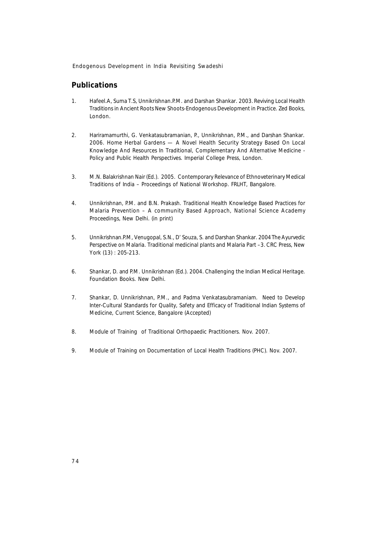# **Publications**

- 1. Hafeel.A, Suma T.S, Unnikrishnan.P.M. and Darshan Shankar. 2003. *Reviving Local Health Traditions* in Ancient Roots New Shoots-Endogenous Development in Practice. Zed Books, London.
- 2. Hariramamurthi, G. Venkatasubramanian, P., Unnikrishnan, P.M., and Darshan Shankar. 2006. *Home Herbal Gardens — A Novel Health Security Strategy Based On Local Knowledge And Resources* In Traditional, Complementary And Alternative Medicine - Policy and Public Health Perspectives. Imperial College Press, London.
- 3. M.N. Balakrishnan Nair (Ed.). 2005. Contemporary Relevance of Ethnoveterinary Medical Traditions of India – Proceedings of National Workshop. FRLHT, Bangalore.
- 4. Unnikrishnan, P.M. and B.N. Prakash. *Traditional Health Knowledge Based Practices for Malaria Prevention – A community Based Approach,* National Science Academy Proceedings, New Delhi. (in print)
- 5. Unnikrishnan.P.M, Venugopal, S.N., D' Souza, S. and Darshan Shankar. 2004 *The Ayurvedic Perspective on Malaria. Traditional medicinal plants and Malaria Part –3.* CRC Press, New York (13) : 205-213.
- 6. Shankar, D. and P.M. Unnikrishnan (Ed.). 2004. *Challenging the Indian Medical Heritage.* Foundation Books. New Delhi.
- 7. Shankar, D. Unnikrishnan, P.M., and Padma Venkatasubramaniam. Need to Develop Inter-Cultural Standards for Quality, Safety and Efficacy of Traditional Indian Systems of Medicine, Current Science, Bangalore (Accepted)
- 8. Module of Training of Traditional Orthopaedic Practitioners. Nov. 2007.
- 9. Module of Training on Documentation of Local Health Traditions (PHC). Nov. 2007.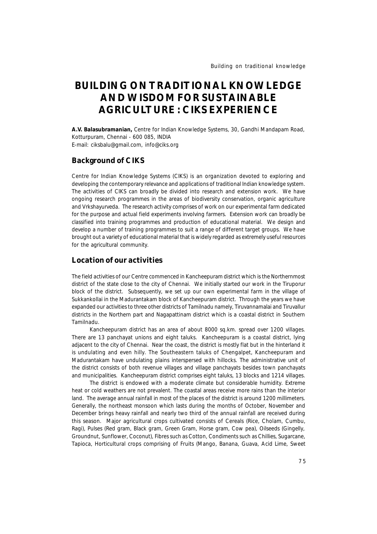# **BUILDING ON TRADITIONAL KNOWLEDGE AND WISDOM FOR SUSTAINABLE AGRICULTURE : CIKS EXPERIENCE**

**A.V. Balasubramanian,** *Centre for Indian Knowledge Systems, 30, Gandhi Mandapam Road, Kotturpuram, Chennai - 600 085, INDIA E-mail: ciksbalu@gmail.com, info@ciks.org*

#### **Background of CIKS**

Centre for Indian Knowledge Systems (CIKS) is an organization devoted to exploring and developing the contemporary relevance and applications of traditional Indian knowledge system. The activities of CIKS can broadly be divided into research and extension work. We have ongoing research programmes in the areas of biodiversity conservation, organic agriculture and Vrkshayurveda. The research activity comprises of work on our experimental farm dedicated for the purpose and actual field experiments involving farmers. Extension work can broadly be classified into training programmes and production of educational material. We design and develop a number of training programmes to suit a range of different target groups. We have brought out a variety of educational material that is widely regarded as extremely useful resources for the agricultural community.

# **Location of our activities**

The field activities of our Centre commenced in Kancheepuram district which is the Northernmost district of the state close to the city of Chennai. We initially started our work in the Tiruporur block of the district. Subsequently, we set up our own experimental farm in the village of Sukkankollai in the Madurantakam block of Kancheepuram district. Through the years we have expanded our activities to three other districts of Tamilnadu namely, Tiruvannamalai and Tiruvallur districts in the Northern part and Nagapattinam district which is a coastal district in Southern Tamilnadu.

Kancheepuram district has an area of about 8000 sq.km. spread over 1200 villages. There are 13 panchayat unions and eight taluks. Kancheepuram is a coastal district, lying adjacent to the city of Chennai. Near the coast, the district is mostly flat but in the hinterland it is undulating and even hilly. The Southeastern taluks of Chengalpet, Kancheepuram and Madurantakam have undulating plains interspersed with hillocks. The administrative unit of the district consists of both revenue villages and village panchayats besides town panchayats and municipalities. Kancheepuram district comprises eight taluks, 13 blocks and 1214 villages.

The district is endowed with a moderate climate but considerable humidity. Extreme heat or cold weathers are not prevalent. The coastal areas receive more rains than the interior land. The average annual rainfall in most of the places of the district is around 1200 millimeters. Generally, the northeast monsoon which lasts during the months of October, November and December brings heavy rainfall and nearly two third of the annual rainfall are received during this season. Major agricultural crops cultivated consists of Cereals (Rice, Cholam, Cumbu, Ragi), Pulses (Red gram, Black gram, Green Gram, Horse gram, Cow pea), Oilseeds (Gingelly, Groundnut, Sunflower, Coconut), Fibres such as Cotton, Condiments such as Chillies, Sugarcane, Tapioca, Horticultural crops comprising of Fruits (Mango, Banana, Guava, Acid Lime, Sweet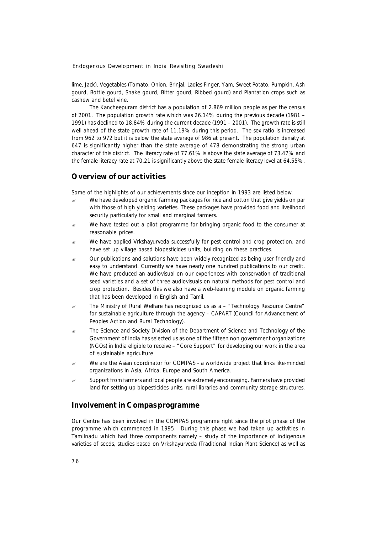lime, Jack), Vegetables (Tomato, Onion, Brinjal, Ladies Finger, Yam, Sweet Potato, Pumpkin, Ash gourd, Bottle gourd, Snake gourd, Bitter gourd, Ribbed gourd) and Plantation crops such as cashew and betel vine.

The Kancheepuram district has a population of 2.869 million people as per the census of 2001. The population growth rate which was 26.14% during the previous decade (1981 – 1991) has declined to 18.84% during the current decade (1991 – 2001). The growth rate is still well ahead of the state growth rate of 11.19% during this period. The sex ratio is increased from 962 to 972 but it is below the state average of 986 at present. The population density at 647 is significantly higher than the state average of 478 demonstrating the strong urban character of this district. The literacy rate of 77.61% is above the state average of 73.47% and the female literacy rate at 70.21 is significantly above the state female literacy level at 64.55%.

## **Overview of our activities**

Some of the highlights of our achievements since our inception in 1993 are listed below.

- $\approx$  We have developed organic farming packages for rice and cotton that give yields on par with those of high yielding varieties. These packages have provided food and livelihood security particularly for small and marginal farmers.
- $\epsilon$  We have tested out a pilot programme for bringing organic food to the consumer at reasonable prices.
- $\mathscr{L}$  We have applied Vrkshayurveda successfully for pest control and crop protection, and have set up village based biopesticides units, building on these practices.
- $\epsilon$  Our publications and solutions have been widely recognized as being user friendly and easy to understand. Currently we have nearly one hundred publications to our credit. We have produced an audiovisual on our experiences with conservation of traditional seed varieties and a set of three audiovisuals on natural methods for pest control and crop protection. Besides this we also have a web-learning module on organic farming that has been developed in English and Tamil.
- $\approx$  The Ministry of Rural Welfare has recognized us as a "Technology Resource Centre" for sustainable agriculture through the agency – CAPART (Council for Advancement of Peoples Action and Rural Technology).
- The Science and Society Division of the Department of Science and Technology of the Government of India has selected us as one of the fifteen non government organizations (NGOs) in India eligible to receive – "Core Support" for developing our work in the area of sustainable agriculture
- $\approx$  We are the Asian coordinator for COMPAS a worldwide project that links like-minded organizations in Asia, Africa, Europe and South America.
- Support from farmers and local people are extremely encouraging. Farmers have provided land for setting up biopesticides units, rural libraries and community storage structures.

#### **Involvement in Compas programme**

Our Centre has been involved in the COMPAS programme right since the pilot phase of the programme which commenced in 1995. During this phase we had taken up activities in Tamilnadu which had three components namely – study of the importance of indigenous varieties of seeds, studies based on Vrkshayurveda (Traditional Indian Plant Science) as well as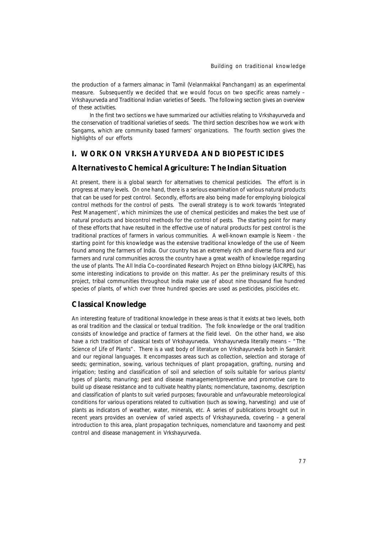the production of a farmers almanac in Tamil (*Velanmakkal Panchangam*) as an experimental measure. Subsequently we decided that we would focus on two specific areas namely – Vrkshayurveda and Traditional Indian varieties of Seeds. The following section gives an overview of these activities.

In the first two sections we have summarized our activities relating to Vrkshayurveda and the conservation of traditional varieties of seeds. The third section describes how we work with Sangams, which are community based farmers' organizations. The fourth section gives the highlights of our efforts

# **I. WORK ON VRKSHAYURVEDA AND BIOPESTICIDES**

#### **Alternatives to Chemical Agriculture: The Indian Situation**

At present, there is a global search for alternatives to chemical pesticides. The effort is in progress at many levels. On one hand, there is a serious examination of various natural products that can be used for pest control. Secondly, efforts are also being made for employing biological control methods for the control of pests. The overall strategy is to work towards 'Integrated Pest Management', which minimizes the use of chemical pesticides and makes the best use of natural products and biocontrol methods for the control of pests. The starting point for many of these efforts that have resulted in the effective use of natural products for pest control is the traditional practices of farmers in various communities. A well-known example is Neem - the starting point for this knowledge was the extensive traditional knowledge of the use of Neem found among the farmers of India. Our country has an extremely rich and diverse flora and our farmers and rural communities across the country have a great wealth of knowledge regarding the use of plants. The All India Co-coordinated Research Project on Ethno biology (AICRPE), has some interesting indications to provide on this matter. As per the preliminary results of this project, tribal communities throughout India make use of about nine thousand five hundred species of plants, of which over three hundred species are used as pesticides, piscicides etc.

# **Classical Knowledge**

An interesting feature of traditional knowledge in these areas is that it exists at two levels, both as oral tradition and the classical or textual tradition. The folk knowledge or the oral tradition consists of knowledge and practice of farmers at the field level. On the other hand, we also have a rich tradition of classical texts of Vrkshayurveda. Vrkshayurveda literally means – "The Science of Life of Plants". There is a vast body of literature on Vrkshayurveda both in Sanskrit and our regional languages. It encompasses areas such as collection, selection and storage of seeds; germination, sowing, various techniques of plant propagation, grafting, nursing and irrigation; testing and classification of soil and selection of soils suitable for various plants/ types of plants; manuring; pest and disease management/preventive and promotive care to build up disease resistance and to cultivate healthy plants; nomenclature, taxonomy, description and classification of plants to suit varied purposes; favourable and unfavourable meteorological conditions for various operations related to cultivation (such as sowing, harvesting) and use of plants as indicators of weather, water, minerals, etc. A series of publications brought out in recent years provides an overview of varied aspects of Vrkshayurveda, covering – a general introduction to this area, plant propagation techniques, nomenclature and taxonomy and pest control and disease management in Vrkshayurveda.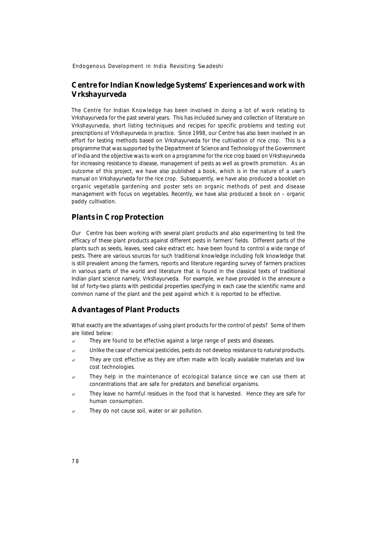### **Centre for Indian Knowledge Systems' Experiences and work with Vrkshayurveda**

The Centre for Indian Knowledge has been involved in doing a lot of work relating to Vrkshayurveda for the past several years. This has included survey and collection of literature on Vrkshayurveda, short listing techniques and recipes for specific problems and testing out prescriptions of Vrkshayurveda in practice. Since 1998, our Centre has also been involved in an effort for testing methods based on Vrkshayurveda for the cultivation of rice crop. This is a programme that was supported by the Department of Science and Technology of the Government of India and the objective was to work on a programme for the rice crop based on Vrkshayurveda for increasing resistance to disease, management of pests as well as growth promotion. As an outcome of this project, we have also published a book, which is in the nature of a user's manual on Vrkshayurveda for the rice crop. Subsequently, we have also produced a booklet on organic vegetable gardening and poster sets on organic methods of pest and disease management with focus on vegetables. Recently, we have also produced a book on – organic paddy cultivation.

#### **Plants in Crop Protection**

Our Centre has been working with several plant products and also experimenting to test the efficacy of these plant products against different pests in farmers' fields. Different parts of the plants such as seeds, leaves, seed cake extract etc. have been found to control a wide range of pests. There are various sources for such traditional knowledge including folk knowledge that is still prevalent among the farmers, reports and literature regarding survey of farmers practices in various parts of the world and literature that is found in the classical texts of traditional Indian plant science namely, Vrkshayurveda. For example, we have provided in the annexure a list of forty-two plants with pesticidal properties specifying in each case the scientific name and common name of the plant and the pest against which it is reported to be effective.

#### **Advantages of Plant Products**

What exactly are the advantages of using plant products for the control of pests? Some of them are listed below:

- They are found to be effective against a large range of pests and diseases.
- ? Unlike the case of chemical pesticides, pests do not develop resistance to natural products.
- They are cost effective as they are often made with locally available materials and low cost technologies.
- They help in the maintenance of ecological balance since we can use them at concentrations that are safe for predators and beneficial organisms.
- They leave no harmful residues in the food that is harvested. Hence they are safe for human consumption.
- They do not cause soil, water or air pollution.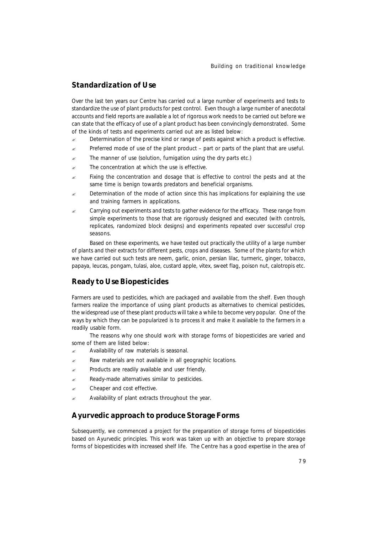## **Standardization of Use**

Over the last ten years our Centre has carried out a large number of experiments and tests to standardize the use of plant products for pest control. Even though a large number of anecdotal accounts and field reports are available a lot of rigorous work needs to be carried out before we can state that the efficacy of use of a plant product has been convincingly demonstrated. Some of the kinds of tests and experiments carried out are as listed below:

- $\approx$  Determination of the precise kind or range of pests against which a product is effective.
- Preferred mode of use of the plant product part or parts of the plant that are useful.
- $\approx$  The manner of use (solution, fumigation using the dry parts etc.)
- $\approx$  The concentration at which the use is effective.
- $\epsilon$  Fixing the concentration and dosage that is effective to control the pests and at the same time is benign towards predators and beneficial organisms.
- Determination of the mode of action since this has implications for explaining the use and training farmers in applications.
- Carrying out experiments and tests to gather evidence for the efficacy. These range from simple experiments to those that are rigorously designed and executed (with controls, replicates, randomized block designs) and experiments repeated over successful crop seasons.

Based on these experiments, we have tested out practically the utility of a large number of plants and their extracts for different pests, crops and diseases. Some of the plants for which we have carried out such tests are neem, garlic, onion, persian lilac, turmeric, ginger, tobacco, papaya, leucas, pongam, tulasi, aloe, custard apple, vitex, sweet flag, poison nut, calotropis etc.

### **Ready to Use Biopesticides**

Farmers are used to pesticides, which are packaged and available from the shelf. Even though farmers realize the importance of using plant products as alternatives to chemical pesticides, the widespread use of these plant products will take a while to become very popular. One of the ways by which they can be popularized is to process it and make it available to the farmers in a readily usable form.

The reasons why one should work with storage forms of biopesticides are varied and some of them are listed below:

- $\approx$  Availability of raw materials is seasonal.
- Raw materials are not available in all geographic locations.
- Products are readily available and user friendly.
- Ready-made alternatives similar to pesticides.
- $\mathscr{\mathscr{E}}$  Cheaper and cost effective.
- $\approx$  Availability of plant extracts throughout the year.

#### **Ayurvedic approach to produce Storage Forms**

Subsequently, we commenced a project for the preparation of storage forms of biopesticides based on Ayurvedic principles. This work was taken up with an objective to prepare storage forms of biopesticides with increased shelf life. The Centre has a good expertise in the area of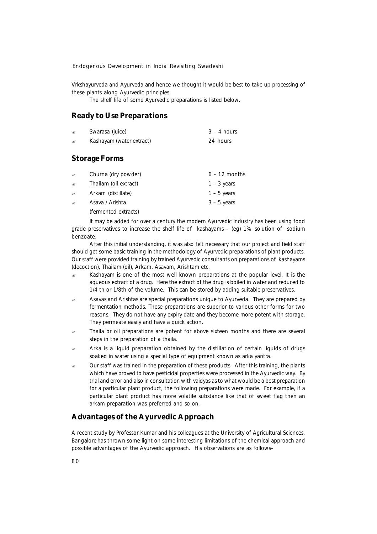Vrkshayurveda and Ayurveda and hence we thought it would be best to take up processing of these plants along Ayurvedic principles.

The shelf life of some Ayurvedic preparations is listed below.

#### **Ready to Use Preparations**

| <b>Storage Forms</b> |                                 |               |
|----------------------|---------------------------------|---------------|
| ∡                    | <i>Kashayam</i> (water extract) | 24 hours      |
| B                    | Swarasa (juice)                 | $3 - 4$ hours |

# ? *Churna* (dry powder) 6 – 12 months ? *Thailam* (oil extract) 1 – 3 years ? *Arkam* (distillate) 1 – 5 years ? *Asava / Arishta* 3 – 5 years

(fermented extracts)

It may be added for over a century the modern Ayurvedic industry has been using food grade preservatives to increase the shelf life of *kashayams* – (eg) 1% solution of sodium benzoate.

After this initial understanding, it was also felt necessary that our project and field staff should get some basic training in the methodology of Ayurvedic preparations of plant products. Our staff were provided training by trained Ayurvedic consultants on preparations of *kashayams* (decoction), *Thailam* (oil), *Arkam, Asavam, Arishtam* etc.

- ? *Kashayam* is one of the most well known preparations at the popular level. It is the aqueous extract of a drug. Here the extract of the drug is boiled in water and reduced to 1/4 th or 1/8th of the volume. This can be stored by adding suitable preservatives.
- ? *Asavas* and *Arishtas* are special preparations unique to Ayurveda. They are prepared by fermentation methods. These preparations are superior to various other forms for two reasons. They do not have any expiry date and they become more potent with storage. They permeate easily and have a quick action.
- ? *Thaila* or oil preparations are potent for above sixteen months and there are several steps in the preparation of a thaila.
- ? *Arka* is a liquid preparation obtained by the distillation of certain liquids of drugs soaked in water using a special type of equipment known as *arka yantra*.
- $\epsilon$  Our staff was trained in the preparation of these products. After this training, the plants which have proved to have pesticidal properties were processed in the Ayurvedic way. By trial and error and also in consultation with vaidyas as to what would be a best preparation for a particular plant product, the following preparations were made. For example, if a particular plant product has more volatile substance like that of sweet flag then an arkam preparation was preferred and so on.

# **Advantages of the Ayurvedic Approach**

A recent study by Professor Kumar and his colleagues at the University of Agricultural Sciences, Bangalore has thrown some light on some interesting limitations of the chemical approach and possible advantages of the Ayurvedic approach. His observations are as follows–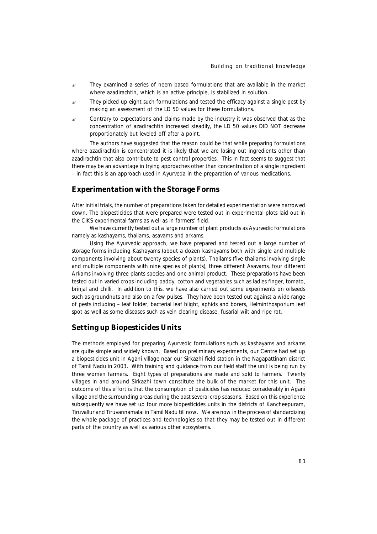- They examined a series of neem based formulations that are available in the market where azadirachtin, which is an active principle, is stabilized in solution.
- They picked up eight such formulations and tested the efficacy against a single pest by making an assessment of the LD 50 values for these formulations.
- ? Contrary to expectations and claims made by the industry it was observed that as the concentration of azadirachtin increased steadily, the LD 50 values DID NOT decrease proportionately but leveled off after a point.

The authors have suggested that the reason could be that while preparing formulations where azadirachtin is concentrated it is likely that we are losing out ingredients other than azadirachtin that also contribute to pest control properties. This in fact seems to suggest that there may be an advantage in trying approaches other than concentration of a single ingredient – in fact this is an approach used in Ayurveda in the preparation of various medications.

### **Experimentation with the Storage Forms**

After initial trials, the number of preparations taken for detailed experimentation were narrowed down. The biopesticides that were prepared were tested out in experimental plots laid out in the CIKS experimental farms as well as in farmers' field.

We have currently tested out a large number of plant products as Ayurvedic formulations namely as kashayams, thailams, asavams and arkams.

Using the Ayurvedic approach, we have prepared and tested out a large number of storage forms including *Kashayams* (about a dozen *kashayams* both with single and multiple components involving about twenty species of plants), *Thailams* (five *thailams* involving single and multiple components with nine species of plants), three different *Asavams*, four different *Arkams* involving three plants species and one animal product. These preparations have been tested out in varied crops including paddy, cotton and vegetables such as ladies finger, tomato, brinjal and chilli. In addition to this, we have also carried out some experiments on oilseeds such as groundnuts and also on a few pulses. They have been tested out against a wide range of pests including – leaf folder, bacterial leaf blight, aphids and borers, Helminthosporium leaf spot as well as some diseases such as vein clearing disease, fusarial wilt and ripe rot.

### **Setting up Biopesticides Units**

The methods employed for preparing Ayurvedic formulations such as kashayams and arkams are quite simple and widely known. Based on preliminary experiments, our Centre had set up a biopesticides unit in Agani village near our Sirkazhi field station in the Nagapattinam district of Tamil Nadu in 2003. With training and guidance from our field staff the unit is being run by three women farmers. Eight types of preparations are made and sold to farmers. Twenty villages in and around Sirkazhi town constitute the bulk of the market for this unit. The outcome of this effort is that the consumption of pesticides has reduced considerably in Agani village and the surrounding areas during the past several crop seasons. Based on this experience subsequently we have set up four more biopesticides units in the districts of Kancheepuram, Tiruvallur and Tiruvannamalai in Tamil Nadu till now. We are now in the process of standardizing the whole package of practices and technologies so that they may be tested out in different parts of the country as well as various other ecosystems.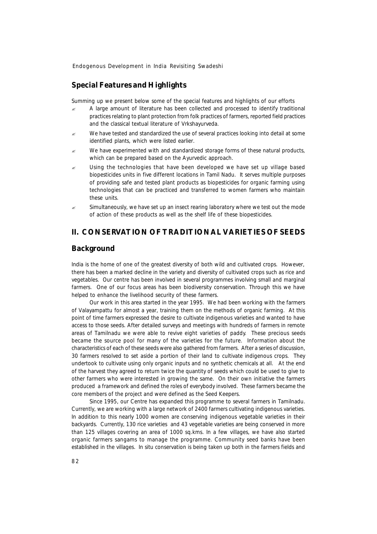#### **Special Features and Highlights**

Summing up we present below some of the special features and highlights of our efforts

- $\approx$  A large amount of literature has been collected and processed to identify traditional practices relating to plant protection from folk practices of farmers, reported field practices and the classical textual literature of Vrkshayurveda.
- $\approx$  We have tested and standardized the use of several practices looking into detail at some identified plants, which were listed earlier.
- We have experimented with and standardized storage forms of these natural products, which can be prepared based on the Ayurvedic approach.
- Using the technologies that have been developed we have set up village based biopesticides units in five different locations in Tamil Nadu. It serves multiple purposes of providing safe and tested plant products as biopesticides for organic farming using technologies that can be practiced and transferred to women farmers who maintain these units.
- $\approx$  Simultaneously, we have set up an insect rearing laboratory where we test out the mode of action of these products as well as the shelf life of these biopesticides.

# **II. CONSERVATION OF TRADITIONAL VARIETIES OF SEEDS**

#### **Background**

India is the home of one of the greatest diversity of both wild and cultivated crops. However, there has been a marked decline in the variety and diversity of cultivated crops such as rice and vegetables. Our centre has been involved in several programmes involving small and marginal farmers. One of our focus areas has been biodiversity conservation. Through this we have helped to enhance the livelihood security of these farmers.

Our work in this area started in the year 1995. We had been working with the farmers of Valayampattu for almost a year, training them on the methods of organic farming. At this point of time farmers expressed the desire to cultivate indigenous varieties and wanted to have access to those seeds. After detailed surveys and meetings with hundreds of farmers in remote areas of Tamilnadu we were able to revive eight varieties of paddy. These precious seeds became the source pool for many of the varieties for the future. Information about the characteristics of each of these seeds were also gathered from farmers. After a series of discussion, 30 farmers resolved to set aside a portion of their land to cultivate indigenous crops. They undertook to cultivate using only organic inputs and no synthetic chemicals at all. At the end of the harvest they agreed to return twice the quantity of seeds which could be used to give to other farmers who were interested in growing the same. On their own initiative the farmers produced a framework and defined the roles of everybody involved. These farmers became the core members of the project and were defined as the Seed Keepers.

Since 1995, our Centre has expanded this programme to several farmers in Tamilnadu. Currently, we are working with a large network of 2400 farmers cultivating indigenous varieties. In addition to this nearly 1000 women are conserving indigenous vegetable varieties in their backyards. Currently, 130 rice varieties and 43 vegetable varieties are being conserved in more than 125 villages covering an area of 1000 sq.kms. In a few villages, we have also started organic farmers sangams to manage the programme. Community seed banks have been established in the villages. *In situ* conservation is being taken up both in the farmers fields and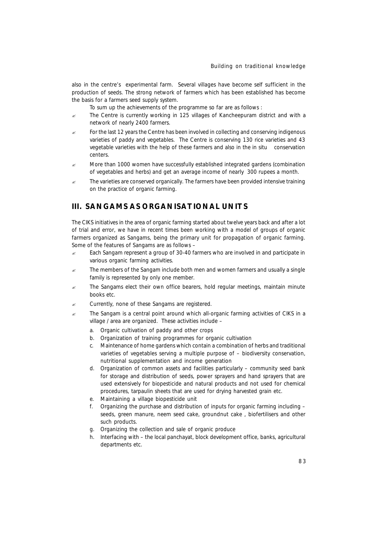also in the centre's experimental farm. Several villages have become self sufficient in the production of seeds. The strong network of farmers which has been established has become the basis for a farmers seed supply system.

To sum up the achievements of the programme so far are as follows :

- $\approx$  The Centre is currently working in 125 villages of Kancheepuram district and with a network of nearly 2400 farmers.
- $\epsilon$  For the last 12 years the Centre has been involved in collecting and conserving indigenous varieties of paddy and vegetables. The Centre is conserving 130 rice varieties and 43 vegetable varieties with the help of these farmers and also in the *in situ* conservation centers.
- $\approx$  More than 1000 women have successfully established integrated gardens (combination of vegetables and herbs) and get an average income of nearly 300 rupees a month.
- The varieties are conserved organically. The farmers have been provided intensive training on the practice of organic farming.

# **III. SANGAMS AS ORGANISATIONAL UNITS**

The CIKS initiatives in the area of organic farming started about twelve years back and after a lot of trial and error, we have in recent times been working with a model of groups of organic farmers organized as Sangams, being the primary unit for propagation of organic farming. Some of the features of Sangams are as follows –

- $\approx$  Each Sangam represent a group of 30-40 farmers who are involved in and participate in various organic farming activities.
- The members of the Sangam include both men and women farmers and usually a single family is represented by only one member.
- $\epsilon$  The Sangams elect their own office bearers, hold regular meetings, maintain minute books etc.
- Currently, none of these Sangams are registered.
- $\epsilon$  The Sangam is a central point around which all-organic farming activities of CIKS in a village / area are organized. These activities include –
	- a. Organic cultivation of paddy and other crops
	- b. Organization of training programmes for organic cultivation
	- c. Maintenance of home gardens which contain a combination of herbs and traditional varieties of vegetables serving a multiple purpose of – biodiversity conservation, nutritional supplementation and income generation
	- d. Organization of common assets and facilities particularly community seed bank for storage and distribution of seeds, power sprayers and hand sprayers that are used extensively for biopesticide and natural products and not used for chemical procedures, tarpaulin sheets that are used for drying harvested grain etc.
	- e. Maintaining a village biopesticide unit
	- f. Organizing the purchase and distribution of inputs for organic farming including seeds, green manure, neem seed cake, groundnut cake , biofertilisers and other such products.
	- g. Organizing the collection and sale of organic produce
	- h. Interfacing with the local panchayat, block development office, banks, agricultural departments etc.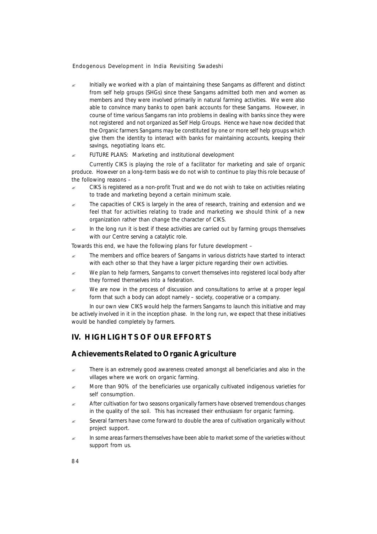? Initially we worked with a plan of maintaining these Sangams as different and distinct from self help groups (SHGs) since these Sangams admitted both men and women as members and they were involved primarily in natural farming activities. We were also able to convince many banks to open bank accounts for these Sangams. However, in course of time various Sangams ran into problems in dealing with banks since they were not registered and not organized as Self Help Groups. Hence we have now decided that the Organic farmers Sangams may be constituted by one or more self help groups which give them the identity to interact with banks for maintaining accounts, keeping their savings, negotiating loans etc.

#### $\mathscr{L}$  FUTURE PLANS: Marketing and institutional development

Currently CIKS is playing the role of a facilitator for marketing and sale of organic produce. However on a long-term basis we do not wish to continue to play this role because of the following reasons –

- ? CIKS is registered as a non-profit Trust and we do not wish to take on activities relating to trade and marketing beyond a certain minimum scale.
- The capacities of CIKS is largely in the area of research, training and extension and we feel that for activities relating to trade and marketing we should think of a new organization rather than change the character of CIKS.
- In the long run it is best if these activities are carried out by farming groups themselves with our Centre serving a catalytic role.

Towards this end, we have the following plans for future development –

- ? The members and office bearers of Sangams in various districts have started to interact with each other so that they have a larger picture regarding their own activities.
- $\approx$  We plan to help farmers, Sangams to convert themselves into registered local body after they formed themselves into a federation.
- We are now in the process of discussion and consultations to arrive at a proper legal form that such a body can adopt namely – society, cooperative or a company.

In our own view CIKS would help the farmers Sangams to launch this initiative and may be actively involved in it in the inception phase. In the long run, we expect that these initiatives would be handled completely by farmers.

# **IV. HIGHLIGHTS OF OUR EFFORTS**

# **Achievements Related to Organic Agriculture**

- $\epsilon$  There is an extremely good awareness created amongst all beneficiaries and also in the villages where we work on organic farming.
- $\approx$  More than 90% of the beneficiaries use organically cultivated indigenous varieties for self consumption.
- After cultivation for two seasons organically farmers have observed tremendous changes in the quality of the soil. This has increased their enthusiasm for organic farming.
- $\approx$  Several farmers have come forward to double the area of cultivation organically without project support.
- In some areas farmers themselves have been able to market some of the varieties without support from us.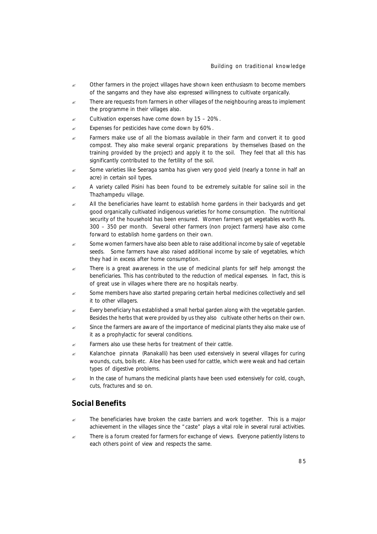- $\epsilon$  Other farmers in the project villages have shown keen enthusiasm to become members of the sangams and they have also expressed willingness to cultivate organically.
- $\epsilon$  There are requests from farmers in other villages of the neighbouring areas to implement the programme in their villages also.
- Cultivation expenses have come down by 15 20%.
- $\approx$  Expenses for pesticides have come down by 60%.
- $\epsilon$  Farmers make use of all the biomass available in their farm and convert it to good compost. They also make several organic preparations by themselves (based on the training provided by the project) and apply it to the soil. They feel that all this has significantly contributed to the fertility of the soil.
- $\epsilon$  Some varieties like Seeraga samba has given very good yield (nearly a tonne in half an acre) in certain soil types.
- $\approx$  A variety called Pisini has been found to be extremely suitable for saline soil in the Thazhampedu village.
- $\approx$  All the beneficiaries have learnt to establish home gardens in their backyards and get good organically cultivated indigenous varieties for home consumption. The nutritional security of the household has been ensured. Women farmers get vegetables worth Rs. 300 – 350 per month. Several other farmers (non project farmers) have also come forward to establish home gardens on their own.
- $\approx$  Some women farmers have also been able to raise additional income by sale of vegetable seeds. Some farmers have also raised additional income by sale of vegetables, which they had in excess after home consumption.
- There is a great awareness in the use of medicinal plants for self help amongst the beneficiaries. This has contributed to the reduction of medical expenses. In fact, this is of great use in villages where there are no hospitals nearby.
- $\approx$  Some members have also started preparing certain herbal medicines collectively and sell it to other villagers.
- $\epsilon$  Every beneficiary has established a small herbal garden along with the vegetable garden. Besides the herbs that were provided by us they also cultivate other herbs on their own.
- Since the farmers are aware of the importance of medicinal plants they also make use of it as a prophylactic for several conditions.
- $\epsilon$  Farmers also use these herbs for treatment of their cattle.
- ? *Kalanchoe pinnata* (*Ranakalli*) has been used extensively in several villages for curing wounds, cuts, boils etc. Aloe has been used for cattle, which were weak and had certain types of digestive problems.
- $\epsilon$  In the case of humans the medicinal plants have been used extensively for cold, cough, cuts, fractures and so on.

#### **Social Benefits**

- The beneficiaries have broken the caste barriers and work together. This is a major achievement in the villages since the "caste" plays a vital role in several rural activities.
- There is a forum created for farmers for exchange of views. Everyone patiently listens to each others point of view and respects the same.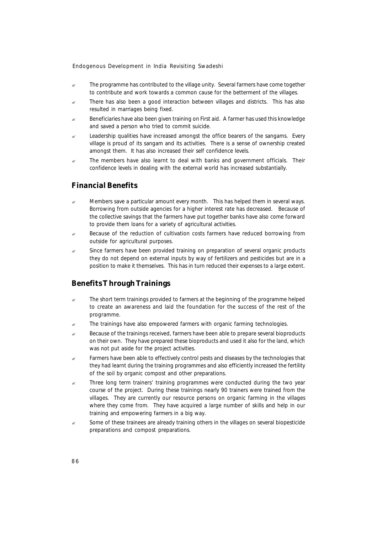- The programme has contributed to the village unity. Several farmers have come together to contribute and work towards a common cause for the betterment of the villages.
- $\approx$  There has also been a good interaction between villages and districts. This has also resulted in marriages being fixed.
- Beneficiaries have also been given training on First aid. A farmer has used this knowledge and saved a person who tried to commit suicide.
- $\approx$  Leadership qualities have increased amongst the office bearers of the sangams. Every village is proud of its sangam and its activities. There is a sense of ownership created amongst them. It has also increased their self confidence levels.
- $\approx$  The members have also learnt to deal with banks and government officials. Their confidence levels in dealing with the external world has increased substantially.

#### **Financial Benefits**

- $\approx$  Members save a particular amount every month. This has helped them in several ways. Borrowing from outside agencies for a higher interest rate has decreased. Because of the collective savings that the farmers have put together banks have also come forward to provide them loans for a variety of agricultural activities.
- $\approx$  Because of the reduction of cultivation costs farmers have reduced borrowing from outside for agricultural purposes.
- ? Since farmers have been provided training on preparation of several organic products they do not depend on external inputs by way of fertilizers and pesticides but are in a position to make it themselves. This has in turn reduced their expenses to a large extent.

#### **Benefits Through Trainings**

- $\approx$  The short term trainings provided to farmers at the beginning of the programme helped to create an awareness and laid the foundation for the success of the rest of the programme.
- The trainings have also empowered farmers with organic farming technologies.
- $\epsilon$  Because of the trainings received, farmers have been able to prepare several bioproducts on their own. They have prepared these bioproducts and used it also for the land, which was not put aside for the project activities.
- $\epsilon$  Farmers have been able to effectively control pests and diseases by the technologies that they had learnt during the training programmes and also efficiently increased the fertility of the soil by organic compost and other preparations.
- $\approx$  Three long term trainers' training programmes were conducted during the two year course of the project. During these trainings nearly 90 trainers were trained from the villages. They are currently our resource persons on organic farming in the villages where they come from. They have acquired a large number of skills and help in our training and empowering farmers in a big way.
- Some of these trainees are already training others in the villages on several biopesticide preparations and compost preparations.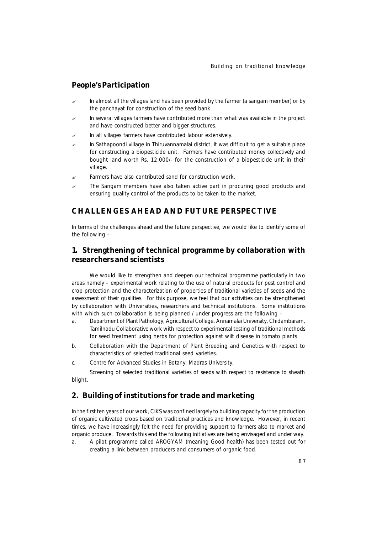# **People's Participation**

- In almost all the villages land has been provided by the farmer (a sangam member) or by the panchayat for construction of the seed bank.
- In several villages farmers have contributed more than what was available in the project and have constructed better and bigger structures.
- $\mathbb{R}$  In all villages farmers have contributed labour extensively.
- $\epsilon$  In Sathapoondi village in Thiruvannamalai district, it was difficult to get a suitable place for constructing a biopesticide unit. Farmers have contributed money collectively and bought land worth Rs. 12,000/- for the construction of a biopesticide unit in their village.
- Farmers have also contributed sand for construction work.
- The Sangam members have also taken active part in procuring good products and ensuring quality control of the products to be taken to the market.

# **CHALLENGES AHEAD AND FUTURE PERSPECTIVE**

In terms of the challenges ahead and the future perspective, we would like to identify some of the following –

# **1. Strengthening of technical programme by collaboration with researchers and scientists**

We would like to strengthen and deepen our technical programme particularly in two areas namely – experimental work relating to the use of natural products for pest control and crop protection and the characterization of properties of traditional varieties of seeds and the assessment of their qualities. For this purpose, we feel that our activities can be strengthened by collaboration with Universities, researchers and technical institutions. Some institutions with which such collaboration is being planned / under progress are the following -

- a. Department of Plant Pathology, Agricultural College, Annamalai University, Chidambaram, Tamilnadu Collaborative work with respect to experimental testing of traditional methods for seed treatment using herbs for protection against wilt disease in tomato plants
- b. Collaboration with the Department of Plant Breeding and Genetics with respect to characteristics of selected traditional seed varieties.
- c. Centre for Advanced Studies in Botany, Madras University.

Screening of selected traditional varieties of seeds with respect to resistence to sheath blight.

## **2. Building of institutions for trade and marketing**

In the first ten years of our work, CIKS was confined largely to building capacity for the production of organic cultivated crops based on traditional practices and knowledge. However, in recent times, we have increasingly felt the need for providing support to farmers also to market and organic produce. Towards this end the following initiatives are being envisaged and under way.

a. A pilot programme called AROGYAM (meaning Good health) has been tested out for creating a link between producers and consumers of organic food.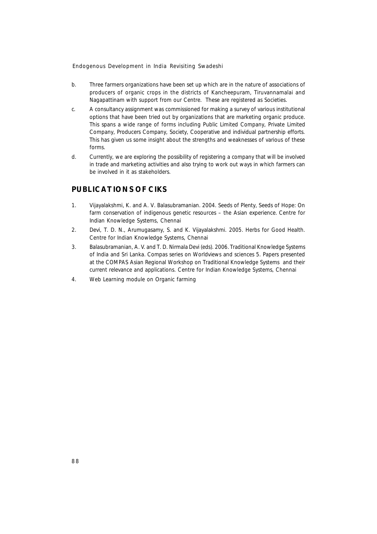- b. Three farmers organizations have been set up which are in the nature of associations of producers of organic crops in the districts of Kancheepuram, Tiruvannamalai and Nagapattinam with support from our Centre. These are registered as Societies.
- c. A consultancy assignment was commissioned for making a survey of various institutional options that have been tried out by organizations that are marketing organic produce. This spans a wide range of forms including Public Limited Company, Private Limited Company, Producers Company, Society, Cooperative and individual partnership efforts. This has given us some insight about the strengths and weaknesses of various of these forms.
- d. Currently, we are exploring the possibility of registering a company that will be involved in trade and marketing activities and also trying to work out ways in which farmers can be involved in it as stakeholders.

# **PUBLICATIONS OF CIKS**

- 1. Vijayalakshmi, K. and A. V. Balasubramanian. 2004. *Seeds of Plenty, Seeds of Hope: On farm conservation of indigenous genetic resources – the Asian experience.* Centre for Indian Knowledge Systems, Chennai
- 2. Devi, T. D. N., Arumugasamy, S. and K. Vijayalakshmi. 2005. *Herbs for Good Health*. Centre for Indian Knowledge Systems, Chennai
- 3. Balasubramanian, A. V. and T. D. Nirmala Devi (eds). 2006. *Traditional Knowledge Systems of India and Sri Lanka.* Compas series on Worldviews and sciences 5. Papers presented at the COMPAS Asian Regional Workshop on Traditional Knowledge Systems and their current relevance and applications. Centre for Indian Knowledge Systems, Chennai
- 4. *Web Learning module on Organic farming*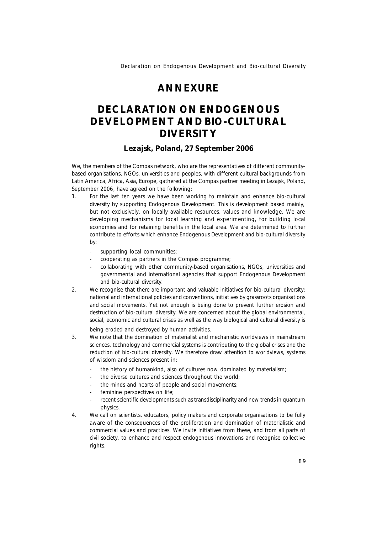# **ANNEXURE**

# **DECLARATION ON ENDOGENOUS DEVELOPMENT AND BIO-CULTURAL DIVERSITY**

#### **Lezajsk, Poland, 27 September 2006**

We, the members of the Compas network, who are the representatives of different communitybased organisations, NGOs, universities and peoples, with different cultural backgrounds from Latin America, Africa, Asia, Europe, gathered at the Compas partner meeting in Lezajsk, Poland, September 2006, have agreed on the following:

- 1. For the last ten years we have been working to maintain and enhance bio-cultural diversity by supporting Endogenous Development. This is development based mainly, but not exclusively, on locally available resources, values and knowledge. We are developing mechanisms for local learning and experimenting, for building local economies and for retaining benefits in the local area. We are determined to further contribute to efforts which enhance Endogenous Development and bio-cultural diversity by:
	- supporting local communities;
	- cooperating as partners in the Compas programme;
	- collaborating with other community-based organisations, NGOs, universities and governmental and international agencies that support Endogenous Development and bio-cultural diversity.
- 2. We recognise that there are important and valuable initiatives for bio-cultural diversity: national and international policies and conventions, initiatives by grassroots organisations and social movements. Yet not enough is being done to prevent further erosion and destruction of bio-cultural diversity. We are concerned about the global environmental, social, economic and cultural crises as well as the way biological and cultural diversity is

being eroded and destroyed by human activities.

- 3. We note that the domination of materialist and mechanistic worldviews in mainstream sciences, technology and commercial systems is contributing to the global crises and the reduction of bio-cultural diversity. We therefore draw attention to worldviews, systems of wisdom and sciences present in:
	- the history of humankind, also of cultures now dominated by materialism;
	- the diverse cultures and sciences throughout the world;
	- the minds and hearts of people and social movements;
	- feminine perspectives on life;
	- recent scientific developments such as transdisciplinarity and new trends in quantum physics.
- 4. We call on scientists, educators, policy makers and corporate organisations to be fully aware of the consequences of the proliferation and domination of materialistic and commercial values and practices. We invite initiatives from these, and from all parts of civil society, to enhance and respect endogenous innovations and recognise collective rights.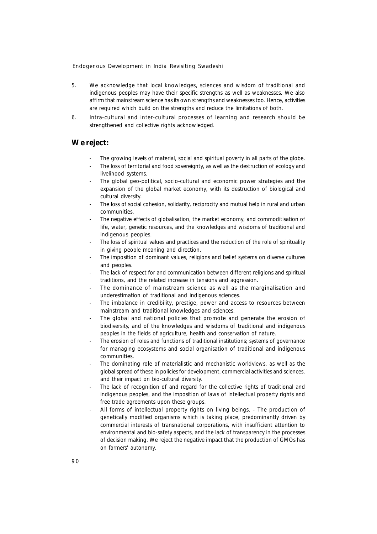- 5. We acknowledge that local knowledges, sciences and wisdom of traditional and indigenous peoples may have their specific strengths as well as weaknesses. We also affirm that mainstream science has its own strengths and weaknesses too. Hence, activities are required which build on the strengths and reduce the limitations of both.
- 6. Intra-cultural and inter-cultural processes of learning and research should be strengthened and collective rights acknowledged.

# **We reject:**

- The growing levels of material, social and spiritual poverty in all parts of the globe.
- The loss of territorial and food sovereignty, as well as the destruction of ecology and livelihood systems.
- The global geo-political, socio-cultural and economic power strategies and the expansion of the global market economy, with its destruction of biological and cultural diversity.
- The loss of social cohesion, solidarity, reciprocity and mutual help in rural and urban communities.
- The negative effects of globalisation, the market economy, and commoditisation of life, water, genetic resources, and the knowledges and wisdoms of traditional and indigenous peoples.
- The loss of spiritual values and practices and the reduction of the role of spirituality in giving people meaning and direction.
- The imposition of dominant values, religions and belief systems on diverse cultures and peoples.
- The lack of respect for and communication between different religions and spiritual traditions, and the related increase in tensions and aggression.
- The dominance of mainstream science as well as the marginalisation and underestimation of traditional and indigenous sciences.
- The imbalance in credibility, prestige, power and access to resources between mainstream and traditional knowledges and sciences.
- The global and national policies that promote and generate the erosion of biodiversity, and of the knowledges and wisdoms of traditional and indigenous peoples in the fields of agriculture, health and conservation of nature.
- The erosion of roles and functions of traditional institutions; systems of governance for managing ecosystems and social organisation of traditional and indigenous communities.
- The dominating role of materialistic and mechanistic worldviews, as well as the global spread of these in policies for development, commercial activities and sciences, and their impact on bio-cultural diversity.
- The lack of recognition of and regard for the collective rights of traditional and indigenous peoples, and the imposition of laws of intellectual property rights and free trade agreements upon these groups.
- All forms of intellectual property rights on living beings. The production of genetically modified organisms which is taking place, predominantly driven by commercial interests of transnational corporations, with insufficient attention to environmental and bio-safety aspects, and the lack of transparency in the processes of decision making. We reject the negative impact that the production of GMOs has on farmers' autonomy.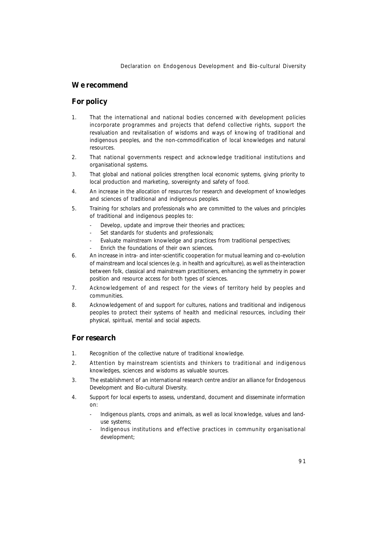*Declaration on Endogenous Development and Bio-cultural Diversity*

# **We recommend**

# **For policy**

- 1. That the international and national bodies concerned with development policies incorporate programmes and projects that defend collective rights, support the revaluation and revitalisation of wisdoms and ways of knowing of traditional and indigenous peoples, and the non-commodification of local knowledges and natural resources.
- 2. That national governments respect and acknowledge traditional institutions and organisational systems.
- 3. That global and national policies strengthen local economic systems, giving priority to local production and marketing, sovereignty and safety of food.
- 4. An increase in the allocation of resources for research and development of knowledges and sciences of traditional and indigenous peoples.
- 5. Training for scholars and professionals who are committed to the values and principles of traditional and indigenous peoples to:
	- Develop, update and improve their theories and practices;
	- Set standards for students and professionals;
	- Evaluate mainstream knowledge and practices from traditional perspectives;
	- Enrich the foundations of their own sciences.
- 6. An increase in intra- and inter-scientific cooperation for mutual learning and co-evolution of mainstream and local sciences (e.g. in health and agriculture), as well as the interaction between folk, classical and mainstream practitioners, enhancing the symmetry in power position and resource access for both types of sciences.
- 7. Acknowledgement of and respect for the views of territory held by peoples and communities.
- 8. Acknowledgement of and support for cultures, nations and traditional and indigenous peoples to protect their systems of health and medicinal resources, including their physical, spiritual, mental and social aspects.

# **For research**

- 1. Recognition of the collective nature of traditional knowledge.
- 2. Attention by mainstream scientists and thinkers to traditional and indigenous knowledges, sciences and wisdoms as valuable sources.
- 3. The establishment of an international research centre and/or an alliance for Endogenous Development and Bio-cultural Diversity.
- 4. Support for local experts to assess, understand, document and disseminate information on:
	- Indigenous plants, crops and animals, as well as local knowledge, values and landuse systems;
	- Indigenous institutions and effective practices in community organisational development;